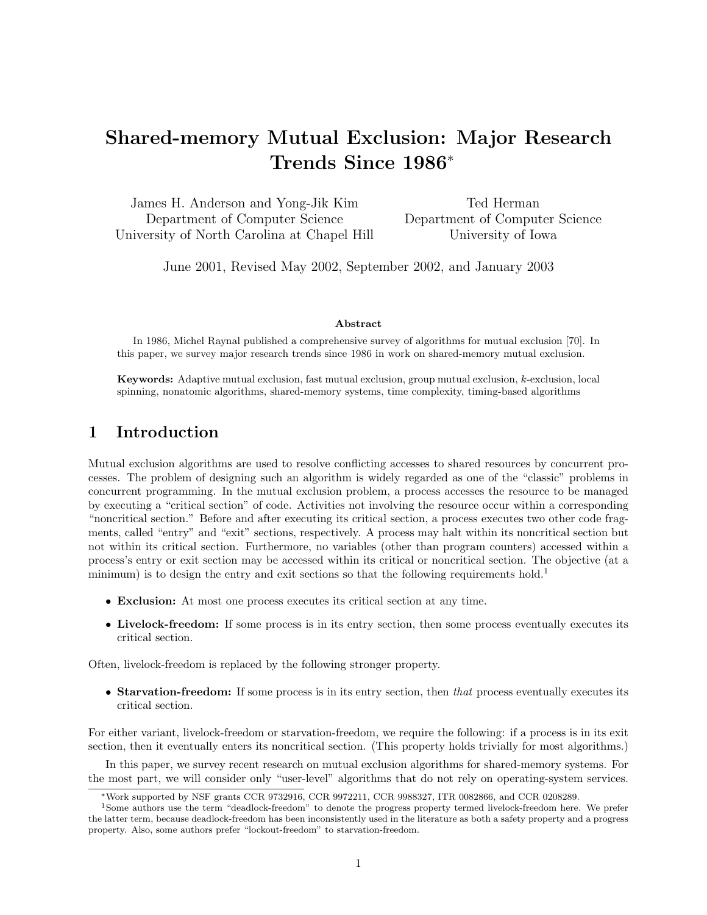# **Shared-memory Mutual Exclusion: Major Research Trends Since 1986**<sup>∗</sup>

James H. Anderson and Yong-Jik Kim Department of Computer Science University of North Carolina at Chapel Hill Ted Herman Department of Computer Science University of Iowa

June 2001, Revised May 2002, September 2002, and January 2003

#### **Abstract**

In 1986, Michel Raynal published a comprehensive survey of algorithms for mutual exclusion [70]. In this paper, we survey major research trends since 1986 in work on shared-memory mutual exclusion.

**Keywords:** Adaptive mutual exclusion, fast mutual exclusion, group mutual exclusion, k-exclusion, local spinning, nonatomic algorithms, shared-memory systems, time complexity, timing-based algorithms

### **1 Introduction**

Mutual exclusion algorithms are used to resolve conflicting accesses to shared resources by concurrent processes. The problem of designing such an algorithm is widely regarded as one of the "classic" problems in concurrent programming. In the mutual exclusion problem, a process accesses the resource to be managed by executing a "critical section" of code. Activities not involving the resource occur within a corresponding "noncritical section." Before and after executing its critical section, a process executes two other code fragments, called "entry" and "exit" sections, respectively. Aprocess may halt within its noncritical section but not within its critical section. Furthermore, no variables (other than program counters) accessed within a process's entry or exit section may be accessed within its critical or noncritical section. The objective (at a minimum) is to design the entry and exit sections so that the following requirements hold.<sup>1</sup>

- **Exclusion:** At most one process executes its critical section at any time.
- **Livelock-freedom:** If some process is in its entry section, then some process eventually executes its critical section.

Often, livelock-freedom is replaced by the following stronger property.

• **Starvation-freedom:** If some process is in its entry section, then *that* process eventually executes its critical section.

For either variant, livelock-freedom or starvation-freedom, we require the following: if a process is in its exit section, then it eventually enters its noncritical section. (This property holds trivially for most algorithms.)

In this paper, we survey recent research on mutual exclusion algorithms for shared-memory systems. For the most part, we will consider only "user-level" algorithms that do not rely on operating-system services.

<sup>∗</sup>Work supported by NSF grants CCR 9732916, CCR 9972211, CCR 9988327, ITR 0082866, and CCR 0208289.

<sup>&</sup>lt;sup>1</sup>Some authors use the term "deadlock-freedom" to denote the progress property termed livelock-freedom here. We prefer the latter term, because deadlock-freedom has been inconsistently used in the literature as both a safety property and a progress property.Also, some authors prefer "lockout-freedom" to starvation-freedom.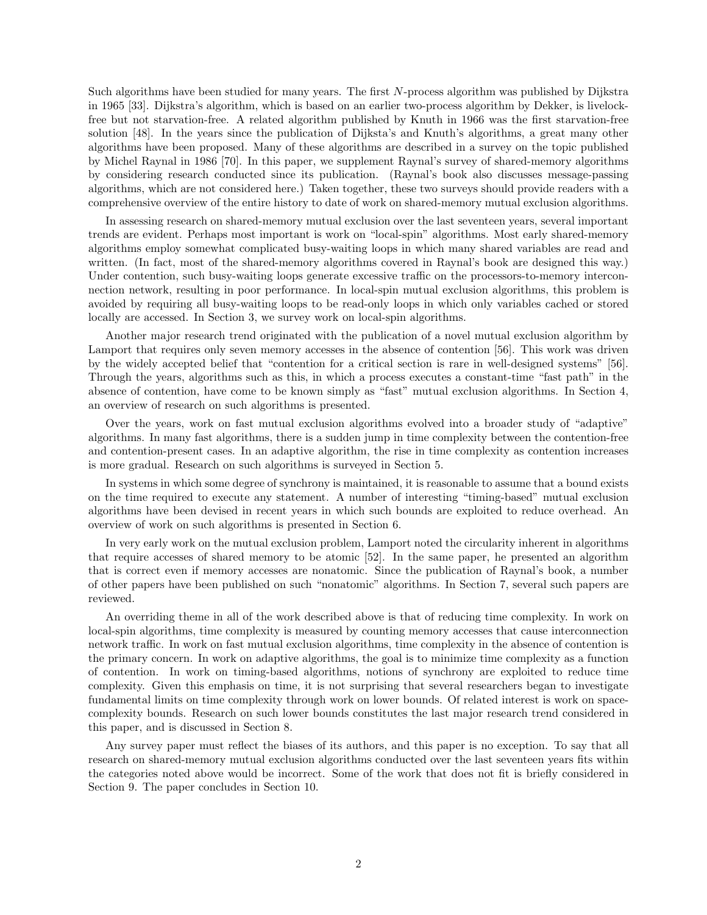Such algorithms have been studied for many years. The first N-process algorithm was published by Dijkstra in 1965 [33]. Dijkstra's algorithm, which is based on an earlier two-process algorithm by Dekker, is livelockfree but not starvation-free. A related algorithm published by Knuth in 1966 was the first starvation-free solution [48]. In the years since the publication of Dijksta's and Knuth's algorithms, a great many other algorithms have been proposed. Many of these algorithms are described in a survey on the topic published by Michel Raynal in 1986 [70]. In this paper, we supplement Raynal's survey of shared-memory algorithms by considering research conducted since its publication. (Raynal's book also discusses message-passing algorithms, which are not considered here.) Taken together, these two surveys should provide readers with a comprehensive overview of the entire history to date of work on shared-memory mutual exclusion algorithms.

In assessing research on shared-memory mutual exclusion over the last seventeen years, several important trends are evident. Perhaps most important is work on "local-spin" algorithms. Most early shared-memory algorithms employ somewhat complicated busy-waiting loops in which many shared variables are read and written. (In fact, most of the shared-memory algorithms covered in Raynal's book are designed this way.) Under contention, such busy-waiting loops generate excessive traffic on the processors-to-memory interconnection network, resulting in poor performance. In local-spin mutual exclusion algorithms, this problem is avoided by requiring all busy-waiting loops to be read-only loops in which only variables cached or stored locally are accessed. In Section 3, we survey work on local-spin algorithms.

Another major research trend originated with the publication of a novel mutual exclusion algorithm by Lamport that requires only seven memory accesses in the absence of contention [56]. This work was driven by the widely accepted belief that "contention for a critical section is rare in well-designed systems" [56]. Through the years, algorithms such as this, in which a process executes a constant-time "fast path" in the absence of contention, have come to be known simply as "fast" mutual exclusion algorithms. In Section 4, an overview of research on such algorithms is presented.

Over the years, work on fast mutual exclusion algorithms evolved into a broader study of "adaptive" algorithms. In many fast algorithms, there is a sudden jump in time complexity between the contention-free and contention-present cases. In an adaptive algorithm, the rise in time complexity as contention increases is more gradual. Research on such algorithms is surveyed in Section 5.

In systems in which some degree of synchrony is maintained, it is reasonable to assume that a bound exists on the time required to execute any statement. Anumber of interesting "timing-based" mutual exclusion algorithms have been devised in recent years in which such bounds are exploited to reduce overhead. An overview of work on such algorithms is presented in Section 6.

In very early work on the mutual exclusion problem, Lamport noted the circularity inherent in algorithms that require accesses of shared memory to be atomic [52]. In the same paper, he presented an algorithm that is correct even if memory accesses are nonatomic. Since the publication of Raynal's book, a number of other papers have been published on such "nonatomic" algorithms. In Section 7, several such papers are reviewed.

An overriding theme in all of the work described above is that of reducing time complexity. In work on local-spin algorithms, time complexity is measured by counting memory accesses that cause interconnection network traffic. In work on fast mutual exclusion algorithms, time complexity in the absence of contention is the primary concern. In work on adaptive algorithms, the goal is to minimize time complexity as a function of contention. In work on timing-based algorithms, notions of synchrony are exploited to reduce time complexity. Given this emphasis on time, it is not surprising that several researchers began to investigate fundamental limits on time complexity through work on lower bounds. Of related interest is work on spacecomplexity bounds. Research on such lower bounds constitutes the last major research trend considered in this paper, and is discussed in Section 8.

Any survey paper must reflect the biases of its authors, and this paper is no exception. To say that all research on shared-memory mutual exclusion algorithms conducted over the last seventeen years fits within the categories noted above would be incorrect. Some of the work that does not fit is briefly considered in Section 9. The paper concludes in Section 10.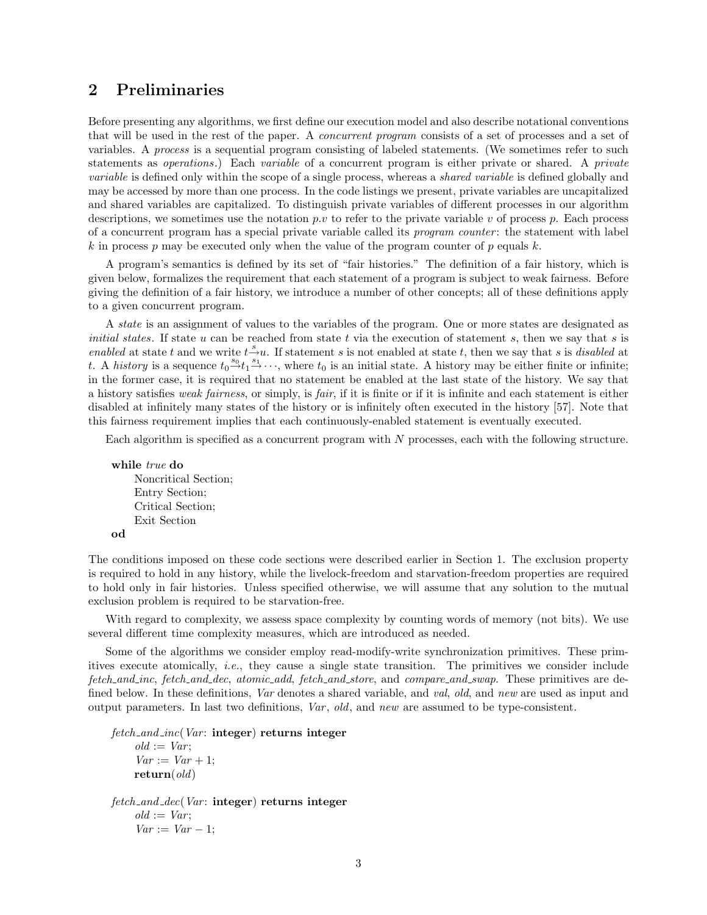### **2 Preliminaries**

Before presenting any algorithms, we first define our execution model and also describe notational conventions that will be used in the rest of the paper. A *concurrent program* consists of a set of processes and a set of variables. A *process* is a sequential program consisting of labeled statements. (We sometimes refer to such statements as *operations*.) Each *variable* of a concurrent program is either private or shared. A *private variable* is defined only within the scope of a single process, whereas a *shared variable* is defined globally and may be accessed by more than one process. In the code listings we present, private variables are uncapitalized and shared variables are capitalized. To distinguish private variables of different processes in our algorithm descriptions, we sometimes use the notation p.v to refer to the private variable v of process p. Each process of a concurrent program has a special private variable called its *program counter* : the statement with label k in process p may be executed only when the value of the program counter of p equals k.

Aprogram's semantics is defined by its set of "fair histories." The definition of a fair history, which is given below, formalizes the requirement that each statement of a program is subject to weak fairness. Before giving the definition of a fair history, we introduce a number of other concepts; all of these definitions apply to a given concurrent program.

A *state* is an assignment of values to the variables of the program. One or more states are designated as *initial states*. If state u can be reached from state t via the execution of statement s, then we say that s is *enabled* at state t and we write  $t \stackrel{s}{\rightarrow} u$ . If statement s is not enabled at state t, then we say that s is *disabled* at t. A *history* is a sequence  $t_0 \overset{s_0}{\rightarrow} t_1 \overset{s_1}{\rightarrow} \cdots$ , where  $t_0$  is an initial state. A history may be either finite or infinite; in the former case, it is required that no statement be enabled at the last state of the history. We say that a history satisfies *weak fairness*, or simply, is *fair*, if it is finite or if it is infinite and each statement is either disabled at infinitely many states of the history or is infinitely often executed in the history [57]. Note that this fairness requirement implies that each continuously-enabled statement is eventually executed.

Each algorithm is specified as a concurrent program with  $N$  processes, each with the following structure.

**while** *true* **do** Noncritical Section; Entry Section; Critical Section; Exit Section

```
od
```
The conditions imposed on these code sections were described earlier in Section 1. The exclusion property is required to hold in any history, while the livelock-freedom and starvation-freedom properties are required to hold only in fair histories. Unless specified otherwise, we will assume that any solution to the mutual exclusion problem is required to be starvation-free.

With regard to complexity, we assess space complexity by counting words of memory (not bits). We use several different time complexity measures, which are introduced as needed.

Some of the algorithms we consider employ read-modify-write synchronization primitives. These primitives execute atomically, *i.e.*, they cause a single state transition. The primitives we consider include *fetch and inc*, *fetch and dec*, *atomic add*, *fetch and store*, and *compare and swap*. These primitives are defined below. In these definitions, *Var* denotes a shared variable, and *val*, *old*, and *new* are used as input and output parameters. In last two definitions, *Var* , *old*, and *new* are assumed to be type-consistent.

```
fetch and inc(Var : integer) returns integer
    old := Var;
    Var := Var + 1;
    return(old)
fetch and dec(Var : integer) returns integer
    old := Var;
    Var := Var - 1;
```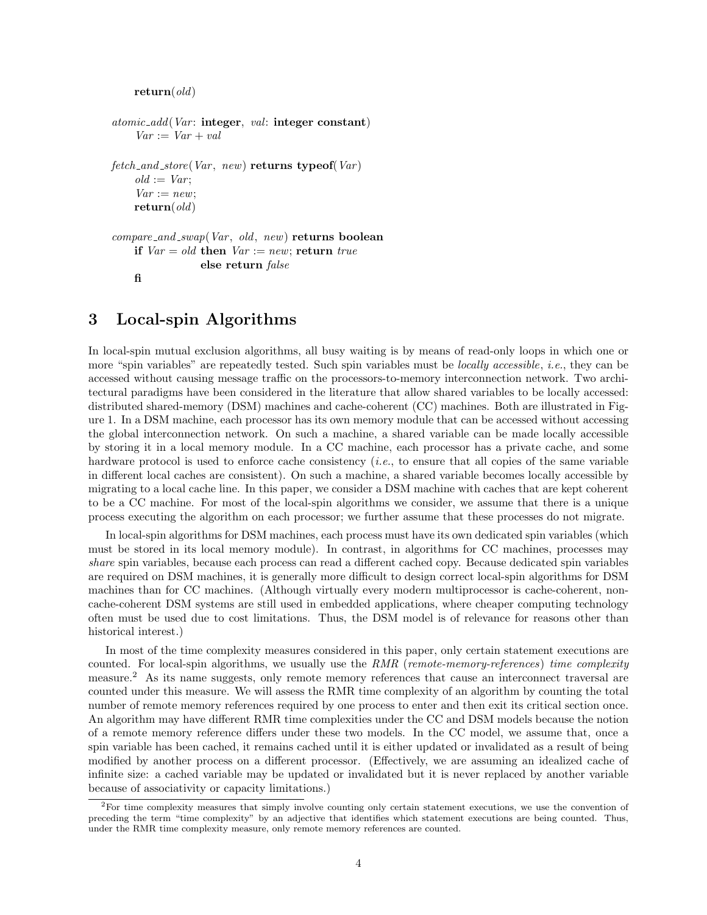```
return(old)
atomic add(Var : integer, val: integer constant)
    Var := Var + valfetch and store(Var , new) returns typeof(Var )
    old := Var;
    Var := newreturn(old)
compare and swap(Var , old, new) returns boolean
    if Var = old then Var := new; return true
                else return false
    fi
```
### **3Local-spin Algorithms**

In local-spin mutual exclusion algorithms, all busy waiting is by means of read-only loops in which one or more "spin variables" are repeatedly tested. Such spin variables must be *locally accessible*, *i.e.*, they can be accessed without causing message traffic on the processors-to-memory interconnection network. Two architectural paradigms have been considered in the literature that allow shared variables to be locally accessed: distributed shared-memory (DSM) machines and cache-coherent (CC) machines. Both are illustrated in Figure 1. In a DSM machine, each processor has its own memory module that can be accessed without accessing the global interconnection network. On such a machine, a shared variable can be made locally accessible by storing it in a local memory module. In a CC machine, each processor has a private cache, and some hardware protocol is used to enforce cache consistency *(i.e.,* to ensure that all copies of the same variable in different local caches are consistent). On such a machine, a shared variable becomes locally accessible by migrating to a local cache line. In this paper, we consider a DSM machine with caches that are kept coherent to be a CC machine. For most of the local-spin algorithms we consider, we assume that there is a unique process executing the algorithm on each processor; we further assume that these processes do not migrate.

In local-spin algorithms for DSM machines, each process must have its own dedicated spin variables (which must be stored in its local memory module). In contrast, in algorithms for CC machines, processes may *share* spin variables, because each process can read a different cached copy. Because dedicated spin variables are required on DSM machines, it is generally more difficult to design correct local-spin algorithms for DSM machines than for CC machines. (Although virtually every modern multiprocessor is cache-coherent, noncache-coherent DSM systems are still used in embedded applications, where cheaper computing technology often must be used due to cost limitations. Thus, the DSM model is of relevance for reasons other than historical interest.)

In most of the time complexity measures considered in this paper, only certain statement executions are counted. For local-spin algorithms, we usually use the *RMR* (*remote-memory-references*) *time complexity* measure.<sup>2</sup> As its name suggests, only remote memory references that cause an interconnect traversal are counted under this measure. We will assess the RMR time complexity of an algorithm by counting the total number of remote memory references required by one process to enter and then exit its critical section once. An algorithm may have different RMR time complexities under the CC and DSM models because the notion of a remote memory reference differs under these two models. In the CC model, we assume that, once a spin variable has been cached, it remains cached until it is either updated or invalidated as a result of being modified by another process on a different processor. (Effectively, we are assuming an idealized cache of infinite size: a cached variable may be updated or invalidated but it is never replaced by another variable because of associativity or capacity limitations.)

<sup>&</sup>lt;sup>2</sup>For time complexity measures that simply involve counting only certain statement executions, we use the convention of preceding the term "time complexity" by an adjective that identifies which statement executions are being counted.Thus, under the RMR time complexity measure, only remote memory references are counted.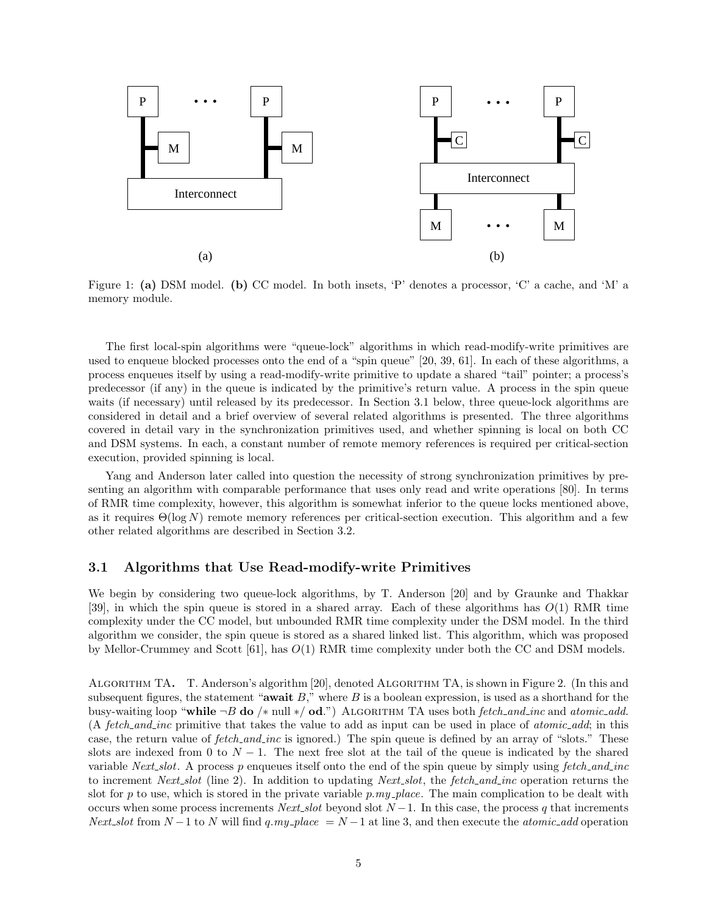

Figure 1: **(a)** DSM model. **(b)** CC model. In both insets, 'P' denotes a processor, 'C' a cache, and 'M' a memory module.

The first local-spin algorithms were "queue-lock" algorithms in which read-modify-write primitives are used to enqueue blocked processes onto the end of a "spin queue" [20, 39, 61]. In each of these algorithms, a process enqueues itself by using a read-modify-write primitive to update a shared "tail" pointer; a process's predecessor (if any) in the queue is indicated by the primitive's return value. Aprocess in the spin queue waits (if necessary) until released by its predecessor. In Section 3.1 below, three queue-lock algorithms are considered in detail and a brief overview of several related algorithms is presented. The three algorithms covered in detail vary in the synchronization primitives used, and whether spinning is local on both CC and DSM systems. In each, a constant number of remote memory references is required per critical-section execution, provided spinning is local.

Yang and Anderson later called into question the necessity of strong synchronization primitives by presenting an algorithm with comparable performance that uses only read and write operations [80]. In terms of RMR time complexity, however, this algorithm is somewhat inferior to the queue locks mentioned above, as it requires  $\Theta(\log N)$  remote memory references per critical-section execution. This algorithm and a few other related algorithms are described in Section 3.2.

#### **3.1 Algorithms that Use Read-modify-write Primitives**

We begin by considering two queue-lock algorithms, by T. Anderson [20] and by Graunke and Thakkar [39], in which the spin queue is stored in a shared array. Each of these algorithms has O(1) RMR time complexity under the CC model, but unbounded RMR time complexity under the DSM model. In the third algorithm we consider, the spin queue is stored as a shared linked list. This algorithm, which was proposed by Mellor-Crummey and Scott  $[61]$ , has  $O(1)$  RMR time complexity under both the CC and DSM models.

Algorithm TA**.** T. Anderson's algorithm [20], denoted Algorithm TA, is shown in Figure 2. (In this and subsequent figures, the statement "**await** B," where B is a boolean expression, is used as a shorthand for the busy-waiting loop "**while** <sup>¬</sup><sup>B</sup> **do** /<sup>∗</sup> null <sup>∗</sup>/ **od**.") Algorithm TA uses both *fetch and inc* and *atomic add*. (A *fetch and inc* primitive that takes the value to add as input can be used in place of *atomic add*; in this case, the return value of *fetch and inc* is ignored.) The spin queue is defined by an array of "slots." These slots are indexed from 0 to  $N-1$ . The next free slot at the tail of the queue is indicated by the shared variable *Next slot*. Aprocess p enqueues itself onto the end of the spin queue by simply using *fetch and inc* to increment *Next slot* (line 2). In addition to updating *Next slot*, the *fetch and inc* operation returns the slot for p to use, which is stored in the private variable p.*my place*. The main complication to be dealt with occurs when some process increments *Next* slot beyond slot  $N-1$ . In this case, the process q that increments *Next slot* from  $N-1$  to N will find q.my *place* =  $N-1$  at line 3, and then execute the *atomic add* operation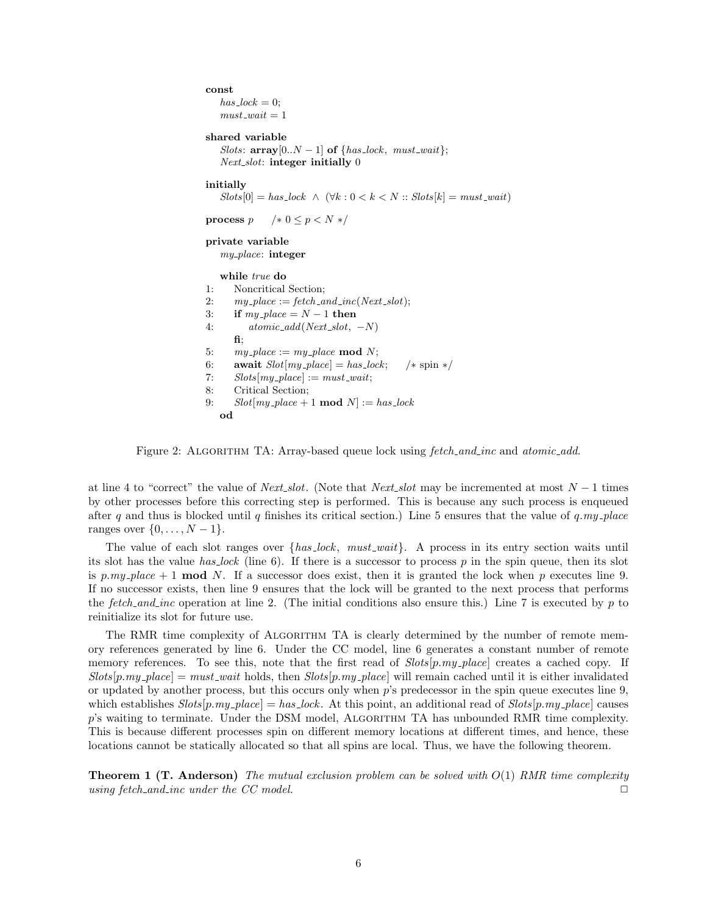```
const
   has\_lock = 0;must\_wait = 1shared variable
   Slots: array[0..N-1] of {has lock, must wait};
   Next slot: integer initially 0
initially
   Slots[0] = has\_lock \land (\forall k: 0 < k < N :: Slots[k] = must\_wait)process p \left| \csc{n} \right| < p < N \left| \csc{n} \right|private variable
   my place: integer
   while true do
1: Noncritical Section;
2: my\_place := fetch\_and\_inc(Next\_slot);3: if my\_place = N - 1 then
4: atomic\_add(Next\_slot, -N)fi;
5: my\_place := my\_place \textbf{mod } N;6: await Slot[my\_place] = has\_lock; /* spin */
7: Slots[my\_place] := must\_wait;8: Critical Section;
9: Slot[my\_place + 1 \mod N] := has\_lockod
```
Figure 2: Algorithm TA: Array-based queue lock using *fetch and inc* and *atomic add*.

at line 4 to "correct" the value of *Next\_slot*. (Note that *Next\_slot* may be incremented at most  $N-1$  times by other processes before this correcting step is performed. This is because any such process is enqueued after q and thus is blocked until q finishes its critical section.) Line 5 ensures that the value of q.*my place* ranges over  $\{0,\ldots,N-1\}$ .

The value of each slot ranges over  $\{has\_lock, \, must\_wait\}$ . A process in its entry section waits until its slot has the value *has-lock* (line 6). If there is a successor to process p in the spin queue, then its slot is p.my-place  $+1$  mod N. If a successor does exist, then it is granted the lock when p executes line 9. If no successor exists, then line 9 ensures that the lock will be granted to the next process that performs the *fetch and inc* operation at line 2. (The initial conditions also ensure this.) Line 7 is executed by p to reinitialize its slot for future use.

The RMR time complexity of ALGORITHM TA is clearly determined by the number of remote memory references generated by line 6. Under the CC model, line 6 generates a constant number of remote memory references. To see this, note that the first read of *Slots*[p.*my place*] creates a cached copy. If  $\textit{S}$ lots $[p, my$  *place*] = *must wait* holds, then  $\textit{S}$ lots $[p, my$  *place*] will remain cached until it is either invalidated or updated by another process, but this occurs only when p's predecessor in the spin queue executes line 9, which establishes  $Slots[p, my\_place] = has\_lock$ . At this point, an additional read of  $Slots[p, my\_place]$  causes  $p$ 's waiting to terminate. Under the DSM model, ALGORITHM TA has unbounded RMR time complexity. This is because different processes spin on different memory locations at different times, and hence, these locations cannot be statically allocated so that all spins are local. Thus, we have the following theorem.

**Theorem 1 (T.Anderson)** *The mutual exclusion problem can be solved with* O(1) *RMR time complexity*  $using \, fetch\_and\_inc \, under \, the \, CC \, model.$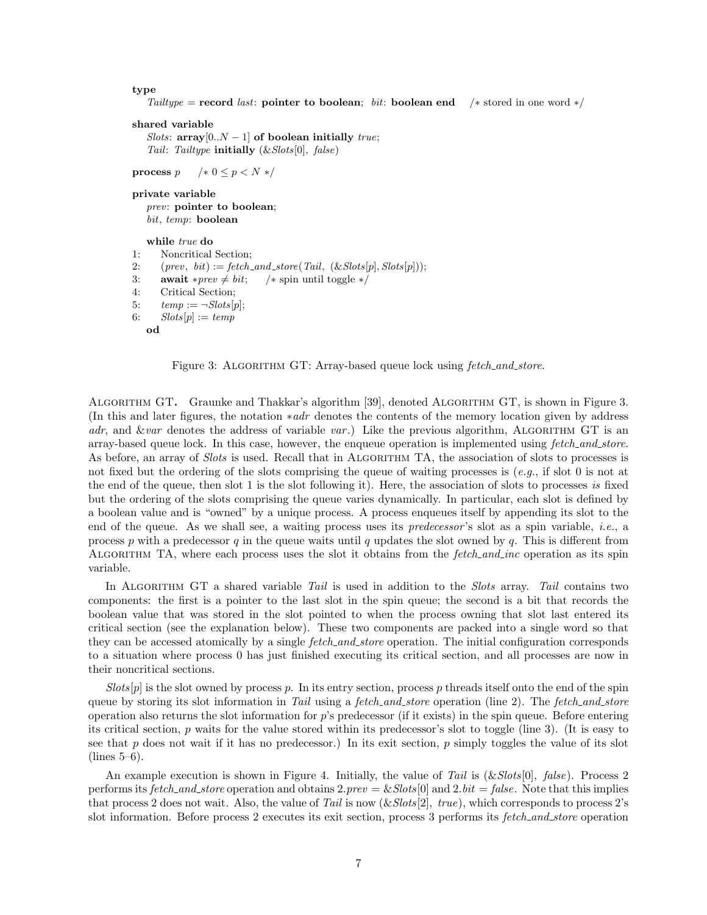#### **type**

Tailtype = **record** last: **pointer to boolean**; bit: **boolean end** /∗ stored in one word ∗/

```
shared variable
  Slots: array[0..N-1] of boolean initially true;
   Tail: Tailtype initially (&Slots[0], false)
```
**process**  $p \quad \neq 0 \leq p \leq N \neq 0$ 

**private variable** prev: **pointer to boolean**; bit, temp: **boolean**

**while** true **do**

```
1: Noncritical Section;
```
- 2:  $(prev, bit) := fetch\_and\_store(Tail, (&S lots[p], S lots[p]);$
- 3: **await**  $*prev \neq bit;$  /\* spin until toggle  $*/$
- 4: Critical Section;

```
5: temp := \neg Slots[p];
```
6:  $Slots[p] := temp$ 

**od**

Figure 3: Algorithm GT: Array-based queue lock using *fetch and store*.

Algorithm GT**.** Graunke and Thakkar's algorithm [39], denoted Algorithm GT, is shown in Figure 3. (In this and later figures, the notation ∗*adr* denotes the contents of the memory location given by address *adr*, and &*var* denotes the address of variable *var* .) Like the previous algorithm, Algorithm GT is an array-based queue lock. In this case, however, the enqueue operation is implemented using *fetch and store*. As before, an array of *Slots* is used. Recall that in ALGORITHM TA, the association of slots to processes is not fixed but the ordering of the slots comprising the queue of waiting processes is (*e.g.*, if slot 0 is not at the end of the queue, then slot 1 is the slot following it). Here, the association of slots to processes *is* fixed but the ordering of the slots comprising the queue varies dynamically. In particular, each slot is defined by a boolean value and is "owned" by a unique process. A process enqueues itself by appending its slot to the end of the queue. As we shall see, a waiting process uses its *predecessor* 's slot as a spin variable, *i.e.*, a process p with a predecessor q in the queue waits until q updates the slot owned by q. This is different from Algorithm TA, where each process uses the slot it obtains from the *fetch and inc* operation as its spin variable.

In Algorithm GT a shared variable *Tail* is used in addition to the *Slots* array. *Tail* contains two components: the first is a pointer to the last slot in the spin queue; the second is a bit that records the boolean value that was stored in the slot pointed to when the process owning that slot last entered its critical section (see the explanation below). These two components are packed into a single word so that they can be accessed atomically by a single *fetch and store* operation. The initial configuration corresponds to a situation where process 0 has just finished executing its critical section, and all processes are now in their noncritical sections.

 $S$ lots<sup>[p]</sup> is the slot owned by process p. In its entry section, process p threads itself onto the end of the spin queue by storing its slot information in *Tail* using a *fetch and store* operation (line 2). The *fetch and store* operation also returns the slot information for  $p$ 's predecessor (if it exists) in the spin queue. Before entering its critical section,  $p$  waits for the value stored within its predecessor's slot to toggle (line 3). (It is easy to see that p does not wait if it has no predecessor.) In its exit section, p simply toggles the value of its slot (lines 5–6).

An example execution is shown in Figure 4. Initially, the value of *Tail* is (&*Slots*[0], *false*). Process 2 performs its *fetch* and *store* operation and obtains  $2.prev = \&Slost[0]$  and  $2.bit = false$ . Note that this implies that process 2 does not wait. Also, the value of *Tail* is now (&*Slots*[2], *true*), which corresponds to process 2's slot information. Before process 2 executes its exit section, process 3 performs its *fetch and store* operation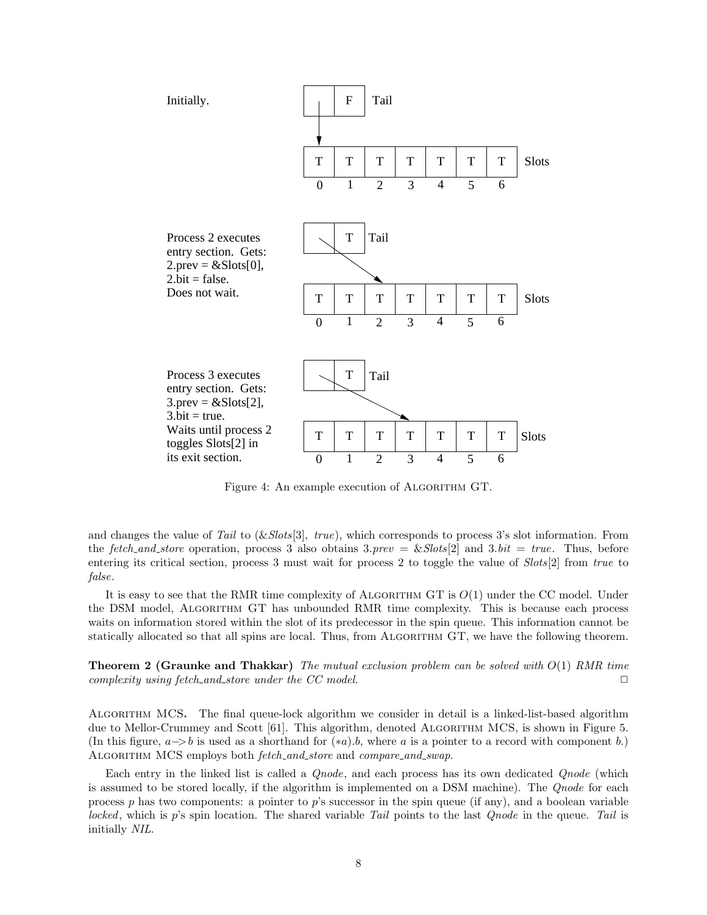

Figure 4: An example execution of ALGORITHM GT.

and changes the value of *Tail* to (&*Slots*[3], *true*), which corresponds to process 3's slot information. From the *fetch\_and\_store* operation, process 3 also obtains  $3.prev = \&Slots[2]$  and  $3.bit = true$ . Thus, before entering its critical section, process 3 must wait for process 2 to toggle the value of *Slots*[2] from *true* to *false*.

It is easy to see that the RMR time complexity of ALGORITHM GT is  $O(1)$  under the CC model. Under the DSM model, Algorithm GT has unbounded RMR time complexity. This is because each process waits on information stored within the slot of its predecessor in the spin queue. This information cannot be statically allocated so that all spins are local. Thus, from Algorithm GT, we have the following theorem.

**Theorem 2 (Graunke and Thakkar)** *The mutual exclusion problem can be solved with* O(1) *RMR time complexity using fetch and\_store under the CC model.* **□** 

Algorithm MCS**.** The final queue-lock algorithm we consider in detail is a linked-list-based algorithm due to Mellor-Crummey and Scott [61]. This algorithm, denoted Algorithm MCS, is shown in Figure 5. (In this figure,  $a \rightarrow b$  is used as a shorthand for  $(*a)$ ). Where a is a pointer to a record with component b.) Algorithm MCS employs both *fetch and store* and *compare and swap*.

Each entry in the linked list is called a *Qnode*, and each process has its own dedicated *Qnode* (which is assumed to be stored locally, if the algorithm is implemented on a DSM machine). The *Qnode* for each process  $p$  has two components: a pointer to  $p$ 's successor in the spin queue (if any), and a boolean variable *locked*, which is p's spin location. The shared variable *Tail* points to the last *Qnode* in the queue. *Tail* is initially *NIL*.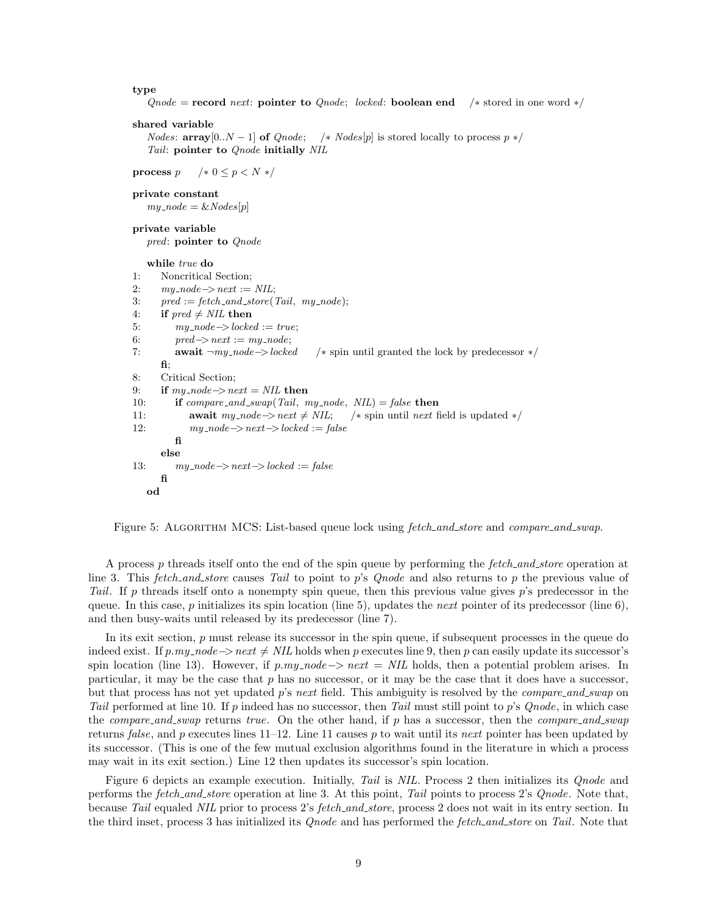**type**

```
Qnode = record next: pointer to Qnode; locked: boolean end /∗ stored in one word ∗/
```

```
shared variable
```

```
Nodes: \arctan[0..N-1] of Qnode; /* Nodes[p] is stored locally to process p */
Tail: pointer to Qnode initially NIL
```
**process**  $p \quad \neq 0 \leq p < N \neq 0$ 

**private constant**

 $my\_node = \&Nodes[p]$ 

**private variable** pred: **pointer to** Qnode

**while** true **do**

```
1: Noncritical Section;
2: my\_node \rightarrow next := NIL;3: pred := fetch\_and\_store(Tail, my\_node);4: if \text{pred} \neq \text{NIL} then
5: my\_node \rightarrow locked := true;6: pred \rightarrow next := my\_node;7: await ¬my node−>locked /∗ spin until granted the lock by predecessor ∗/
      fi;
8: Critical Section;
9: if my node−>next = NIL then
10: if compare_and_swap(Tail, my_node, NIL) = false then
11: await my\_node \rightarrow next \neq NIL; /* spin until next field is updated */
12: my\_node \rightarrow next \rightarrow locked := falsefi
      else
13: my\_node \rightarrow next \rightarrow locked := falsefi
   od
```


Aprocess p threads itself onto the end of the spin queue by performing the *fetch and store* operation at line 3. This *fetch\_and\_store* causes *Tail* to point to p's *Qnode* and also returns to p the previous value of *Tail*. If p threads itself onto a nonempty spin queue, then this previous value gives p's predecessor in the queue. In this case, p initializes its spin location (line 5), updates the *next* pointer of its predecessor (line 6), and then busy-waits until released by its predecessor (line 7).

In its exit section, p must release its successor in the spin queue, if subsequent processes in the queue do indeed exist. If  $p$ *my node*  $\rightarrow$  *next*  $\neq$  *NIL* holds when p executes line 9, then p can easily update its successor's spin location (line 13). However, if  $p$ *my*  $node \rightarrow next = NIL$  holds, then a potential problem arises. In particular, it may be the case that  $p$  has no successor, or it may be the case that it does have a successor, but that process has not yet updated p's *next* field. This ambiguity is resolved by the *compare and swap* on *Tail* performed at line 10. If p indeed has no successor, then *Tail* must still point to p's *Qnode*, in which case the *compare and swap* returns *true*. On the other hand, if p has a successor, then the *compare and swap* returns *false*, and p executes lines 11–12. Line 11 causes p to wait until its *next* pointer has been updated by its successor. (This is one of the few mutual exclusion algorithms found in the literature in which a process may wait in its exit section.) Line 12 then updates its successor's spin location.

Figure 6 depicts an example execution. Initially, *Tail* is *NIL*. Process 2 then initializes its *Qnode* and performs the *fetch and store* operation at line 3. At this point, *Tail* points to process 2's *Qnode*. Note that, because *Tail* equaled *NIL* prior to process 2's *fetch and store*, process 2 does not wait in its entry section. In the third inset, process 3 has initialized its *Qnode* and has performed the *fetch and store* on *Tail*. Note that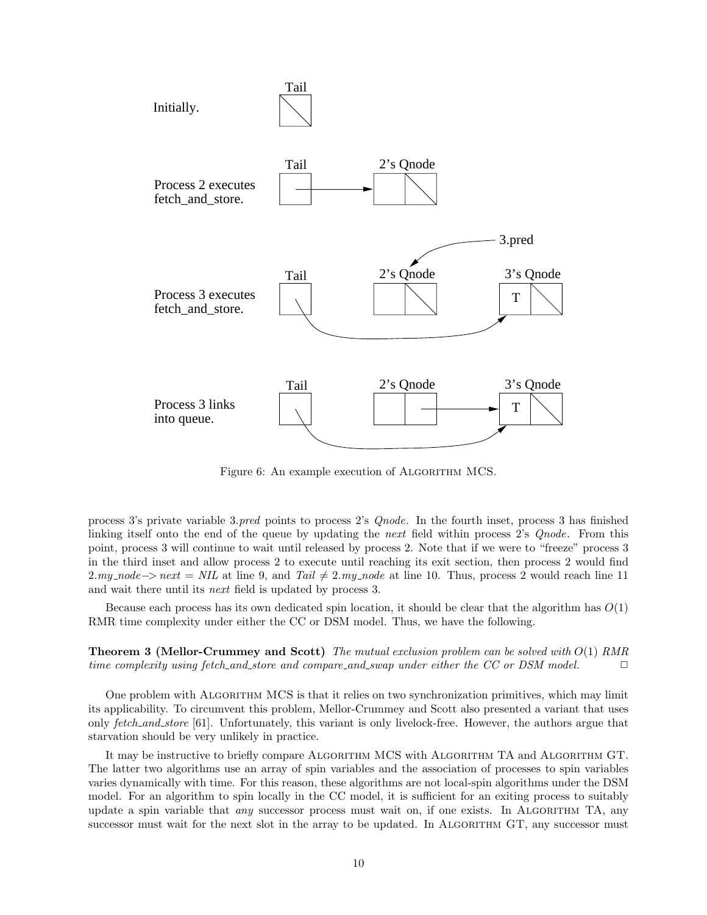

Figure 6: An example execution of ALGORITHM MCS.

process 3's private variable 3.*pred* points to process 2's *Qnode*. In the fourth inset, process 3 has finished linking itself onto the end of the queue by updating the *next* field within process 2's *Qnode*. From this point, process 3 will continue to wait until released by process 2. Note that if we were to "freeze" process 3 in the third inset and allow process 2 to execute until reaching its exit section, then process 2 would find 2.*my\_node → next* = *NIL* at line 9, and  $Tail \neq 2$ .*my\_node* at line 10. Thus, process 2 would reach line 11 and wait there until its *next* field is updated by process 3.

Because each process has its own dedicated spin location, it should be clear that the algorithm has  $O(1)$ RMR time complexity under either the CC or DSM model. Thus, we have the following.

**Theorem 3 (Mellor-Crummey and Scott)** *The mutual exclusion problem can be solved with* O(1) *RMR time complexity using fetch and store and compare and swap under either the CC or DSM model.* ✷

One problem with Algorithm MCS is that it relies on two synchronization primitives, which may limit its applicability. To circumvent this problem, Mellor-Crummey and Scott also presented a variant that uses only *fetch and store* [61]. Unfortunately, this variant is only livelock-free. However, the authors argue that starvation should be very unlikely in practice.

It may be instructive to briefly compare Algorithm MCS with Algorithm TA and Algorithm GT. The latter two algorithms use an array of spin variables and the association of processes to spin variables varies dynamically with time. For this reason, these algorithms are not local-spin algorithms under the DSM model. For an algorithm to spin locally in the CC model, it is sufficient for an exiting process to suitably update a spin variable that *any* successor process must wait on, if one exists. In ALGORITHM TA, any successor must wait for the next slot in the array to be updated. In ALGORITHM GT, any successor must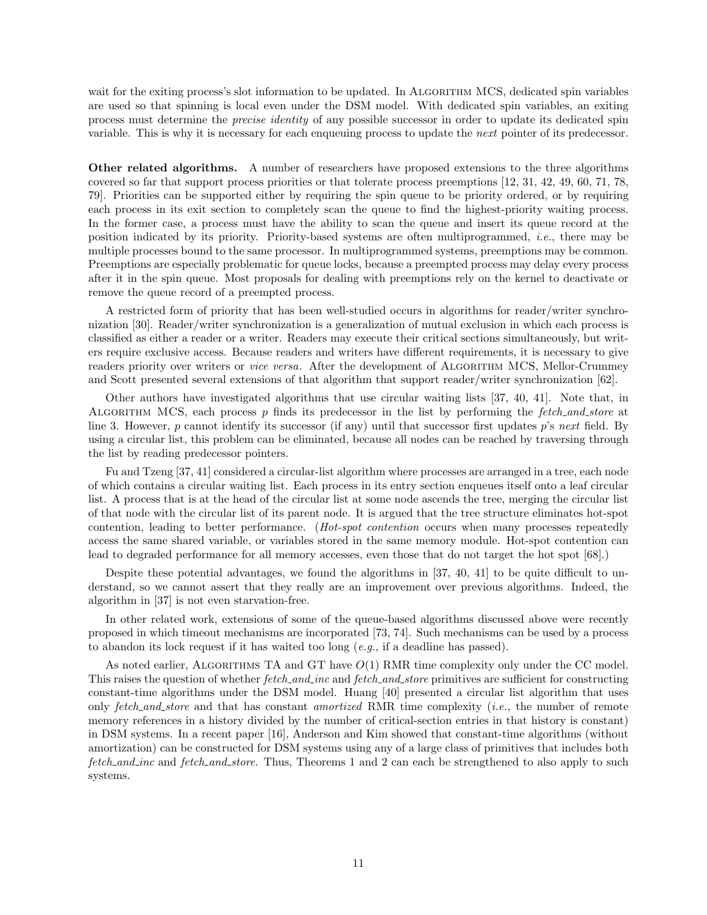wait for the exiting process's slot information to be updated. In ALGORITHM MCS, dedicated spin variables are used so that spinning is local even under the DSM model. With dedicated spin variables, an exiting process must determine the *precise identity* of any possible successor in order to update its dedicated spin variable. This is why it is necessary for each enqueuing process to update the *next* pointer of its predecessor.

**Other related algorithms.** A number of researchers have proposed extensions to the three algorithms covered so far that support process priorities or that tolerate process preemptions [12, 31, 42, 49, 60, 71, 78, 79]. Priorities can be supported either by requiring the spin queue to be priority ordered, or by requiring each process in its exit section to completely scan the queue to find the highest-priority waiting process. In the former case, a process must have the ability to scan the queue and insert its queue record at the position indicated by its priority. Priority-based systems are often multiprogrammed, *i.e.*, there may be multiple processes bound to the same processor. In multiprogrammed systems, preemptions may be common. Preemptions are especially problematic for queue locks, because a preempted process may delay every process after it in the spin queue. Most proposals for dealing with preemptions rely on the kernel to deactivate or remove the queue record of a preempted process.

Arestricted form of priority that has been well-studied occurs in algorithms for reader/writer synchronization [30]. Reader/writer synchronization is a generalization of mutual exclusion in which each process is classified as either a reader or a writer. Readers may execute their critical sections simultaneously, but writers require exclusive access. Because readers and writers have different requirements, it is necessary to give readers priority over writers or *vice versa*. After the development of ALGORITHM MCS, Mellor-Crummey and Scott presented several extensions of that algorithm that support reader/writer synchronization [62].

Other authors have investigated algorithms that use circular waiting lists [37, 40, 41]. Note that, in Algorithm MCS, each process <sup>p</sup> finds its predecessor in the list by performing the *fetch and store* at line 3. However, p cannot identify its successor (if any) until that successor first updates p's *next* field. By using a circular list, this problem can be eliminated, because all nodes can be reached by traversing through the list by reading predecessor pointers.

Fu and Tzeng [37, 41] considered a circular-list algorithm where processes are arranged in a tree, each node of which contains a circular waiting list. Each process in its entry section enqueues itself onto a leaf circular list. Aprocess that is at the head of the circular list at some node ascends the tree, merging the circular list of that node with the circular list of its parent node. It is argued that the tree structure eliminates hot-spot contention, leading to better performance. (*Hot-spot contention* occurs when many processes repeatedly access the same shared variable, or variables stored in the same memory module. Hot-spot contention can lead to degraded performance for all memory accesses, even those that do not target the hot spot [68].)

Despite these potential advantages, we found the algorithms in [37, 40, 41] to be quite difficult to understand, so we cannot assert that they really are an improvement over previous algorithms. Indeed, the algorithm in [37] is not even starvation-free.

In other related work, extensions of some of the queue-based algorithms discussed above were recently proposed in which timeout mechanisms are incorporated [73, 74]. Such mechanisms can be used by a process to abandon its lock request if it has waited too long (*e.g.*, if a deadline has passed).

As noted earlier, ALGORITHMS TA and GT have  $O(1)$  RMR time complexity only under the CC model. This raises the question of whether *fetch and inc* and *fetch and store* primitives are sufficient for constructing constant-time algorithms under the DSM model. Huang [40] presented a circular list algorithm that uses only *fetch and store* and that has constant *amortized* RMR time complexity (*i.e.*, the number of remote memory references in a history divided by the number of critical-section entries in that history is constant) in DSM systems. In a recent paper [16], Anderson and Kim showed that constant-time algorithms (without amortization) can be constructed for DSM systems using any of a large class of primitives that includes both *fetch and inc* and *fetch and store*. Thus, Theorems 1 and 2 can each be strengthened to also apply to such systems.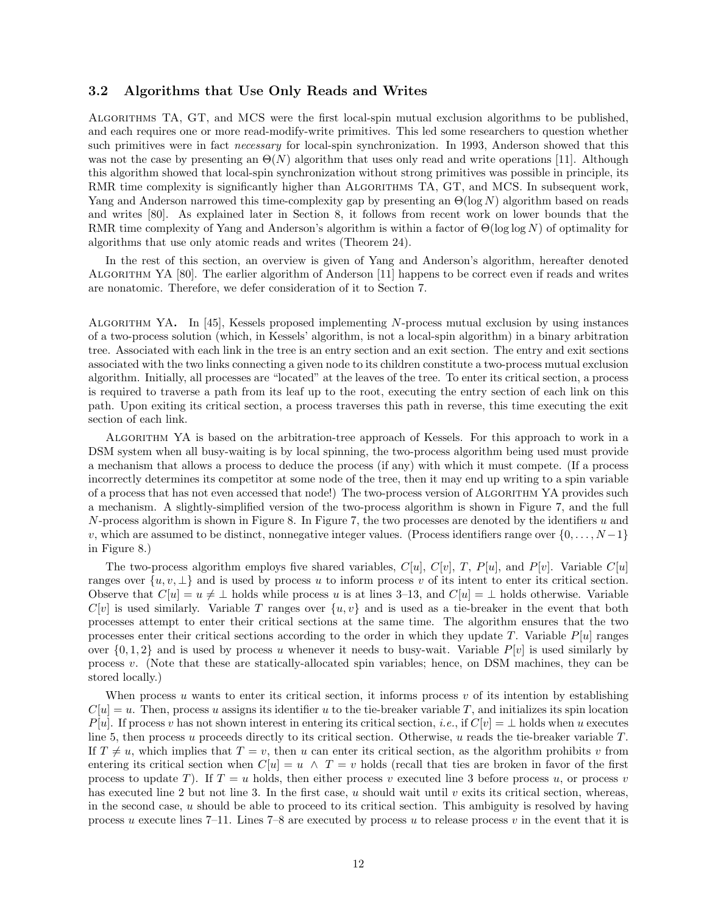#### **3.2 Algorithms that Use Only Reads and Writes**

Algorithms TA, GT, and MCS were the first local-spin mutual exclusion algorithms to be published, and each requires one or more read-modify-write primitives. This led some researchers to question whether such primitives were in fact *necessary* for local-spin synchronization. In 1993, Anderson showed that this was not the case by presenting an  $\Theta(N)$  algorithm that uses only read and write operations [11]. Although this algorithm showed that local-spin synchronization without strong primitives was possible in principle, its RMR time complexity is significantly higher than ALGORITHMS TA, GT, and MCS. In subsequent work, Yang and Anderson narrowed this time-complexity gap by presenting an  $\Theta(\log N)$  algorithm based on reads and writes [80]. As explained later in Section 8, it follows from recent work on lower bounds that the RMR time complexity of Yang and Anderson's algorithm is within a factor of Θ(log log N) of optimality for algorithms that use only atomic reads and writes (Theorem 24).

In the rest of this section, an overview is given of Yang and Anderson's algorithm, hereafter denoted Algorithm YA [80]. The earlier algorithm of Anderson [11] happens to be correct even if reads and writes are nonatomic. Therefore, we defer consideration of it to Section 7.

Algorithm YA**.** In [45], Kessels proposed implementing <sup>N</sup>-process mutual exclusion by using instances of a two-process solution (which, in Kessels' algorithm, is not a local-spin algorithm) in a binary arbitration tree. Associated with each link in the tree is an entry section and an exit section. The entry and exit sections associated with the two links connecting a given node to its children constitute a two-process mutual exclusion algorithm. Initially, all processes are "located" at the leaves of the tree. To enter its critical section, a process is required to traverse a path from its leaf up to the root, executing the entry section of each link on this path. Upon exiting its critical section, a process traverses this path in reverse, this time executing the exit section of each link.

Algorithm YA is based on the arbitration-tree approach of Kessels. For this approach to work in a DSM system when all busy-waiting is by local spinning, the two-process algorithm being used must provide a mechanism that allows a process to deduce the process (if any) with which it must compete. (If a process incorrectly determines its competitor at some node of the tree, then it may end up writing to a spin variable of a process that has not even accessed that node!) The two-process version of Algorithm YA provides such a mechanism. A slightly-simplified version of the two-process algorithm is shown in Figure 7, and the full N-process algorithm is shown in Figure 8. In Figure 7, the two processes are denoted by the identifiers u and v, which are assumed to be distinct, nonnegative integer values. (Process identifiers range over  $\{0,\ldots,N-1\}$ in Figure 8.)

The two-process algorithm employs five shared variables,  $C[u], C[v], T, P[u]$ , and  $P[v]$ . Variable  $C[u]$ ranges over  $\{u, v, \perp\}$  and is used by process u to inform process v of its intent to enter its critical section. Observe that  $C[u] = u \neq \perp$  holds while process u is at lines 3–13, and  $C[u] = \perp$  holds otherwise. Variable  $C[v]$  is used similarly. Variable T ranges over  $\{u, v\}$  and is used as a tie-breaker in the event that both processes attempt to enter their critical sections at the same time. The algorithm ensures that the two processes enter their critical sections according to the order in which they update T. Variable  $P[u]$  ranges over  $\{0, 1, 2\}$  and is used by process u whenever it needs to busy-wait. Variable P[v] is used similarly by process v. (Note that these are statically-allocated spin variables; hence, on DSM machines, they can be stored locally.)

When process u wants to enter its critical section, it informs process v of its intention by establishing  $C[u] = u$ . Then, process u assigns its identifier u to the tie-breaker variable T, and initializes its spin location P[u]. If process v has not shown interest in entering its critical section, *i.e.*, if  $C[v] = \perp$  holds when u executes line 5, then process u proceeds directly to its critical section. Otherwise, u reads the tie-breaker variable T. If  $T \neq u$ , which implies that  $T = v$ , then u can enter its critical section, as the algorithm prohibits v from entering its critical section when  $C[u] = u \land T = v$  holds (recall that ties are broken in favor of the first process to update T). If  $T = u$  holds, then either process v executed line 3 before process u, or process v has executed line 2 but not line 3. In the first case,  $u$  should wait until  $v$  exits its critical section, whereas, in the second case, u should be able to proceed to its critical section. This ambiguity is resolved by having process u execute lines  $7-11$ . Lines  $7-8$  are executed by process u to release process v in the event that it is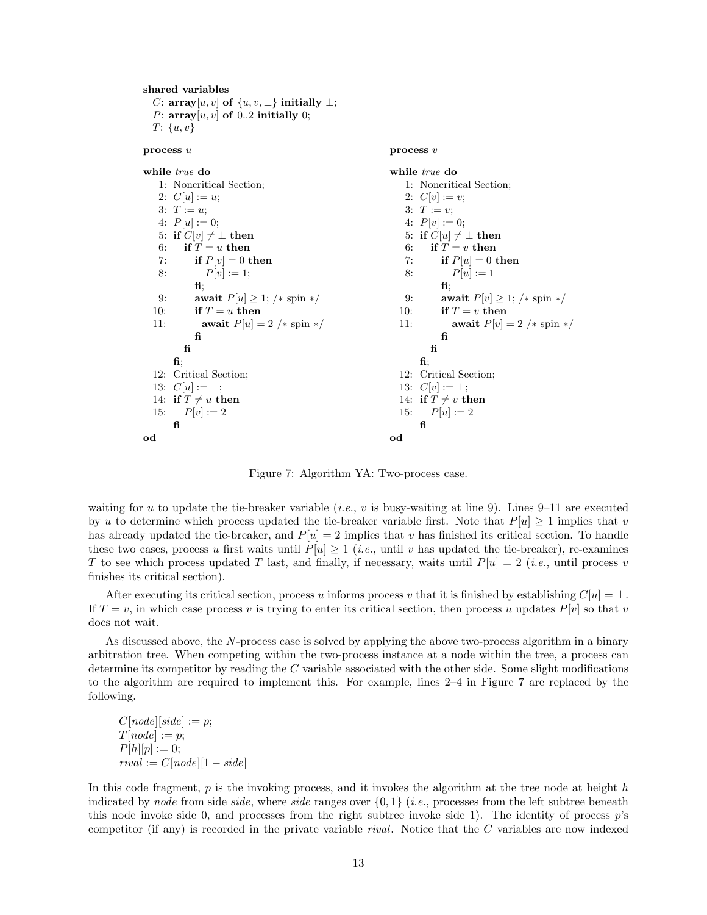**shared variables** C:  $array[u, v]$  of  $\{u, v, \perp\}$  initially  $\perp$ ; P:  $array[u, v]$  of 0..2 **initially** 0;  $T: \{u, v\}$ 

**process** u **process** v **while** true **do while** true **do** 1: Noncritical Section; 1: Noncritical Section; 2:  $C[u] := u;$  2:  $C[v] := v;$ 3:  $T := u;$  3:  $T := v;$ 4:  $P[u] := 0;$  4:  $P[v] := 0;$ 5: **if**  $C[v] \neq \perp$  **then** 5: **if**  $C[u] \neq \perp$  **then** 6: **if**  $T = u$  **then** 6: **if**  $T = v$  **then** 7: **if**  $P[v] = 0$  **then** 7: **if**  $P[u] = 0$  **then** 8:  $P[v] := 1;$  8:  $P[u] := 1$ **fi**; **fi**; 9: **await** P[u] ≥ 1; /∗ spin ∗/ 9: **await** P[v] ≥ 1; /∗ spin ∗/ 10: **if**  $T = u$  **then** 10: **if**  $T = v$  **then** 11: **await** P[u]=2 /∗ spin ∗/ 11: **await** P[v]=2 /∗ spin ∗/  $f$ **i** fi  $f$ **i** fi **fi**; **fi**; 12: Critical Section; 12: Critical Section; 13:  $C[u] := \bot;$  13:  $C[v] := \bot;$ 14: **if**  $T \neq u$  **then** 14: **if**  $T \neq v$  **then** 15:  $P[v] := 2$  15:  $P[u] := 2$  $\mathbf f$ **i** fi **od od**

Figure 7: Algorithm YA: Two-process case.

waiting for u to update the tie-breaker variable (*i.e.*, v is busy-waiting at line 9). Lines 9–11 are executed by u to determine which process updated the tie-breaker variable first. Note that  $P[u] \ge 1$  implies that v has already updated the tie-breaker, and  $P[u] = 2$  implies that v has finished its critical section. To handle these two cases, process u first waits until  $P[u] \geq 1$  (*i.e.*, until v has updated the tie-breaker), re-examines T to see which process updated T last, and finally, if necessary, waits until  $P[u]=2$  (*i.e.*, until process v finishes its critical section).

After executing its critical section, process u informs process v that it is finished by establishing  $C[u] = \perp$ . If  $T = v$ , in which case process v is trying to enter its critical section, then process u updates  $P[v]$  so that v does not wait.

As discussed above, the N-process case is solved by applying the above two-process algorithm in a binary arbitration tree. When competing within the two-process instance at a node within the tree, a process can determine its competitor by reading the C variable associated with the other side. Some slight modifications to the algorithm are required to implement this. For example, lines 2–4 in Figure 7 are replaced by the following.

 $C[node][side] := p;$  $T[node] := p;$  $P[h][p] := 0;$  $rival := C[node][1 - side]$ 

In this code fragment,  $p$  is the invoking process, and it invokes the algorithm at the tree node at height  $h$ indicated by *node* from side *side*, where *side* ranges over {0, 1} (*i.e.*, processes from the left subtree beneath this node invoke side 0, and processes from the right subtree invoke side 1). The identity of process p's competitor (if any) is recorded in the private variable *rival*. Notice that the C variables are now indexed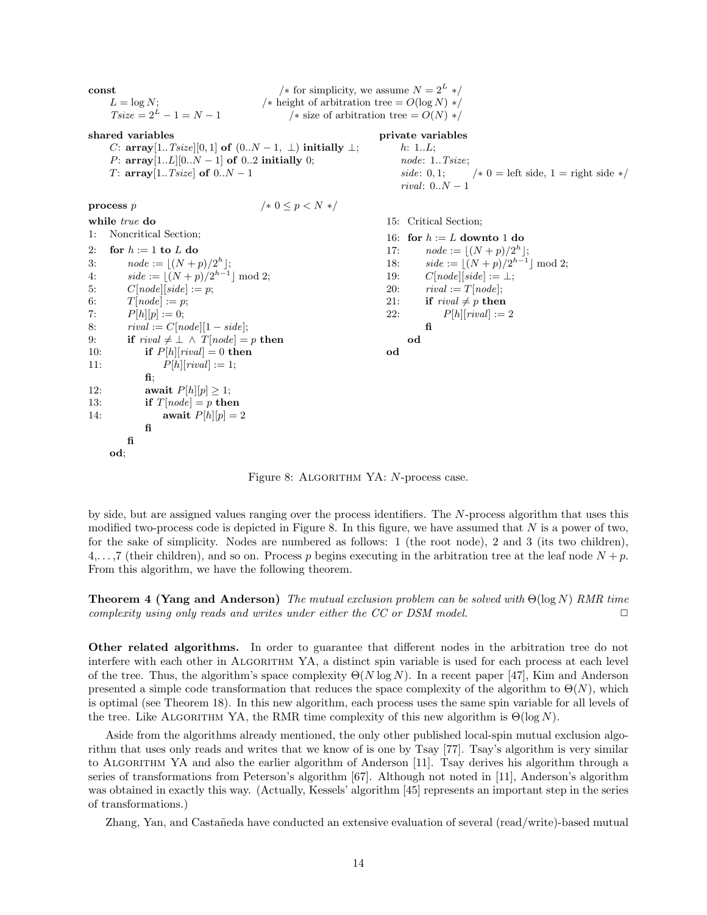| const<br>$L = \log N$<br>$Tsize = 2^L - 1 = N - 1$                                                          | /* for simplicity, we assume $N = 2^L*/$<br>/* height of arbitration tree = $O(\log N)$ */<br>/* size of arbitration tree = $O(N)$ */ |     |                                                                                                                    |
|-------------------------------------------------------------------------------------------------------------|---------------------------------------------------------------------------------------------------------------------------------------|-----|--------------------------------------------------------------------------------------------------------------------|
| shared variables<br><i>P</i> : $array[1L][0N-1]$ of 02 initially 0;<br><i>T</i> : $array[1 Tisize] of 0N-1$ | C: array [1 Tsize][0, 1] of $(0N-1, \perp)$ initially $\perp$ ;                                                                       |     | private variables<br>h: 1L;<br>node: 1Tsize;<br>side: 0, 1; $/* 0 = left side, 1 = right side */$<br>rival: $0N-1$ |
| $\mathbf{process}\ p$                                                                                       | $/* 0 \leq p \leq N */$                                                                                                               |     |                                                                                                                    |
| while true do                                                                                               |                                                                                                                                       |     | 15: Critical Section;                                                                                              |
| 1: Noncritical Section;                                                                                     |                                                                                                                                       |     | 16: for $h := L$ downto 1 do                                                                                       |
| 2:<br>for $h := 1$ to L do                                                                                  |                                                                                                                                       | 17: | $node :=  (N+p)/2^h ;$                                                                                             |
| 3:<br>$node :=  (N+p)/2^h ;$                                                                                |                                                                                                                                       |     | 18: $side :=  (N+p)/2^{h-1}  \bmod 2;$                                                                             |
| $side :=  (N+p)/2^{h-1}  \bmod 2;$<br>4:                                                                    |                                                                                                                                       |     | 19: $C[node][side] := \bot;$                                                                                       |
| $C[node][side] := p;$<br>5:                                                                                 |                                                                                                                                       |     | 20: $rival := T[node];$                                                                                            |
| 6:<br>$T[node] := p;$                                                                                       |                                                                                                                                       |     | 21: if $rival \neq p$ then                                                                                         |
| 7:<br>$P[h][p] := 0;$                                                                                       |                                                                                                                                       | 22: | $P[h][rival] := 2$                                                                                                 |
| 8:<br>$rival := C[node][1 - side];$                                                                         |                                                                                                                                       |     | fi                                                                                                                 |
| 9:<br>if $rival \neq \perp \wedge T[node] = p$ then                                                         |                                                                                                                                       | od  |                                                                                                                    |
| 10:<br>if $P[h][rival] = 0$ then                                                                            |                                                                                                                                       | od  |                                                                                                                    |
| $P[h][rival] := 1$ ;<br>11:                                                                                 |                                                                                                                                       |     |                                                                                                                    |
| fi                                                                                                          |                                                                                                                                       |     |                                                                                                                    |
| 12:<br>await $P[h][p] \geq 1$ ;                                                                             |                                                                                                                                       |     |                                                                                                                    |
| 13:<br>if $T[node] = p$ then                                                                                |                                                                                                                                       |     |                                                                                                                    |
| 14:<br>await $P[h][p] = 2$<br>fi                                                                            |                                                                                                                                       |     |                                                                                                                    |
| fi                                                                                                          |                                                                                                                                       |     |                                                                                                                    |
| od;                                                                                                         |                                                                                                                                       |     |                                                                                                                    |
|                                                                                                             |                                                                                                                                       |     |                                                                                                                    |

Figure 8: ALGORITHM YA: N-process case.

by side, but are assigned values ranging over the process identifiers. The N-process algorithm that uses this modified two-process code is depicted in Figure 8. In this figure, we have assumed that N is a power of two, for the sake of simplicity. Nodes are numbered as follows: 1 (the root node), 2 and 3 (its two children),  $4,\ldots,7$  (their children), and so on. Process p begins executing in the arbitration tree at the leaf node  $N+p$ . From this algorithm, we have the following theorem.

**Theorem 4 (Yang and Anderson)** *The mutual exclusion problem can be solved with* Θ(log N) *RMR time*  $complexity using only reads and writes under either the CC or DSM model.$ 

**Other related algorithms.** In order to guarantee that different nodes in the arbitration tree do not interfere with each other in ALGORITHM YA, a distinct spin variable is used for each process at each level of the tree. Thus, the algorithm's space complexity  $\Theta(N \log N)$ . In a recent paper [47], Kim and Anderson presented a simple code transformation that reduces the space complexity of the algorithm to  $\Theta(N)$ , which is optimal (see Theorem 18). In this new algorithm, each process uses the same spin variable for all levels of the tree. Like ALGORITHM YA, the RMR time complexity of this new algorithm is  $\Theta(\log N)$ .

Aside from the algorithms already mentioned, the only other published local-spin mutual exclusion algorithm that uses only reads and writes that we know of is one by Tsay [77]. Tsay's algorithm is very similar to Algorithm YA and also the earlier algorithm of Anderson [11]. Tsay derives his algorithm through a series of transformations from Peterson's algorithm [67]. Although not noted in [11], Anderson's algorithm was obtained in exactly this way. (Actually, Kessels' algorithm [45] represents an important step in the series of transformations.)

Zhang, Yan, and Castañeda have conducted an extensive evaluation of several (read/write)-based mutual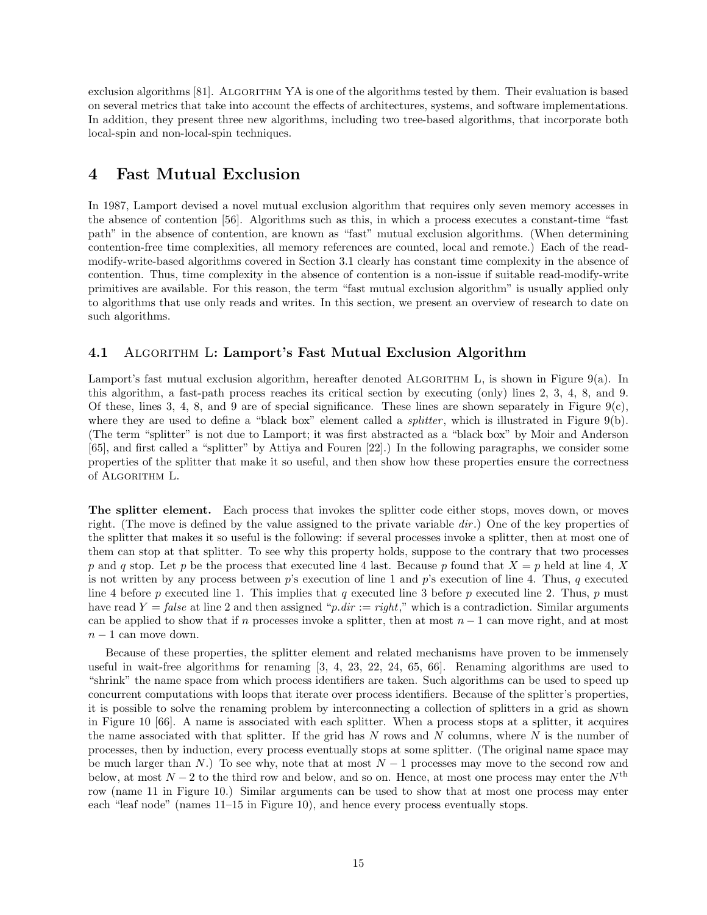exclusion algorithms [81]. Algorithm YA is one of the algorithms tested by them. Their evaluation is based on several metrics that take into account the effects of architectures, systems, and software implementations. In addition, they present three new algorithms, including two tree-based algorithms, that incorporate both local-spin and non-local-spin techniques.

### **4 Fast Mutual Exclusion**

In 1987, Lamport devised a novel mutual exclusion algorithm that requires only seven memory accesses in the absence of contention [56]. Algorithms such as this, in which a process executes a constant-time "fast path" in the absence of contention, are known as "fast" mutual exclusion algorithms. (When determining contention-free time complexities, all memory references are counted, local and remote.) Each of the readmodify-write-based algorithms covered in Section 3.1 clearly has constant time complexity in the absence of contention. Thus, time complexity in the absence of contention is a non-issue if suitable read-modify-write primitives are available. For this reason, the term "fast mutual exclusion algorithm" is usually applied only to algorithms that use only reads and writes. In this section, we present an overview of research to date on such algorithms.

### **4.1** Algorithm L**: Lamport's Fast Mutual Exclusion Algorithm**

Lamport's fast mutual exclusion algorithm, hereafter denoted ALGORITHM L, is shown in Figure 9(a). In this algorithm, a fast-path process reaches its critical section by executing (only) lines 2, 3, 4, 8, and 9. Of these, lines 3, 4, 8, and 9 are of special significance. These lines are shown separately in Figure  $9(c)$ , where they are used to define a "black box" element called a *splitter*, which is illustrated in Figure 9(b). (The term "splitter" is not due to Lamport; it was first abstracted as a "black box" by Moir and Anderson [65], and first called a "splitter" by Attiya and Fouren [22].) In the following paragraphs, we consider some properties of the splitter that make it so useful, and then show how these properties ensure the correctness of Algorithm L.

**The splitter element.** Each process that invokes the splitter code either stops, moves down, or moves right. (The move is defined by the value assigned to the private variable *dir* .) One of the key properties of the splitter that makes it so useful is the following: if several processes invoke a splitter, then at most one of them can stop at that splitter. To see why this property holds, suppose to the contrary that two processes p and q stop. Let p be the process that executed line 4 last. Because p found that  $X = p$  held at line 4, X is not written by any process between p's execution of line 1 and p's execution of line 4. Thus, q executed line 4 before p executed line 1. This implies that q executed line 3 before p executed line 2. Thus, p must have read  $Y = false$  at line 2 and then assigned "p.dir := *right*," which is a contradiction. Similar arguments can be applied to show that if n processes invoke a splitter, then at most  $n-1$  can move right, and at most  $n-1$  can move down.

Because of these properties, the splitter element and related mechanisms have proven to be immensely useful in wait-free algorithms for renaming [3, 4, 23, 22, 24, 65, 66]. Renaming algorithms are used to "shrink" the name space from which process identifiers are taken. Such algorithms can be used to speed up concurrent computations with loops that iterate over process identifiers. Because of the splitter's properties, it is possible to solve the renaming problem by interconnecting a collection of splitters in a grid as shown in Figure 10 [66]. A name is associated with each splitter. When a process stops at a splitter, it acquires the name associated with that splitter. If the grid has  $N$  rows and  $N$  columns, where  $N$  is the number of processes, then by induction, every process eventually stops at some splitter. (The original name space may be much larger than N.) To see why, note that at most  $N-1$  processes may move to the second row and below, at most  $N-2$  to the third row and below, and so on. Hence, at most one process may enter the  $N^{\text{th}}$ row (name 11 in Figure 10.) Similar arguments can be used to show that at most one process may enter each "leaf node" (names 11–15 in Figure 10), and hence every process eventually stops.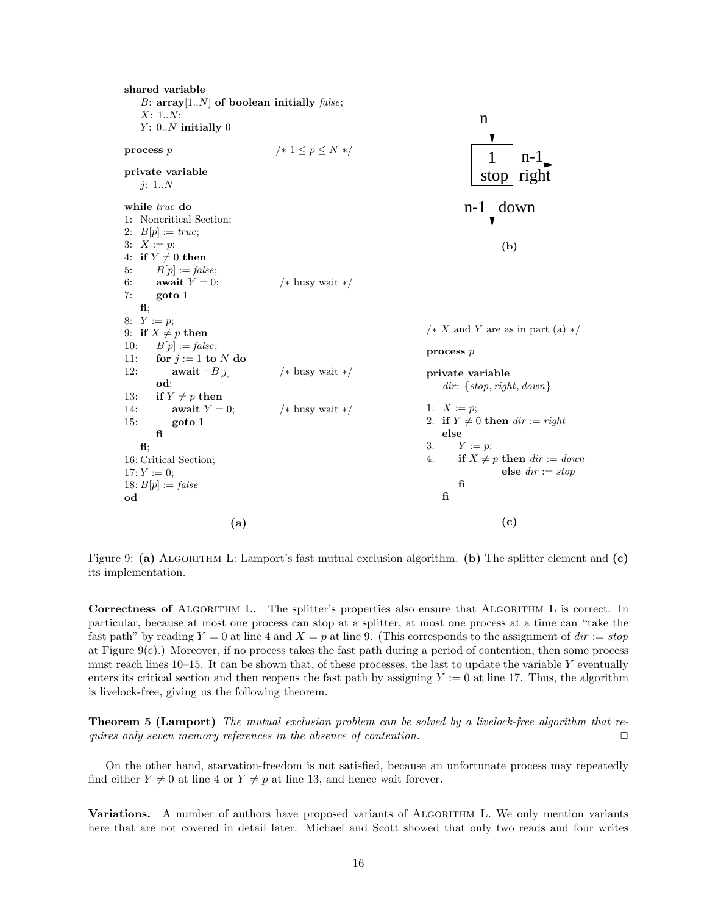**shared variable** B: **array**[1..N] **of boolean initially** false; X: 1..N;  $Y: 0..N$  initially  $0$ **process** p  $/* 1 \leq p \leq N*/$ **private variable** j: 1..N **while** true **do** 1: Noncritical Section; 2:  $B[p] := true;$ 3:  $X := p$ ; 4: **if**  $Y \neq 0$  **then** 5:  $B[p] := \text{false};$ 6: **await**  $Y = 0$ ; /\* busy wait \*/ 7: **goto** 1 **fi**;  $8: Y := p;$ 9: **if**  $X \neq p$  **then** 10:  $B[p] := \text{false};$ 11: **for**  $j := 1$  **to** N **do** 12: **await**  $\neg B[j]$  /\* busy wait \*/ **od**; 13: **if**  $Y \neq p$  **then** 14: **await**  $Y = 0$ ; /\* busy wait \*/ 15: **goto** 1 **fi fi**; 16: Critical Section;  $17: Y := 0;$ 18:  $B[p] := \text{false}$ **od (a)** stop 1 n n-1 right down **(b)**  $/* X$  and Y are as in part (a)  $*/$ **process** p **private variable** dir:  $\{stop, right, down\}$ 1:  $X := p$ ; 2: **if**  $Y \neq 0$  **then** dir := right **else** 3:  $Y := p;$ 4: **if**  $X \neq p$  **then**  $dir := down$ **else**  $dir := stop$ **fi fi (c)**

Figure 9: **(a)** Algorithm L: Lamport's fast mutual exclusion algorithm. **(b)** The splitter element and **(c)** its implementation.

**Correctness of** ALGORITHM L. The splitter's properties also ensure that ALGORITHM L is correct. In particular, because at most one process can stop at a splitter, at most one process at a time can "take the fast path" by reading  $Y = 0$  at line 4 and  $X = p$  at line 9. (This corresponds to the assignment of  $dir := stop$ at Figure 9(c).) Moreover, if no process takes the fast path during a period of contention, then some process must reach lines 10–15. It can be shown that, of these processes, the last to update the variable Y eventually enters its critical section and then reopens the fast path by assigning  $Y := 0$  at line 17. Thus, the algorithm is livelock-free, giving us the following theorem.

**Theorem 5 (Lamport)** *The mutual exclusion problem can be solved by a livelock-free algorithm that requires only seven memory references in the absence of contention.*  $\Box$ 

On the other hand, starvation-freedom is not satisfied, because an unfortunate process may repeatedly find either  $Y \neq 0$  at line 4 or  $Y \neq p$  at line 13, and hence wait forever.

**Variations.** A number of authors have proposed variants of ALGORITHM L. We only mention variants here that are not covered in detail later. Michael and Scott showed that only two reads and four writes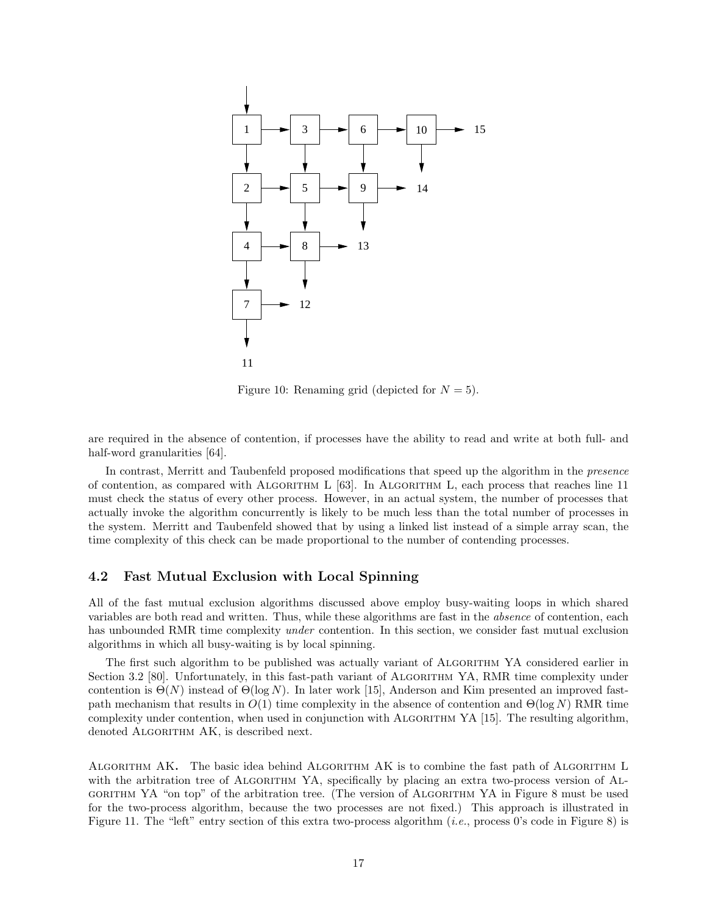

Figure 10: Renaming grid (depicted for  $N = 5$ ).

are required in the absence of contention, if processes have the ability to read and write at both full- and half-word granularities [64].

In contrast, Merritt and Taubenfeld proposed modifications that speed up the algorithm in the *presence* of contention, as compared with Algorithm L [63]. In Algorithm L, each process that reaches line 11 must check the status of every other process. However, in an actual system, the number of processes that actually invoke the algorithm concurrently is likely to be much less than the total number of processes in the system. Merritt and Taubenfeld showed that by using a linked list instead of a simple array scan, the time complexity of this check can be made proportional to the number of contending processes.

#### **4.2 Fast Mutual Exclusion with Local Spinning**

All of the fast mutual exclusion algorithms discussed above employ busy-waiting loops in which shared variables are both read and written. Thus, while these algorithms are fast in the *absence* of contention, each has unbounded RMR time complexity *under* contention. In this section, we consider fast mutual exclusion algorithms in which all busy-waiting is by local spinning.

The first such algorithm to be published was actually variant of Algorithm YA considered earlier in Section 3.2 [80]. Unfortunately, in this fast-path variant of ALGORITHM YA, RMR time complexity under contention is  $\Theta(N)$  instead of  $\Theta(\log N)$ . In later work [15], Anderson and Kim presented an improved fastpath mechanism that results in  $O(1)$  time complexity in the absence of contention and  $\Theta(\log N)$  RMR time complexity under contention, when used in conjunction with Algorithm YA [15]. The resulting algorithm, denoted ALGORITHM AK, is described next.

Algorithm AK**.** The basic idea behind Algorithm AK is to combine the fast path of Algorithm L with the arbitration tree of ALGORITHM YA, specifically by placing an extra two-process version of AL-GORITHM YA "on top" of the arbitration tree. (The version of ALGORITHM YA in Figure 8 must be used for the two-process algorithm, because the two processes are not fixed.) This approach is illustrated in Figure 11. The "left" entry section of this extra two-process algorithm (*i.e.*, process 0's code in Figure 8) is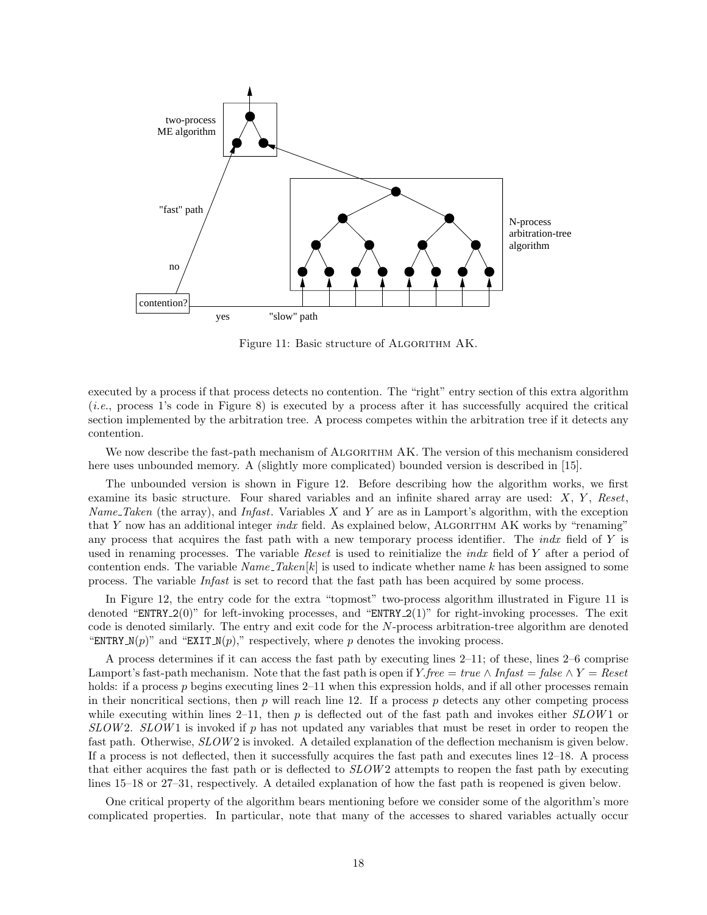

Figure 11: Basic structure of ALGORITHM AK.

executed by a process if that process detects no contention. The "right" entry section of this extra algorithm (*i.e.*, process 1's code in Figure 8) is executed by a process after it has successfully acquired the critical section implemented by the arbitration tree. Aprocess competes within the arbitration tree if it detects any contention.

We now describe the fast-path mechanism of ALGORITHM AK. The version of this mechanism considered here uses unbounded memory. A (slightly more complicated) bounded version is described in [15].

The unbounded version is shown in Figure 12. Before describing how the algorithm works, we first examine its basic structure. Four shared variables and an infinite shared array are used: X, Y , *Reset*, *Name Taken* (the array), and *Infast*. Variables X and Y are as in Lamport's algorithm, with the exception that Y now has an additional integer *indx* field. As explained below, ALGORITHM AK works by "renaming" any process that acquires the fast path with a new temporary process identifier. The *indx* field of Y is used in renaming processes. The variable *Reset* is used to reinitialize the *indx* field of Y after a period of contention ends. The variable *Name Taken*[k] is used to indicate whether name k has been assigned to some process. The variable *Infast* is set to record that the fast path has been acquired by some process.

In Figure 12, the entry code for the extra "topmost" two-process algorithm illustrated in Figure 11 is denoted "ENTRY-2 $(0)$ " for left-invoking processes, and "ENTRY-2 $(1)$ " for right-invoking processes. The exit code is denoted similarly. The entry and exit code for the N-process arbitration-tree algorithm are denoted "ENTRY\_N(p)" and "EXIT\_N(p)," respectively, where p denotes the invoking process.

Aprocess determines if it can access the fast path by executing lines 2–11; of these, lines 2–6 comprise Lamport's fast-path mechanism. Note that the fast path is open if  $Y$ *.free* = *true*  $\land$  *Infast* = *false*  $\land$   $Y =$  *Reset* holds: if a process p begins executing lines 2–11 when this expression holds, and if all other processes remain in their noncritical sections, then  $p$  will reach line 12. If a process  $p$  detects any other competing process while executing within lines 2–11, then p is deflected out of the fast path and invokes either *SLOW* 1 or *SLOW* 2. *SLOW* 1 is invoked if p has not updated any variables that must be reset in order to reopen the fast path. Otherwise, *SLOW* 2 is invoked. A detailed explanation of the deflection mechanism is given below. If a process is not deflected, then it successfully acquires the fast path and executes lines 12–18. Aprocess that either acquires the fast path or is deflected to *SLOW* 2 attempts to reopen the fast path by executing lines 15–18 or 27–31, respectively. A detailed explanation of how the fast path is reopened is given below.

One critical property of the algorithm bears mentioning before we consider some of the algorithm's more complicated properties. In particular, note that many of the accesses to shared variables actually occur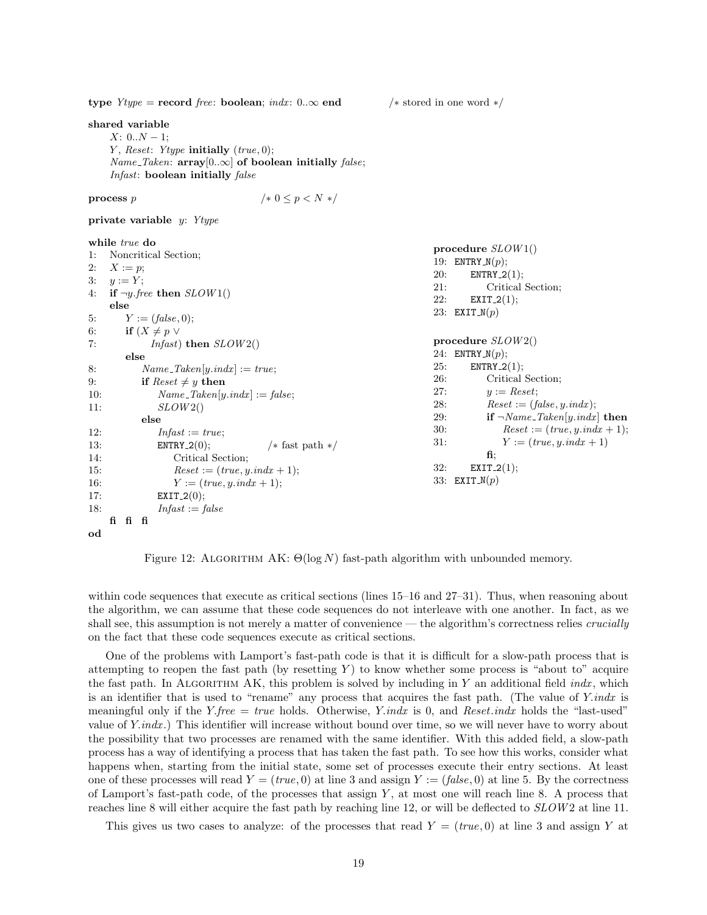| type $Ytype = record$ free: boolean; indx: 0 $\infty$ end                                                                                                                                                                                                                                                                                                                                                                                                                                                                                                                                                         |                      | /* stored in one word $*/$                                                |                                                                                                                                                                                                                                                                                                                                                                                                                                   |
|-------------------------------------------------------------------------------------------------------------------------------------------------------------------------------------------------------------------------------------------------------------------------------------------------------------------------------------------------------------------------------------------------------------------------------------------------------------------------------------------------------------------------------------------------------------------------------------------------------------------|----------------------|---------------------------------------------------------------------------|-----------------------------------------------------------------------------------------------------------------------------------------------------------------------------------------------------------------------------------------------------------------------------------------------------------------------------------------------------------------------------------------------------------------------------------|
| shared variable<br>$X: 0N-1;$<br>$Y$ , Reset: Ytype initially (true, 0);<br><i>Name_Taken:</i> $array[0\infty]$ of boolean initially <i>false</i> ;<br><i>Infast:</i> boolean initially <i>false</i>                                                                                                                                                                                                                                                                                                                                                                                                              |                      |                                                                           |                                                                                                                                                                                                                                                                                                                                                                                                                                   |
| process $p$                                                                                                                                                                                                                                                                                                                                                                                                                                                                                                                                                                                                       | $/* 0 \leq p < N$ */ |                                                                           |                                                                                                                                                                                                                                                                                                                                                                                                                                   |
| private variable $y: Ytype$                                                                                                                                                                                                                                                                                                                                                                                                                                                                                                                                                                                       |                      |                                                                           |                                                                                                                                                                                                                                                                                                                                                                                                                                   |
| while true do<br>Noncritical Section;<br>1:<br>2:<br>$X := p$ ;<br>3:<br>$y := Y;$<br>if $\neg y$ free then $SLOW1()$<br>4:<br>else<br>$Y := (false, 0);$<br>5:<br>if $(X \neq p \vee$<br>6:<br><i>Infast</i> ) then $SLOW2()$<br>7:<br>else<br>$Name\_ Taken[y.index] := true;$<br>8:<br>if $Reset \neq y$ then<br>9:<br>$Name\_Taken[y.index] := false;$<br>10:<br>SLOW2()<br>11:<br>else<br>12:<br>$In fast := true;$<br>13:<br>ENTRY_ $2(0);$<br>14:<br>Critical Section;<br>$Reset := (true, y.indx + 1);$<br>15:<br>$Y := (true, y.index + 1);$<br>16:<br>EXIT_2 $(0);$<br>17:<br>$In fast := false$<br>18: | /* fast path $*/$    | 20:<br>21:<br>22:<br>25:<br>26:<br>27:<br>28:<br>29:<br>30:<br>31:<br>32: | procedure $SLOW1()$<br>19: ENTRY $N(p)$ ;<br>$ENTRY_2(1);$<br>Critical Section;<br>EXIT_2 $(1);$<br>23: EXIT $N(p)$<br>procedure $SLOW2()$<br>24: ENTRY_N $(p)$ ;<br>ENTRY $2(1);$<br>Critical Section;<br>$y :=$ <i>Reset</i> ;<br>$Reset := (false, y. \text{ind}x);$<br>if $\neg Name$ Taken[y.indx] then<br>$Reset := (true, y.indx + 1);$<br>$Y := (true, y.index + 1)$<br>$\mathbf{f}$<br>EXIT $2(1)$ ;<br>33: EXIT_N $(p)$ |
| $fi$ $fi$ $fi$ $fi$                                                                                                                                                                                                                                                                                                                                                                                                                                                                                                                                                                                               |                      |                                                                           |                                                                                                                                                                                                                                                                                                                                                                                                                                   |

**od**

Figure 12: ALGORITHM AK:  $\Theta(\log N)$  fast-path algorithm with unbounded memory.

within code sequences that execute as critical sections (lines  $15-16$  and  $27-31$ ). Thus, when reasoning about the algorithm, we can assume that these code sequences do not interleave with one another. In fact, as we shall see, this assumption is not merely a matter of convenience — the algorithm's correctness relies *crucially* on the fact that these code sequences execute as critical sections.

One of the problems with Lamport's fast-path code is that it is difficult for a slow-path process that is attempting to reopen the fast path (by resetting  $Y$ ) to know whether some process is "about to" acquire the fast path. In ALGORITHM AK, this problem is solved by including in Y an additional field *indx*, which is an identifier that is used to "rename" any process that acquires the fast path. (The value of Y.*indx* is meaningful only if the Y.*free* = *true* holds. Otherwise, Y.*indx* is 0, and *Reset*.*indx* holds the "last-used" value of Y.*indx* .) This identifier will increase without bound over time, so we will never have to worry about the possibility that two processes are renamed with the same identifier. With this added field, a slow-path process has a way of identifying a process that has taken the fast path. To see how this works, consider what happens when, starting from the initial state, some set of processes execute their entry sections. At least one of these processes will read  $Y = (true, 0)$  at line 3 and assign  $Y := (false, 0)$  at line 5. By the correctness of Lamport's fast-path code, of the processes that assign Y , at most one will reach line 8. Aprocess that reaches line 8 will either acquire the fast path by reaching line 12, or will be deflected to *SLOW* 2 at line 11.

This gives us two cases to analyze: of the processes that read  $Y = (true, 0)$  at line 3 and assign Y at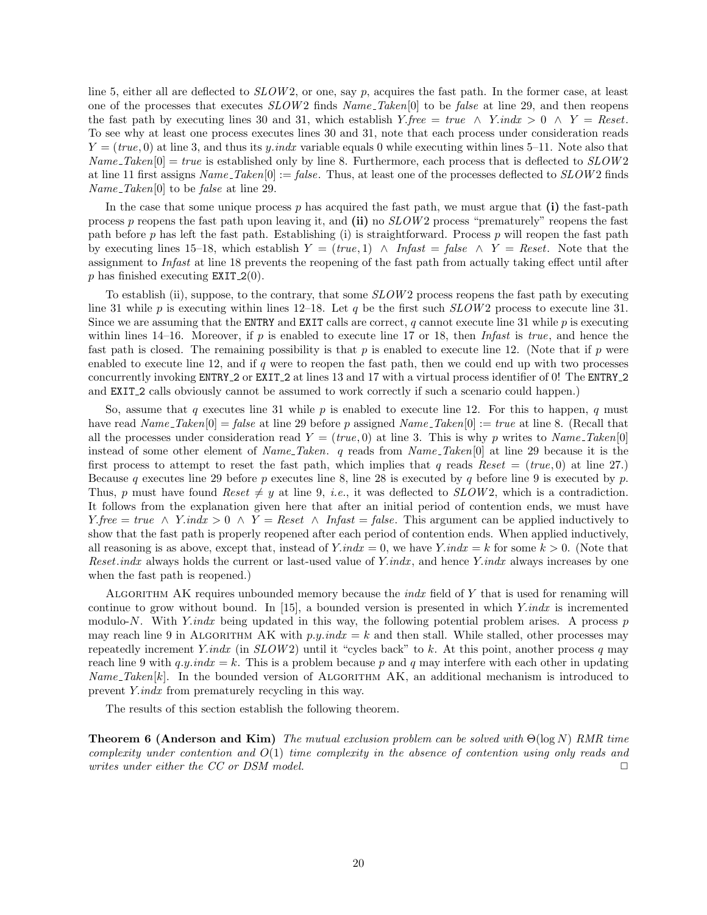line 5, either all are deflected to *SLOW* 2, or one, say p, acquires the fast path. In the former case, at least one of the processes that executes *SLOW* 2 finds *Name Taken*[0] to be *false* at line 29, and then reopens the fast path by executing lines 30 and 31, which establish  $Y$ *.free* = *true*  $\land$   $Y$ *.indx* > 0  $\land$   $Y =$  *Reset*. To see why at least one process executes lines 30 and 31, note that each process under consideration reads  $Y = (true, 0)$  at line 3, and thus its y.*indx* variable equals 0 while executing within lines 5–11. Note also that *Name Taken*[0] = *true* is established only by line 8. Furthermore, each process that is deflected to *SLOW* 2 at line 11 first assigns *Name Taken*[0] := *false*. Thus, at least one of the processes deflected to *SLOW* 2 finds *Name Taken*[0] to be *false* at line 29.

In the case that some unique process p has acquired the fast path, we must argue that **(i)** the fast-path process p reopens the fast path upon leaving it, and **(ii)** no *SLOW* 2 process "prematurely" reopens the fast path before p has left the fast path. Establishing (i) is straightforward. Process p will reopen the fast path by executing lines 15–18, which establish  $Y = (true, 1) \land Infast = false \land Y = Rest$ . Note that the assignment to *Infast* at line 18 prevents the reopening of the fast path from actually taking effect until after p has finished executing  $\text{EXIT}_2(0)$ .

To establish (ii), suppose, to the contrary, that some *SLOW* 2 process reopens the fast path by executing line 31 while p is executing within lines 12–18. Let q be the first such *SLOW* 2 process to execute line 31. Since we are assuming that the ENTRY and EXIT calls are correct,  $q$  cannot execute line 31 while  $p$  is executing within lines 14–16. Moreover, if p is enabled to execute line 17 or 18, then *Infast* is *true*, and hence the fast path is closed. The remaining possibility is that p is enabled to execute line 12. (Note that if p were enabled to execute line 12, and if q were to reopen the fast path, then we could end up with two processes concurrently invoking ENTRY 2 or EXIT 2 at lines 13 and 17 with a virtual process identifier of 0! The ENTRY 2 and EXIT 2 calls obviously cannot be assumed to work correctly if such a scenario could happen.)

So, assume that q executes line 31 while  $p$  is enabled to execute line 12. For this to happen,  $q$  must have read *Name Taken*[0] = *false* at line 29 before p assigned *Name Taken*[0] := *true* at line 8. (Recall that all the processes under consideration read  $Y = (true, 0)$  at line 3. This is why p writes to *Name\_Taken*[0] instead of some other element of *Name Taken*. q reads from *Name Taken*[0] at line 29 because it is the first process to attempt to reset the fast path, which implies that q reads  $Reset = (true, 0)$  at line 27.) Because q executes line 29 before p executes line 8, line 28 is executed by q before line 9 is executed by p. Thus, p must have found *Reset*  $\neq$  y at line 9, *i.e.*, it was deflected to *SLOW* 2, which is a contradiction. It follows from the explanation given here that after an initial period of contention ends, we must have *Y.free* = *true* ∧ *Y.indx* > 0 ∧ *Y* = *Reset* ∧ *Infast* = *false*. This argument can be applied inductively to show that the fast path is properly reopened after each period of contention ends. When applied inductively, all reasoning is as above, except that, instead of Y.*indx* = 0, we have Y.*indx* = k for some  $k > 0$ . (Note that *Reset*.*indx* always holds the current or last-used value of Y.*indx* , and hence Y.*indx* always increases by one when the fast path is reopened.)

Algorithm AK requires unbounded memory because the *indx* field of <sup>Y</sup> that is used for renaming will continue to grow without bound. In [15], a bounded version is presented in which Y.*indx* is incremented modulo-N. With Y.*indx* being updated in this way, the following potential problem arises. A process p may reach line 9 in ALGORITHM AK with  $p.y. \text{ind }x = k$  and then stall. While stalled, other processes may repeatedly increment Y.*indx* (in *SLOW* 2) until it "cycles back" to k. At this point, another process q may reach line 9 with  $q.y.indx = k$ . This is a problem because p and q may interfere with each other in updating *Name\_Taken*[k]. In the bounded version of ALGORITHM AK, an additional mechanism is introduced to prevent Y.*indx* from prematurely recycling in this way.

The results of this section establish the following theorem.

**Theorem 6 (Anderson and Kim)** *The mutual exclusion problem can be solved with* Θ(log N) *RMR time complexity under contention and* O(1) *time complexity in the absence of contention using only reads and*  $writes\ under\ either\ the\ CC\ or\ DSM\ model.$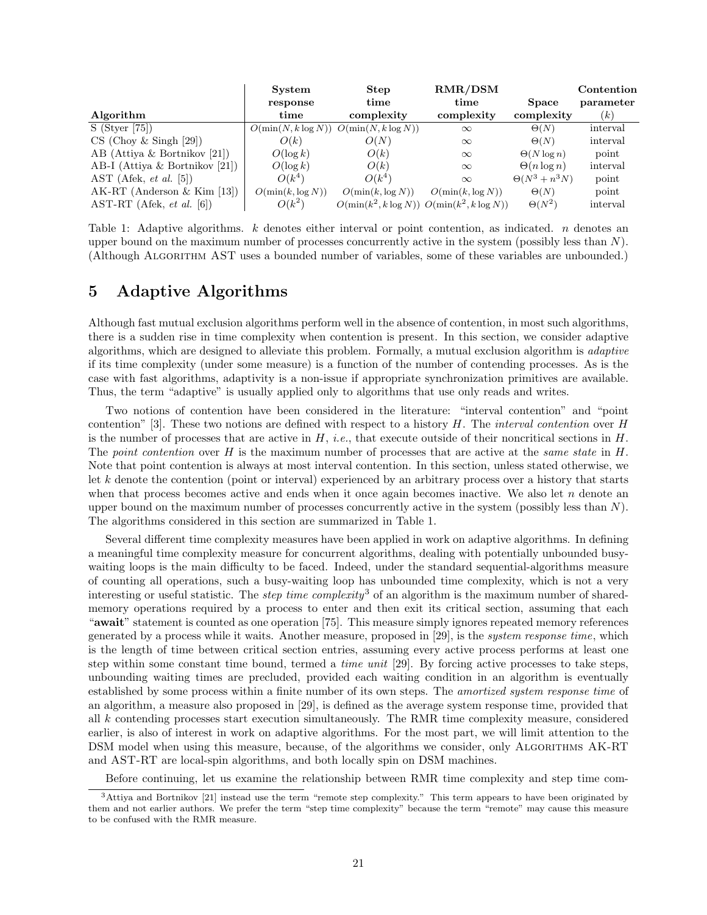|                                  | <b>System</b>        | <b>Step</b>                                       | RMR/DSM              |                    | Contention |
|----------------------------------|----------------------|---------------------------------------------------|----------------------|--------------------|------------|
|                                  | response             | time                                              | time                 | <b>Space</b>       | parameter  |
| Algorithm                        | time                 | complexity                                        | complexity           | complexity         | (k)        |
| $S$ (Styer [75])                 |                      | $O(\min(N, k \log N))$ $O(\min(N, k \log N))$     | $\infty$             | $\Theta(N)$        | interval   |
| $CS$ (Choy & Singh [29])         | O(k)                 | O(N)                                              | $\infty$             | $\Theta(N)$        | interval   |
| $AB$ (Attiya & Bortnikov [21])   | $O(\log k)$          | O(k)                                              | $\infty$             | $\Theta(N \log n)$ | point      |
| AB-I (Attiya & Bortnikov [21])   | $O(\log k)$          | O(k)                                              | $\infty$             | $\Theta(n \log n)$ | interval   |
| AST (Afek, <i>et al.</i> [5])    | $O(k^4)$             | $O(k^4)$                                          | $\infty$             | $\Theta(N^3+n^3N)$ | point      |
| $AK-RT$ (Anderson & Kim [13])    | $O(\min(k, \log N))$ | $O(\min(k, \log N))$                              | $O(\min(k, \log N))$ | $\Theta(N)$        | point      |
| AST-RT (Afek, <i>et al.</i> [6]) | $O(k^2)$             | $O(\min(k^2, k \log N))$ $O(\min(k^2, k \log N))$ |                      | $\Theta(N^2)$      | interval   |
|                                  |                      |                                                   |                      |                    |            |

Table 1: Adaptive algorithms. k denotes either interval or point contention, as indicated. n denotes an upper bound on the maximum number of processes concurrently active in the system (possibly less than  $N$ ). (Although Algorithm AST uses a bounded number of variables, some of these variables are unbounded.)

### **5 Adaptive Algorithms**

Although fast mutual exclusion algorithms perform well in the absence of contention, in most such algorithms, there is a sudden rise in time complexity when contention is present. In this section, we consider adaptive algorithms, which are designed to alleviate this problem. Formally, a mutual exclusion algorithm is *adaptive* if its time complexity (under some measure) is a function of the number of contending processes. As is the case with fast algorithms, adaptivity is a non-issue if appropriate synchronization primitives are available. Thus, the term "adaptive" is usually applied only to algorithms that use only reads and writes.

Two notions of contention have been considered in the literature: "interval contention" and "point contention" [3]. These two notions are defined with respect to a history H. The *interval contention* over H is the number of processes that are active in  $H$ , *i.e.*, that execute outside of their noncritical sections in  $H$ . The *point contention* over H is the maximum number of processes that are active at the *same state* in H. Note that point contention is always at most interval contention. In this section, unless stated otherwise, we let k denote the contention (point or interval) experienced by an arbitrary process over a history that starts when that process becomes active and ends when it once again becomes inactive. We also let  $n$  denote an upper bound on the maximum number of processes concurrently active in the system (possibly less than N). The algorithms considered in this section are summarized in Table 1.

Several different time complexity measures have been applied in work on adaptive algorithms. In defining a meaningful time complexity measure for concurrent algorithms, dealing with potentially unbounded busywaiting loops is the main difficulty to be faced. Indeed, under the standard sequential-algorithms measure of counting all operations, such a busy-waiting loop has unbounded time complexity, which is not a very interesting or useful statistic. The *step time complexity*<sup>3</sup> of an algorithm is the maximum number of sharedmemory operations required by a process to enter and then exit its critical section, assuming that each "**await**" statement is counted as one operation [75]. This measure simply ignores repeated memory references generated by a process while it waits. Another measure, proposed in [29], is the *system response time*, which is the length of time between critical section entries, assuming every active process performs at least one step within some constant time bound, termed a *time unit* [29]. By forcing active processes to take steps, unbounding waiting times are precluded, provided each waiting condition in an algorithm is eventually established by some process within a finite number of its own steps. The *amortized system response time* of an algorithm, a measure also proposed in [29], is defined as the average system response time, provided that all k contending processes start execution simultaneously. The RMR time complexity measure, considered earlier, is also of interest in work on adaptive algorithms. For the most part, we will limit attention to the DSM model when using this measure, because, of the algorithms we consider, only ALGORITHMS AK-RT and AST-RT are local-spin algorithms, and both locally spin on DSM machines.

Before continuing, let us examine the relationship between RMR time complexity and step time com-

<sup>3</sup>Attiya and Bortnikov [21] instead use the term "remote step complexity." This term appears to have been originated by them and not earlier authors.We prefer the term "step time complexity" because the term "remote" may cause this measure to be confused with the RMR measure.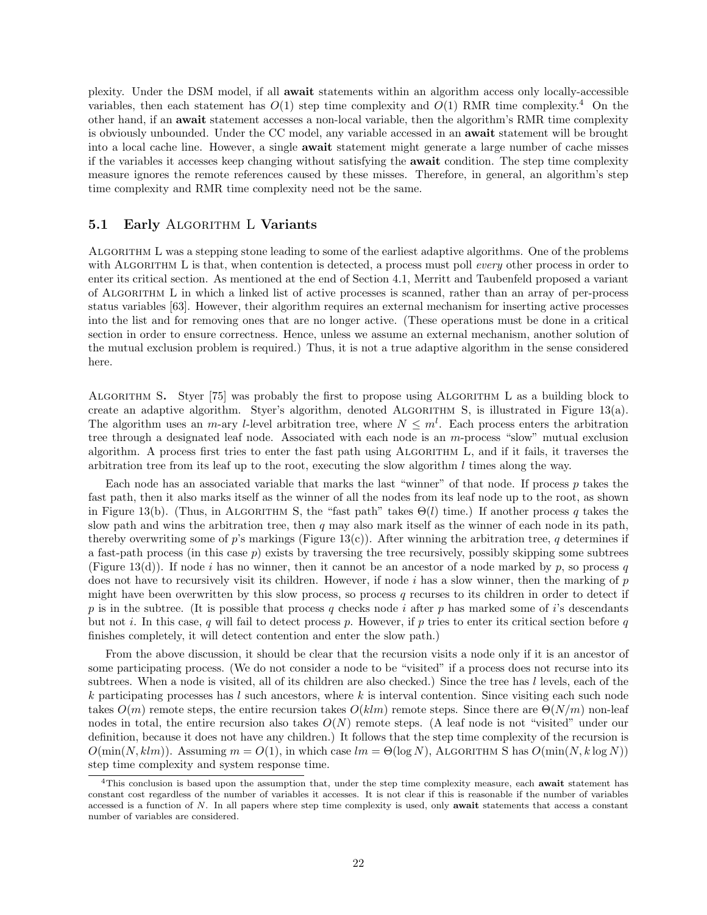plexity. Under the DSM model, if all **await** statements within an algorithm access only locally-accessible variables, then each statement has  $O(1)$  step time complexity and  $O(1)$  RMR time complexity.<sup>4</sup> On the other hand, if an **await** statement accesses a non-local variable, then the algorithm's RMR time complexity is obviously unbounded. Under the CC model, any variable accessed in an **await** statement will be brought into a local cache line. However, a single **await** statement might generate a large number of cache misses if the variables it accesses keep changing without satisfying the **await** condition. The step time complexity measure ignores the remote references caused by these misses. Therefore, in general, an algorithm's step time complexity and RMR time complexity need not be the same.

#### **5.1 Early ALGORITHM L Variants**

Algorithm L was a stepping stone leading to some of the earliest adaptive algorithms. One of the problems with ALGORITHM L is that, when contention is detected, a process must poll *every* other process in order to enter its critical section. As mentioned at the end of Section 4.1, Merritt and Taubenfeld proposed a variant of Algorithm L in which a linked list of active processes is scanned, rather than an array of per-process status variables [63]. However, their algorithm requires an external mechanism for inserting active processes into the list and for removing ones that are no longer active. (These operations must be done in a critical section in order to ensure correctness. Hence, unless we assume an external mechanism, another solution of the mutual exclusion problem is required.) Thus, it is not a true adaptive algorithm in the sense considered here.

Algorithm S**.** Styer [75] was probably the first to propose using Algorithm L as a building block to create an adaptive algorithm. Styer's algorithm, denoted Algorithm S, is illustrated in Figure 13(a). The algorithm uses an *m*-ary *l*-level arbitration tree, where  $N \leq m^l$ . Each process enters the arbitration tree through a designated leaf node. Associated with each node is an  $m$ -process "slow" mutual exclusion algorithm. Aprocess first tries to enter the fast path using Algorithm L, and if it fails, it traverses the arbitration tree from its leaf up to the root, executing the slow algorithm  $l$  times along the way.

Each node has an associated variable that marks the last "winner" of that node. If process  $p$  takes the fast path, then it also marks itself as the winner of all the nodes from its leaf node up to the root, as shown in Figure 13(b). (Thus, in ALGORITHM S, the "fast path" takes  $\Theta(l)$  time.) If another process q takes the slow path and wins the arbitration tree, then  $q$  may also mark itself as the winner of each node in its path, thereby overwriting some of p's markings (Figure 13(c)). After winning the arbitration tree, q determines if a fast-path process (in this case  $p$ ) exists by traversing the tree recursively, possibly skipping some subtrees (Figure 13(d)). If node i has no winner, then it cannot be an ancestor of a node marked by p, so process q does not have to recursively visit its children. However, if node  $i$  has a slow winner, then the marking of  $p$ might have been overwritten by this slow process, so process q recurses to its children in order to detect if p is in the subtree. (It is possible that process q checks node i after p has marked some of i's descendants but not i. In this case, q will fail to detect process p. However, if p tries to enter its critical section before q finishes completely, it will detect contention and enter the slow path.)

From the above discussion, it should be clear that the recursion visits a node only if it is an ancestor of some participating process. (We do not consider a node to be "visited" if a process does not recurse into its subtrees. When a node is visited, all of its children are also checked.) Since the tree has l levels, each of the k participating processes has l such ancestors, where k is interval contention. Since visiting each such node takes  $O(m)$  remote steps, the entire recursion takes  $O(k/m)$  remote steps. Since there are  $\Theta(N/m)$  non-leaf nodes in total, the entire recursion also takes  $O(N)$  remote steps. (A leaf node is not "visited" under our definition, because it does not have any children.) It follows that the step time complexity of the recursion is  $O(\min(N, klm))$ . Assuming  $m = O(1)$ , in which case  $lm = \Theta(\log N)$ , ALGORITHM S has  $O(\min(N, k \log N))$ step time complexity and system response time.

<sup>4</sup>This conclusion is based upon the assumption that, under the step time complexity measure, each **await** statement has constant cost regardless of the number of variables it accesses.It is not clear if this is reasonable if the number of variables accessed is a function of N.In all papers where step time complexity is used, only **await** statements that access a constant number of variables are considered.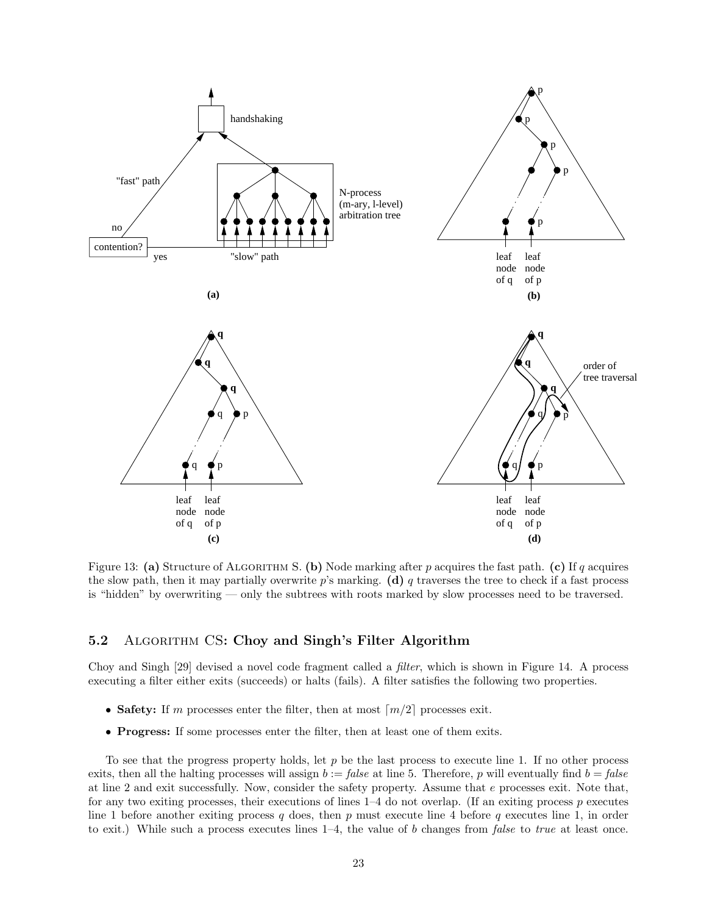

Figure 13: **(a)** Structure of ALGORITHM S. **(b)** Node marking after p acquires the fast path. **(c)** If q acquires the slow path, then it may partially overwrite p's marking. **(d)** q traverses the tree to check if a fast process is "hidden" by overwriting — only the subtrees with roots marked by slow processes need to be traversed.

### **5.2** Algorithm CS**: Choy and Singh's Filter Algorithm**

Choy and Singh [29] devised a novel code fragment called a *filter*, which is shown in Figure 14. Aprocess executing a filter either exits (succeeds) or halts (fails). Afilter satisfies the following two properties.

- **Safety:** If m processes enter the filter, then at most  $\lfloor m/2 \rfloor$  processes exit.
- **Progress:** If some processes enter the filter, then at least one of them exits.

To see that the progress property holds, let  $p$  be the last process to execute line 1. If no other process exits, then all the halting processes will assign  $b := false$  at line 5. Therefore, p will eventually find  $b = false$ at line 2 and exit successfully. Now, consider the safety property. Assume that e processes exit. Note that, for any two exiting processes, their executions of lines  $1-4$  do not overlap. (If an exiting process p executes line 1 before another exiting process q does, then p must execute line 4 before q executes line 1, in order to exit.) While such a process executes lines 1–4, the value of b changes from *false* to *true* at least once.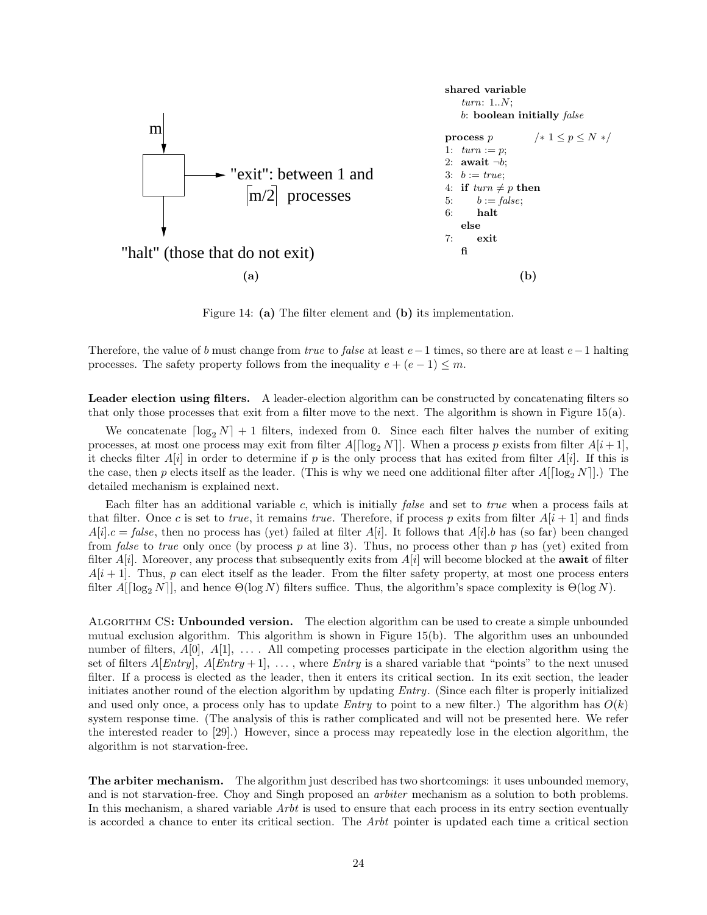

Figure 14: **(a)** The filter element and **(b)** its implementation.

Therefore, the value of b must change from *true* to *false* at least e−1 times, so there are at least e−1 halting processes. The safety property follows from the inequality  $e + (e - 1) \leq m$ .

Leader election using filters. A leader-election algorithm can be constructed by concatenating filters so that only those processes that exit from a filter move to the next. The algorithm is shown in Figure 15(a).

We concatenate  $\lceil \log_2 N \rceil + 1$  filters, indexed from 0. Since each filter halves the number of exiting processes, at most one process may exit from filter  $A[[\log_2 N]]$ . When a process p exists from filter  $A[i+1]$ , it checks filter  $A[i]$  in order to determine if p is the only process that has exited from filter  $A[i]$ . If this is the case, then p elects itself as the leader. (This is why we need one additional filter after  $A[[\log_2 N]]$ .) The detailed mechanism is explained next.

Each filter has an additional variable c, which is initially *false* and set to *true* when a process fails at that filter. Once c is set to *true*, it remains *true*. Therefore, if process p exits from filter  $A[i + 1]$  and finds  $A[i].c = false$ , then no process has (yet) failed at filter  $A[i]$ . It follows that  $A[i].b$  has (so far) been changed from *false* to *true* only once (by process p at line 3). Thus, no process other than p has (yet) exited from filter  $A[i]$ . Moreover, any process that subsequently exits from  $A[i]$  will become blocked at the **await** of filter  $A[i+1]$ . Thus, p can elect itself as the leader. From the filter safety property, at most one process enters filter  $A[[\log_2 N]]$ , and hence  $\Theta(\log N)$  filters suffice. Thus, the algorithm's space complexity is  $\Theta(\log N)$ .

Algorithm CS**: Unbounded version.** The election algorithm can be used to create a simple unbounded mutual exclusion algorithm. This algorithm is shown in Figure 15(b). The algorithm uses an unbounded number of filters,  $A[0], A[1], \ldots$ . All competing processes participate in the election algorithm using the set of filters A[*Entry*], A[*Entry* + 1], ... , where *Entry* is a shared variable that "points" to the next unused filter. If a process is elected as the leader, then it enters its critical section. In its exit section, the leader initiates another round of the election algorithm by updating *Entry*. (Since each filter is properly initialized and used only once, a process only has to update *Entry* to point to a new filter.) The algorithm has  $O(k)$ system response time. (The analysis of this is rather complicated and will not be presented here. We refer the interested reader to [29].) However, since a process may repeatedly lose in the election algorithm, the algorithm is not starvation-free.

**The arbiter mechanism.** The algorithm just described has two shortcomings: it uses unbounded memory, and is not starvation-free. Choy and Singh proposed an *arbiter* mechanism as a solution to both problems. In this mechanism, a shared variable *Arbt* is used to ensure that each process in its entry section eventually is accorded a chance to enter its critical section. The *Arbt* pointer is updated each time a critical section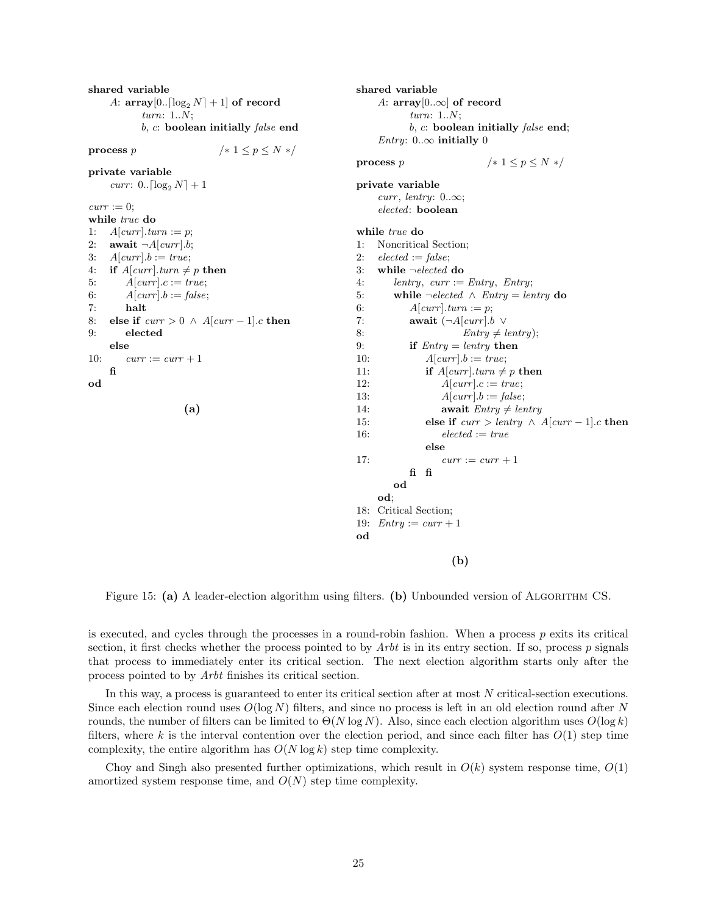**shared variable** A:  $\arctan\left[0.\right] \log_2 N + 1$  of record turn: 1..N; b, c: **boolean initially** false **end process** p /\* 1 < p < N \*/ **private variable** *curr*:  $0.\lceil \log_2 N \rceil + 1$  $curr := 0$ ; **while** true **do** 1:  $A[curr].turn := p;$ 2: **await**  $\neg A[curr].b;$ 3:  $A[curr]$ . $b := true;$ 4: **if**  $A[curr].turn \neq p$  **then** 5:  $A[curr] . c := true;$ 6:  $A[curr].b := false;$ 7: **halt** 8: **else if**  $curr > 0 \land A[curr - 1].c$  **then** 9: **elected else** 10:  $curr := curr + 1$ **fi od (a) shared variable** A: **array**[0..∞] **of record** turn: 1..N; b, c: **boolean initially** false **end**; *Entry*:  $0.\infty$  **initially** 0 **process** p /\* 1 < p < N \*/ **private variable** curr, lentry:  $0..\infty;$ elected: **boolean while** true **do** 1: Noncritical Section; 2:  $elected := false;$ 3: **while** ¬elected **do** 6:  $A[curr].turn := p;$ 7: **await** (¬A[curr].b ∨ 9: **if** Entry = lentry **then** 10:  $A[curr].b := true;$ 12:  $A[curr].c := true;$ 13:  $A[curr].b := false;$ 16:  $elected := true$ **else** 17:  $curr := curr + 1$ **fi fi od od**; 18: Critical Section; 19:  $Entry := curr + 1$ 

4: *lentry, curr := Entry, Entry;* 5: **while**  $\neg$ *elected* ∧ *Entry* = *lentry* **do** 8:  $Entry \neq lentry$ ; 11: **if**  $A[curr].turn \neq p$  **then** 14: **await**  $Entry \neq lentry$ 15: **else if**  $curr > lentry \wedge A[curr - 1].c$  **then od**

**(b)**

Figure 15: **(a)** Aleader-election algorithm using filters. **(b)** Unbounded version of Algorithm CS.

is executed, and cycles through the processes in a round-robin fashion. When a process  $p$  exits its critical section, it first checks whether the process pointed to by *Arbt* is in its entry section. If so, process p signals that process to immediately enter its critical section. The next election algorithm starts only after the process pointed to by *Arbt* finishes its critical section.

In this way, a process is guaranteed to enter its critical section after at most N critical-section executions. Since each election round uses  $O(\log N)$  filters, and since no process is left in an old election round after N rounds, the number of filters can be limited to  $\Theta(N \log N)$ . Also, since each election algorithm uses  $O(\log k)$ filters, where k is the interval contention over the election period, and since each filter has  $O(1)$  step time complexity, the entire algorithm has  $O(N \log k)$  step time complexity.

Choy and Singh also presented further optimizations, which result in  $O(k)$  system response time,  $O(1)$ amortized system response time, and  $O(N)$  step time complexity.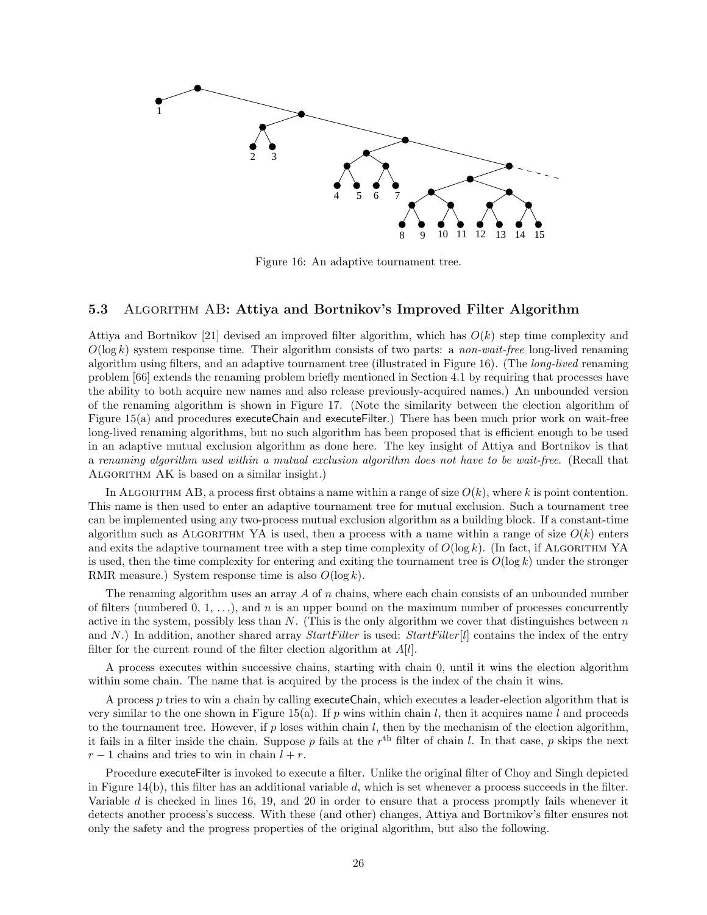

Figure 16: An adaptive tournament tree.

#### **5.3** Algorithm AB**: Attiya and Bortnikov's Improved Filter Algorithm**

Attiya and Bortnikov [21] devised an improved filter algorithm, which has  $O(k)$  step time complexity and O(log k) system response time. Their algorithm consists of two parts: a *non-wait-free* long-lived renaming algorithm using filters, and an adaptive tournament tree (illustrated in Figure 16). (The *long-lived* renaming problem [66] extends the renaming problem briefly mentioned in Section 4.1 by requiring that processes have the ability to both acquire new names and also release previously-acquired names.) An unbounded version of the renaming algorithm is shown in Figure 17. (Note the similarity between the election algorithm of Figure 15(a) and procedures executeChain and executeFilter.) There has been much prior work on wait-free long-lived renaming algorithms, but no such algorithm has been proposed that is efficient enough to be used in an adaptive mutual exclusion algorithm as done here. The key insight of Attiya and Bortnikov is that a *renaming algorithm used within a mutual exclusion algorithm does not have to be wait-free*. (Recall that ALGORITHM AK is based on a similar insight.)

In ALGORITHM AB, a process first obtains a name within a range of size  $O(k)$ , where k is point contention. This name is then used to enter an adaptive tournament tree for mutual exclusion. Such a tournament tree can be implemented using any two-process mutual exclusion algorithm as a building block. If a constant-time algorithm such as ALGORITHM YA is used, then a process with a name within a range of size  $O(k)$  enters and exits the adaptive tournament tree with a step time complexity of  $O(\log k)$ . (In fact, if ALGORITHM YA is used, then the time complexity for entering and exiting the tournament tree is  $O(\log k)$  under the stronger RMR measure.) System response time is also  $O(\log k)$ .

The renaming algorithm uses an array  $A$  of  $n$  chains, where each chain consists of an unbounded number of filters (numbered  $0, 1, \ldots$ ), and n is an upper bound on the maximum number of processes concurrently active in the system, possibly less than  $N$ . (This is the only algorithm we cover that distinguishes between  $n$ and N.) In addition, another shared array *StartFilter* is used: *StartFilter* [l] contains the index of the entry filter for the current round of the filter election algorithm at  $A[l]$ .

Aprocess executes within successive chains, starting with chain 0, until it wins the election algorithm within some chain. The name that is acquired by the process is the index of the chain it wins.

A process  $p$  tries to win a chain by calling executeChain, which executes a leader-election algorithm that is very similar to the one shown in Figure 15(a). If p wins within chain l, then it acquires name l and proceeds to the tournament tree. However, if  $p$  loses within chain  $l$ , then by the mechanism of the election algorithm, it fails in a filter inside the chain. Suppose p fails at the  $r<sup>th</sup>$  filter of chain l. In that case, p skips the next  $r-1$  chains and tries to win in chain  $l + r$ .

Procedure executeFilter is invoked to execute a filter. Unlike the original filter of Choy and Singh depicted in Figure 14(b), this filter has an additional variable  $d$ , which is set whenever a process succeeds in the filter. Variable d is checked in lines 16, 19, and 20 in order to ensure that a process promptly fails whenever it detects another process's success. With these (and other) changes, Attiya and Bortnikov's filter ensures not only the safety and the progress properties of the original algorithm, but also the following.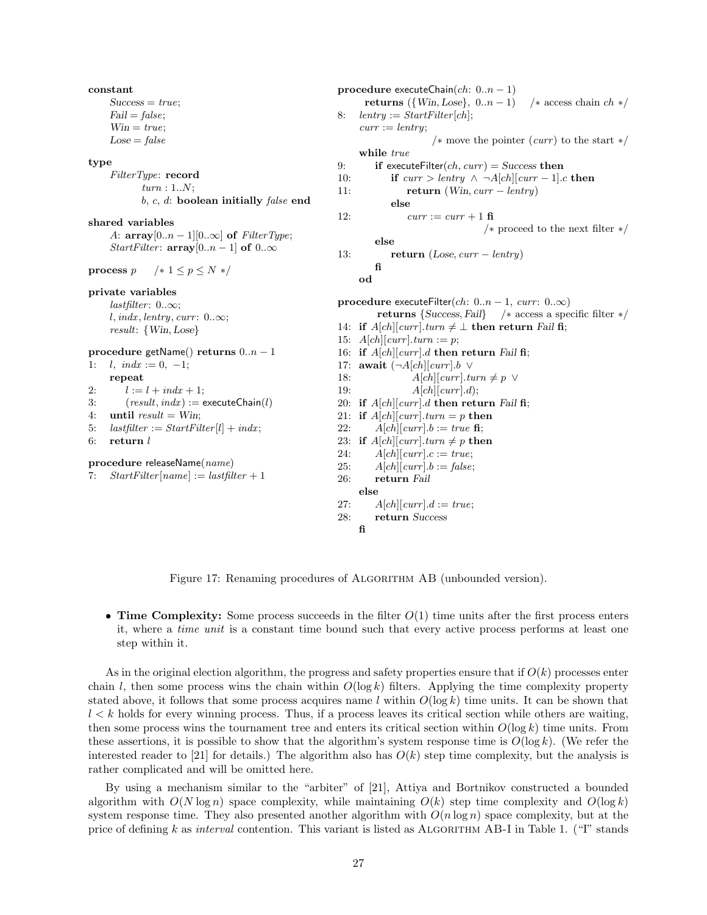**constant**  $Success = true;$ *Fail* = false;  $Win = true;$ *Lose* = false **type** FilterType: **record**  $turn: 1..N;$ b, c, d: **boolean initially** false **end shared variables** A:  $\arctan[0..n-1][0..\infty]$  of  $FilterType;$ *StartFilter*:  $array[0..n-1]$  of  $0..\infty$ **process**  $p \quad \neq 1 \leq p \leq N \neq 1$ **private variables** lastfilter:  $0..\infty;$ l, indx, lentry, curr:  $0..\infty$ ; result: {*Win*, *Lose*} **procedure** getName() **returns**  $0..n - 1$ <br>1:  $l$ ,  $indx := 0$ , -1:  $l, indx := 0, -1;$ **repeat** 2:  $l := l + indx + 1;$ 3:  $(result, indx) := executeChain(l)$ <br>4: **until**  $result = Win$ ;  $\text{until } result = Win;$ 5:  $lastfilter := StartFilter[l] + indx;$ 6: **return** l **procedure** releaseName(name) 7:  $StartFilter(name] := lastfilter + 1$ **procedure** executeChain(ch: 0..n <sup>−</sup> 1) **returns** ({*Win, Lose*},  $0..n-1$ ) /\* access chain ch \*/ 8: lentry :=  $StartFilter[ch]$ ;  $curr := lentry;$ /\* move the pointer  $(curr)$  to the start  $*/$ **while** true 9: **if** executeFilter(*ch*, *curr*) = *Success* **then**<br>10: **if** *curr* > *lentry*  $\wedge \neg A[ch][curr - 1].$ **if**  $curr > lentry$  ∧ ¬A[ch][curr – 1].c **then** 11: **return** (*Win*, curr − lentry) **else** 12:  $curr := curr + 1$  **fi** /∗ proceed to the next filter ∗/ **else** 13: **return** (*Lose*, curr − lentry) **fi od procedure** executeFilter(ch:  $0..n - 1$ , curr:  $0..\infty$ ) **returns** {*Success*, *Fail*} /∗ access a specific filter ∗/ 14: **if**  $A[ch][curr].turn \neq \perp$  **then return** *Fail* **fi**; 15:  $A[ch][curr].turn := p;$ 16: **if** A[ch][curr ].d **then return** *Fail* **fi**; 17: **await**  $\left(\neg A[ch][curr].b \vee \right)$ 18:  $A[ch][curr].turn \neq p \ \lor$ 19:  $A[ch][curr].d$ ; 20: **if** A[ch][curr ].d **then return** *Fail* **fi**; 21: **if**  $A[ch][curr].turn = p$  **then** 22:  $A[ch][curr]$ .b := true **fi**; 23: **if**  $A[ch][curr].turn \neq p$  **then** 24:  $A[ch][curr]$ .c := true; 25:  $A[ch][curr]$ .b := false; 26: **return** *Fail* **else** 27:  $A[ch][curr] \cdot d := true;$ 28: **return** *Success* **fi**

Figure 17: Renaming procedures of ALGORITHM AB (unbounded version).

• **Time Complexity:** Some process succeeds in the filter  $O(1)$  time units after the first process enters it, where a *time unit* is a constant time bound such that every active process performs at least one step within it.

As in the original election algorithm, the progress and safety properties ensure that if  $O(k)$  processes enter chain l, then some process wins the chain within  $O(\log k)$  filters. Applying the time complexity property stated above, it follows that some process acquires name l within  $O(\log k)$  time units. It can be shown that  $l < k$  holds for every winning process. Thus, if a process leaves its critical section while others are waiting, then some process wins the tournament tree and enters its critical section within  $O(\log k)$  time units. From these assertions, it is possible to show that the algorithm's system response time is  $O(\log k)$ . (We refer the interested reader to [21] for details.) The algorithm also has  $O(k)$  step time complexity, but the analysis is rather complicated and will be omitted here.

By using a mechanism similar to the "arbiter" of [21], Attiya and Bortnikov constructed a bounded algorithm with  $O(N \log n)$  space complexity, while maintaining  $O(k)$  step time complexity and  $O(\log k)$ system response time. They also presented another algorithm with  $O(n \log n)$  space complexity, but at the price of defining <sup>k</sup> as *interval* contention. This variant is listed as Algorithm AB-I in Table 1. ("I" stands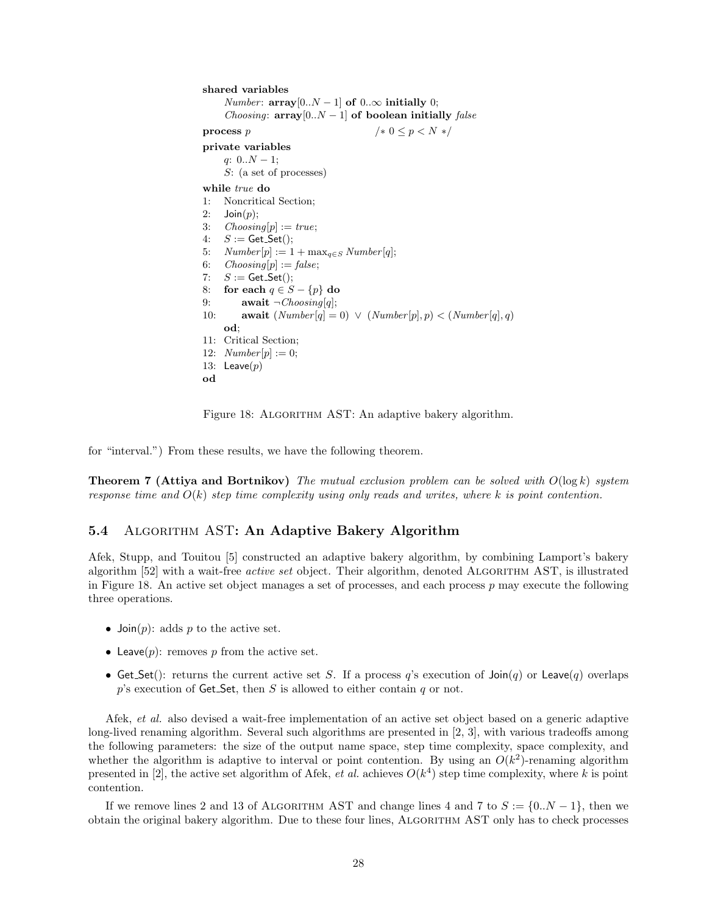**shared variables** *Number*:  $array[0..N-1]$  of 0.. $\infty$  initially 0; Choosing:  $array[0..N-1]$  of boolean initially  $false$ **process** p  $/* 0 < p < N*/$ **private variables** q:  $0..N - 1;$ S: (a set of processes) **while** true **do** 1: Noncritical Section; 2:  $Join(p);$ <br>3:  $Choosin$  $Choosing[p] := true;$ 4:  $S := \text{Get} \text{Set}$ ; 5:  $Number[p] := 1 + \max_{q \in S} Number[q];$ <br>6:  $Choosing[p] := false;$  $Choosing[p] := false;$ 7:  $S := \text{Get}\_\text{Set}();$ <br>8: for each  $g \in S$ for each  $q \in S - \{p\}$  do 9: **await**  $\neg Choosing[q];$ 10: **await**  $(Number[q] = 0) \vee (Number[p], p) < (Number[q], q)$ **od**; 11: Critical Section; 12:  $Number[p] := 0;$ 13: Leave $(p)$ **od**

Figure 18: Algorithm AST: An adaptive bakery algorithm.

for "interval.") From these results, we have the following theorem.

**Theorem 7 (Attiya and Bortnikov)** *The mutual exclusion problem can be solved with* O(log k) *system response time and* O(k) *step time complexity using only reads and writes, where* k *is point contention.*

### **5.4** Algorithm AST**: An Adaptive Bakery Algorithm**

Afek, Stupp, and Touitou [5] constructed an adaptive bakery algorithm, by combining Lamport's bakery algorithm [52] with a wait-free *active set* object. Their algorithm, denoted Algorithm AST, is illustrated in Figure 18. An active set object manages a set of processes, and each process p may execute the following three operations.

- Join $(p)$ : adds  $p$  to the active set.
- Leave(p): removes p from the active set.
- Get Set(): returns the current active set S. If a process q's execution of  $\text{Join}(q)$  or Leave(q) overlaps  $p$ 's execution of Get Set, then S is allowed to either contain q or not.

Afek, *et al.* also devised a wait-free implementation of an active set object based on a generic adaptive long-lived renaming algorithm. Several such algorithms are presented in [2, 3], with various tradeoffs among the following parameters: the size of the output name space, step time complexity, space complexity, and whether the algorithm is adaptive to interval or point contention. By using an  $O(k^2)$ -renaming algorithm presented in [2], the active set algorithm of Afek, *et al.* achieves  $O(k^4)$  step time complexity, where k is point contention.

If we remove lines 2 and 13 of ALGORITHM AST and change lines 4 and 7 to  $S := \{0..N-1\}$ , then we obtain the original bakery algorithm. Due to these four lines, Algorithm AST only has to check processes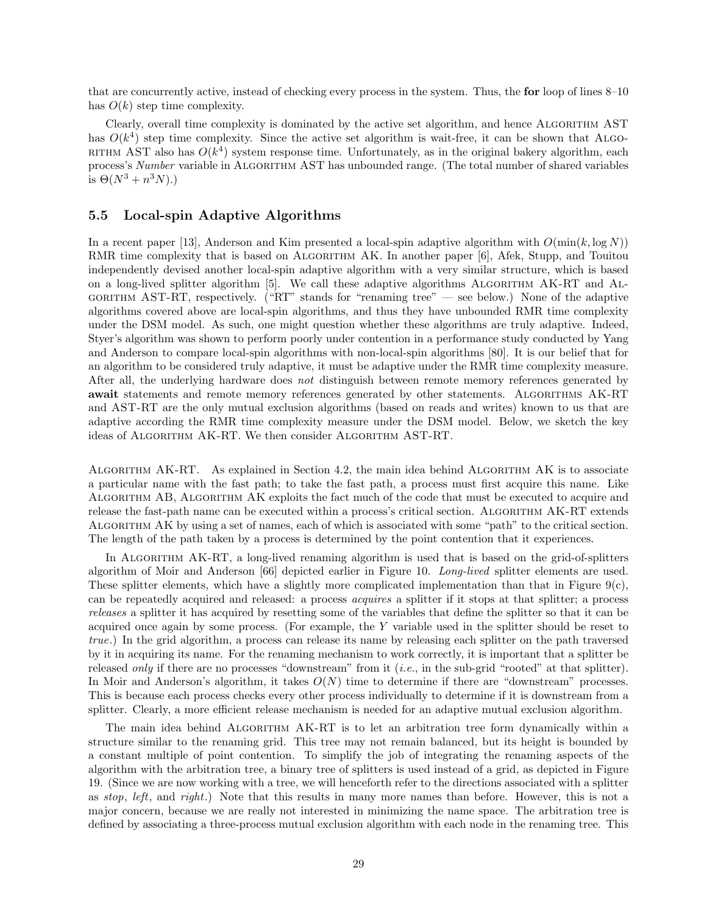that are concurrently active, instead of checking every process in the system. Thus, the **for** loop of lines 8–10 has  $O(k)$  step time complexity.

Clearly, overall time complexity is dominated by the active set algorithm, and hence Algorithm AST has  $O(k^4)$  step time complexity. Since the active set algorithm is wait-free, it can be shown that ALGO-RITHM AST also has  $O(k^4)$  system response time. Unfortunately, as in the original bakery algorithm, each process's *Number* variable in ALGORITHM AST has unbounded range. (The total number of shared variables is  $\Theta(N^3 + n^3 N)$ .)

#### **5.5 Local-spin Adaptive Algorithms**

In a recent paper [13], Anderson and Kim presented a local-spin adaptive algorithm with  $O(\min(k, \log N))$ RMR time complexity that is based on ALGORITHM AK. In another paper [6], Afek, Stupp, and Touitou independently devised another local-spin adaptive algorithm with a very similar structure, which is based on a long-lived splitter algorithm [5]. We call these adaptive algorithms Algorithm AK-RT and Al-GORITHM AST-RT, respectively. ("RT" stands for "renaming tree"  $-$  see below.) None of the adaptive algorithms covered above are local-spin algorithms, and thus they have unbounded RMR time complexity under the DSM model. As such, one might question whether these algorithms are truly adaptive. Indeed, Styer's algorithm was shown to perform poorly under contention in a performance study conducted by Yang and Anderson to compare local-spin algorithms with non-local-spin algorithms [80]. It is our belief that for an algorithm to be considered truly adaptive, it must be adaptive under the RMR time complexity measure. After all, the underlying hardware does *not* distinguish between remote memory references generated by await statements and remote memory references generated by other statements. ALGORITHMS AK-RT and AST-RT are the only mutual exclusion algorithms (based on reads and writes) known to us that are adaptive according the RMR time complexity measure under the DSM model. Below, we sketch the key ideas of ALGORITHM AK-RT. We then consider ALGORITHM AST-RT.

Algorithm AK-RT. As explained in Section 4.2, the main idea behind Algorithm AK is to associate a particular name with the fast path; to take the fast path, a process must first acquire this name. Like Algorithm AB, Algorithm AK exploits the fact much of the code that must be executed to acquire and release the fast-path name can be executed within a process's critical section. ALGORITHM AK-RT extends Algorithm AK by using a set of names, each of which is associated with some "path" to the critical section. The length of the path taken by a process is determined by the point contention that it experiences.

In Algorithm AK-RT, a long-lived renaming algorithm is used that is based on the grid-of-splitters algorithm of Moir and Anderson [66] depicted earlier in Figure 10. *Long-lived* splitter elements are used. These splitter elements, which have a slightly more complicated implementation than that in Figure  $9(c)$ , can be repeatedly acquired and released: a process *acquires* a splitter if it stops at that splitter; a process *releases* a splitter it has acquired by resetting some of the variables that define the splitter so that it can be acquired once again by some process. (For example, the Y variable used in the splitter should be reset to *true*.) In the grid algorithm, a process can release its name by releasing each splitter on the path traversed by it in acquiring its name. For the renaming mechanism to work correctly, it is important that a splitter be released *only* if there are no processes "downstream" from it (*i.e.*, in the sub-grid "rooted" at that splitter). In Moir and Anderson's algorithm, it takes  $O(N)$  time to determine if there are "downstream" processes. This is because each process checks every other process individually to determine if it is downstream from a splitter. Clearly, a more efficient release mechanism is needed for an adaptive mutual exclusion algorithm.

The main idea behind ALGORITHM AK-RT is to let an arbitration tree form dynamically within a structure similar to the renaming grid. This tree may not remain balanced, but its height is bounded by a constant multiple of point contention. To simplify the job of integrating the renaming aspects of the algorithm with the arbitration tree, a binary tree of splitters is used instead of a grid, as depicted in Figure 19. (Since we are now working with a tree, we will henceforth refer to the directions associated with a splitter as *stop*, *left*, and *right*.) Note that this results in many more names than before. However, this is not a major concern, because we are really not interested in minimizing the name space. The arbitration tree is defined by associating a three-process mutual exclusion algorithm with each node in the renaming tree. This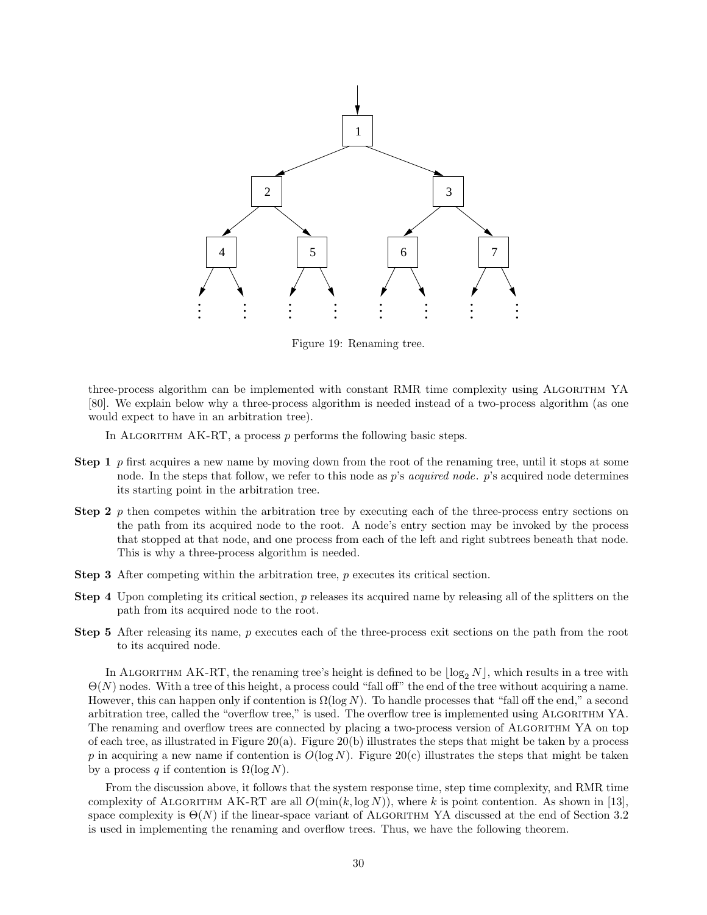

Figure 19: Renaming tree.

three-process algorithm can be implemented with constant RMR time complexity using Algorithm YA [80]. We explain below why a three-process algorithm is needed instead of a two-process algorithm (as one would expect to have in an arbitration tree).

In ALGORITHM AK-RT, a process  $p$  performs the following basic steps.

- **Step 1** p first acquires a new name by moving down from the root of the renaming tree, until it stops at some node. In the steps that follow, we refer to this node as p's *acquired node*. p's acquired node determines its starting point in the arbitration tree.
- **Step 2** p then competes within the arbitration tree by executing each of the three-process entry sections on the path from its acquired node to the root. Anode's entry section may be invoked by the process that stopped at that node, and one process from each of the left and right subtrees beneath that node. This is why a three-process algorithm is needed.
- **Step 3** After competing within the arbitration tree, p executes its critical section.
- **Step 4** Upon completing its critical section, p releases its acquired name by releasing all of the splitters on the path from its acquired node to the root.
- **Step 5** After releasing its name, p executes each of the three-process exit sections on the path from the root to its acquired node.

In ALGORITHM AK-RT, the renaming tree's height is defined to be  $\lfloor \log_2 N \rfloor$ , which results in a tree with  $\Theta(N)$  nodes. With a tree of this height, a process could "fall off" the end of the tree without acquiring a name. However, this can happen only if contention is  $\Omega(\log N)$ . To handle processes that "fall off the end," a second arbitration tree, called the "overflow tree," is used. The overflow tree is implemented using Algorithm YA. The renaming and overflow trees are connected by placing a two-process version of ALGORITHM YA on top of each tree, as illustrated in Figure 20(a). Figure 20(b) illustrates the steps that might be taken by a process p in acquiring a new name if contention is  $O(\log N)$ . Figure 20(c) illustrates the steps that might be taken by a process q if contention is  $\Omega(\log N)$ .

From the discussion above, it follows that the system response time, step time complexity, and RMR time complexity of ALGORITHM AK-RT are all  $O(\min(k, \log N))$ , where k is point contention. As shown in [13], space complexity is  $\Theta(N)$  if the linear-space variant of ALGORITHM YA discussed at the end of Section 3.2 is used in implementing the renaming and overflow trees. Thus, we have the following theorem.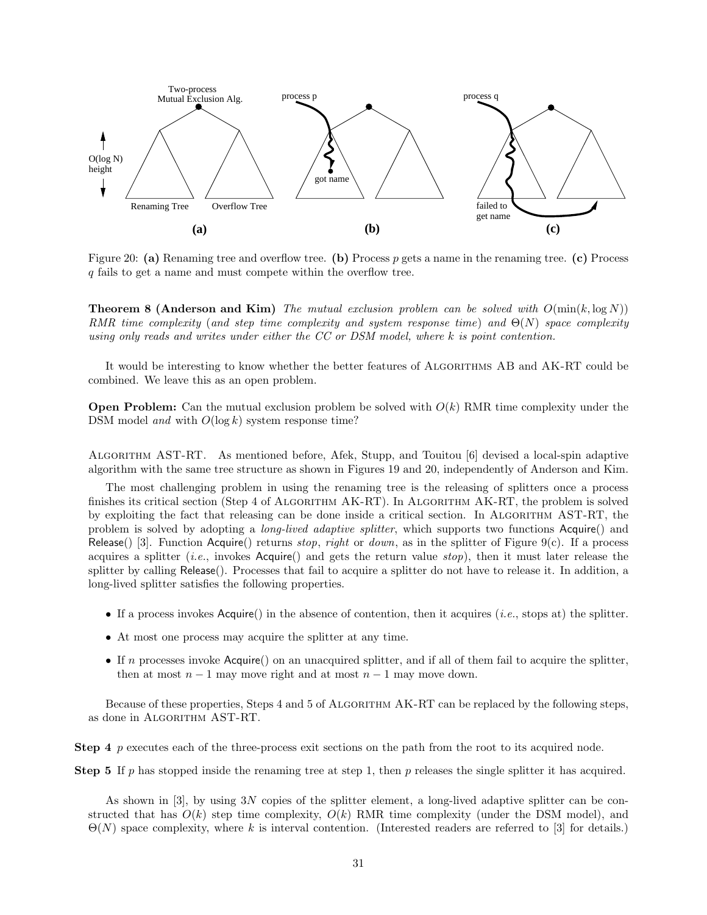

Figure 20: **(a)** Renaming tree and overflow tree. **(b)** Process p gets a name in the renaming tree. **(c)** Process q fails to get a name and must compete within the overflow tree.

**Theorem 8 (Anderson and Kim)** *The mutual exclusion problem can be solved with*  $O(\min(k, \log N))$ *RMR time complexity* (*and step time complexity and system response time*) *and* Θ(N) *space complexity using only reads and writes under either the CC or DSM model, where* k *is point contention.*

It would be interesting to know whether the better features of Algorithms AB and AK-RT could be combined. We leave this as an open problem.

**Open Problem:** Can the mutual exclusion problem be solved with  $O(k)$  RMR time complexity under the DSM model *and* with  $O(\log k)$  system response time?

Algorithm AST-RT. As mentioned before, Afek, Stupp, and Touitou [6] devised a local-spin adaptive algorithm with the same tree structure as shown in Figures 19 and 20, independently of Anderson and Kim.

The most challenging problem in using the renaming tree is the releasing of splitters once a process finishes its critical section (Step 4 of ALGORITHM AK-RT). In ALGORITHM AK-RT, the problem is solved by exploiting the fact that releasing can be done inside a critical section. In ALGORITHM AST-RT, the problem is solved by adopting a *long-lived adaptive splitter*, which supports two functions Acquire() and Release() [3]. Function Acquire() returns *stop*, *right* or *down*, as in the splitter of Figure 9(c). If a process acquires a splitter (*i.e.*, invokes Acquire() and gets the return value *stop*), then it must later release the splitter by calling Release(). Processes that fail to acquire a splitter do not have to release it. In addition, a long-lived splitter satisfies the following properties.

- If a process invokes Acquire() in the absence of contention, then it acquires (*i.e.*, stops at) the splitter.
- At most one process may acquire the splitter at any time.
- If n processes invoke  $Acquire()$  on an unacquired splitter, and if all of them fail to acquire the splitter, then at most  $n-1$  may move right and at most  $n-1$  may move down.

Because of these properties, Steps 4 and 5 of ALGORITHM AK-RT can be replaced by the following steps, as done in ALGORITHM AST-RT.

**Step 4** p executes each of the three-process exit sections on the path from the root to its acquired node.

**Step 5** If p has stopped inside the renaming tree at step 1, then p releases the single splitter it has acquired.

As shown in [3], by using 3N copies of the splitter element, a long-lived adaptive splitter can be constructed that has  $O(k)$  step time complexity,  $O(k)$  RMR time complexity (under the DSM model), and  $\Theta(N)$  space complexity, where k is interval contention. (Interested readers are referred to [3] for details.)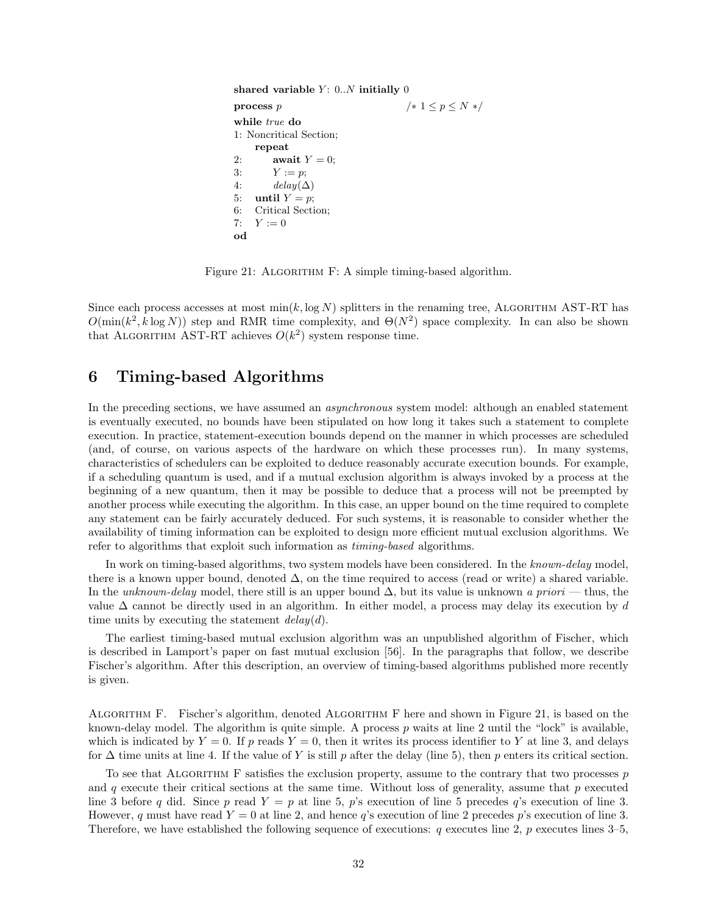```
shared variable Y: 0..N initially 0
process p /* 1 \leq p \leq N*/while true do
1: Noncritical Section;
   repeat
2: await Y = 0;
3: Y := p;
4: delay(\Delta)5: until Y = p;
6: Critical Section;
7: Y := 0od
```
Figure 21: ALGORITHM F: A simple timing-based algorithm.

Since each process accesses at most  $\min(k, \log N)$  splitters in the renaming tree, ALGORITHM AST-RT has  $O(\min(k^2, k \log N))$  step and RMR time complexity, and  $\Theta(N^2)$  space complexity. In can also be shown that ALGORITHM AST-RT achieves  $O(k^2)$  system response time.

## **6 Timing-based Algorithms**

In the preceding sections, we have assumed an *asynchronous* system model: although an enabled statement is eventually executed, no bounds have been stipulated on how long it takes such a statement to complete execution. In practice, statement-execution bounds depend on the manner in which processes are scheduled (and, of course, on various aspects of the hardware on which these processes run). In many systems, characteristics of schedulers can be exploited to deduce reasonably accurate execution bounds. For example, if a scheduling quantum is used, and if a mutual exclusion algorithm is always invoked by a process at the beginning of a new quantum, then it may be possible to deduce that a process will not be preempted by another process while executing the algorithm. In this case, an upper bound on the time required to complete any statement can be fairly accurately deduced. For such systems, it is reasonable to consider whether the availability of timing information can be exploited to design more efficient mutual exclusion algorithms. We refer to algorithms that exploit such information as *timing-based* algorithms.

In work on timing-based algorithms, two system models have been considered. In the *known-delay* model, there is a known upper bound, denoted  $\Delta$ , on the time required to access (read or write) a shared variable. In the *unknown-delay* model, there still is an upper bound ∆, but its value is unknown *a priori* — thus, the value  $\Delta$  cannot be directly used in an algorithm. In either model, a process may delay its execution by d time units by executing the statement *delay*(d).

The earliest timing-based mutual exclusion algorithm was an unpublished algorithm of Fischer, which is described in Lamport's paper on fast mutual exclusion [56]. In the paragraphs that follow, we describe Fischer's algorithm. After this description, an overview of timing-based algorithms published more recently is given.

Algorithm F. Fischer's algorithm, denoted Algorithm F here and shown in Figure 21, is based on the known-delay model. The algorithm is quite simple. A process  $p$  waits at line 2 until the "lock" is available, which is indicated by  $Y = 0$ . If p reads  $Y = 0$ , then it writes its process identifier to Y at line 3, and delays for  $\Delta$  time units at line 4. If the value of Y is still p after the delay (line 5), then p enters its critical section.

To see that ALGORITHM F satisfies the exclusion property, assume to the contrary that two processes  $p$ and  $q$  execute their critical sections at the same time. Without loss of generality, assume that  $p$  executed line 3 before q did. Since p read  $Y = p$  at line 5, p's execution of line 5 precedes q's execution of line 3. However, q must have read  $Y = 0$  at line 2, and hence q's execution of line 2 precedes p's execution of line 3. Therefore, we have established the following sequence of executions: q executes line 2, p executes lines  $3-5$ ,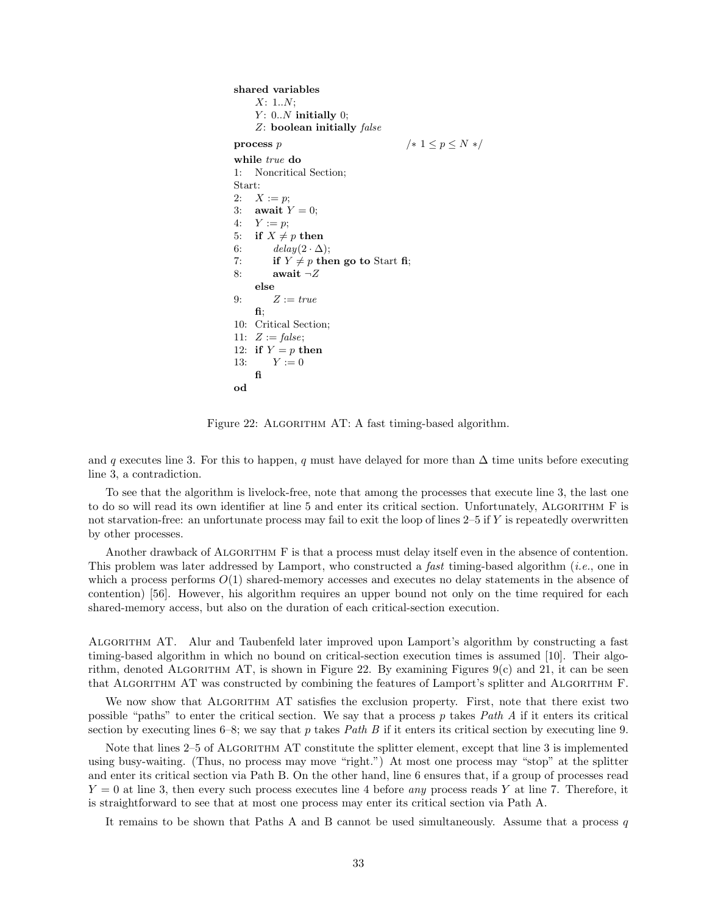**shared variables** X: 1..N;  $Y: 0..N$  initially 0; Z: **boolean initially** false **process** p  $/* 1 \leq p \leq N */$ **while** true **do** 1: Noncritical Section; Start: 2:  $X := p$ ; 3: **await**  $Y = 0$ ; 4:  $Y := p$ ; 5: **if**  $X \neq p$  **then** 6:  $delay(2 \cdot \Delta);$ 7: **if**  $Y \neq p$  **then go to** Start **fi**; 8: **await** ¬Z **else** 9:  $Z := true$ **fi**; 10: Critical Section; 11:  $Z := \text{false};$ 12: **if**  $Y = p$  **then** 13:  $Y := 0$ **fi od**

Figure 22: ALGORITHM AT: A fast timing-based algorithm.

and q executes line 3. For this to happen, q must have delayed for more than  $\Delta$  time units before executing line 3, a contradiction.

To see that the algorithm is livelock-free, note that among the processes that execute line 3, the last one to do so will read its own identifier at line 5 and enter its critical section. Unfortunately, ALGORITHM F is not starvation-free: an unfortunate process may fail to exit the loop of lines  $2-5$  if Y is repeatedly overwritten by other processes.

Another drawback of Algorithm F is that a process must delay itself even in the absence of contention. This problem was later addressed by Lamport, who constructed a *fast* timing-based algorithm (*i.e.*, one in which a process performs  $O(1)$  shared-memory accesses and executes no delay statements in the absence of contention) [56]. However, his algorithm requires an upper bound not only on the time required for each shared-memory access, but also on the duration of each critical-section execution.

Algorithm AT. Alur and Taubenfeld later improved upon Lamport's algorithm by constructing a fast timing-based algorithm in which no bound on critical-section execution times is assumed [10]. Their algorithm, denoted ALGORITHM AT, is shown in Figure 22. By examining Figures  $9(c)$  and 21, it can be seen that ALGORITHM AT was constructed by combining the features of Lamport's splitter and ALGORITHM F.

We now show that ALGORITHM AT satisfies the exclusion property. First, note that there exist two possible "paths" to enter the critical section. We say that a process p takes *Path A* if it enters its critical section by executing lines 6–8; we say that p takes *Path B* if it enters its critical section by executing line 9.

Note that lines 2–5 of ALGORITHM AT constitute the splitter element, except that line 3 is implemented using busy-waiting. (Thus, no process may move "right.") At most one process may "stop" at the splitter and enter its critical section via Path B. On the other hand, line 6 ensures that, if a group of processes read  $Y = 0$  at line 3, then every such process executes line 4 before *any* process reads Y at line 7. Therefore, it is straightforward to see that at most one process may enter its critical section via Path A.

It remains to be shown that Paths A and B cannot be used simultaneously. Assume that a process  $q$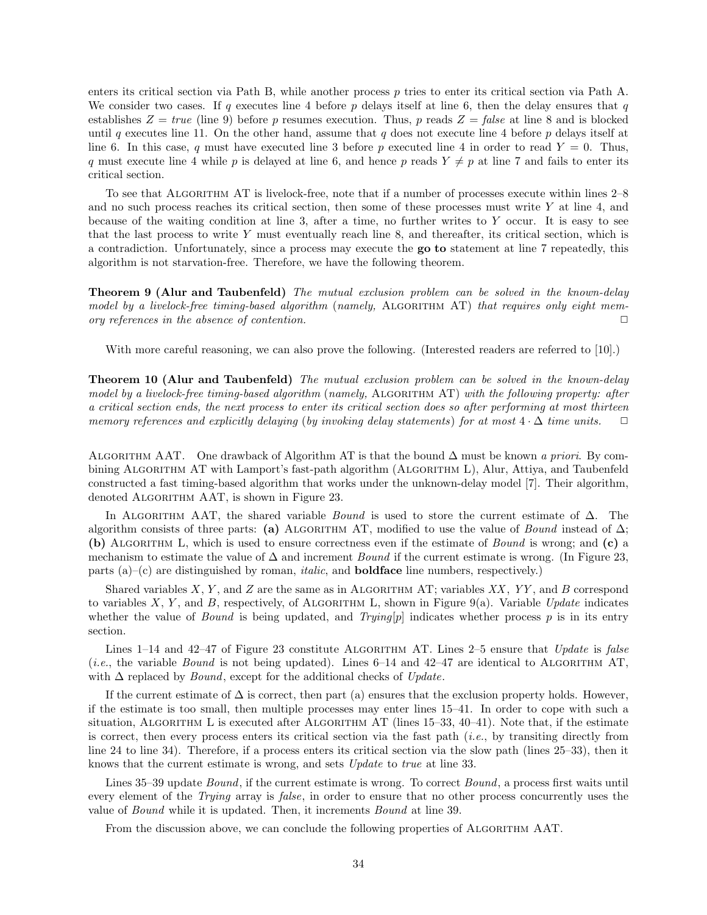enters its critical section via Path B, while another process p tries to enter its critical section via Path A. We consider two cases. If q executes line 4 before p delays itself at line 6, then the delay ensures that q establishes  $Z = true$  (line 9) before p resumes execution. Thus, p reads  $Z = false$  at line 8 and is blocked until q executes line 11. On the other hand, assume that q does not execute line 4 before p delays itself at line 6. In this case, q must have executed line 3 before p executed line 4 in order to read  $Y = 0$ . Thus, q must execute line 4 while p is delayed at line 6, and hence p reads  $Y \neq p$  at line 7 and fails to enter its critical section.

To see that Algorithm AT is livelock-free, note that if a number of processes execute within lines 2–8 and no such process reaches its critical section, then some of these processes must write  $Y$  at line 4, and because of the waiting condition at line 3, after a time, no further writes to Y occur. It is easy to see that the last process to write Y must eventually reach line  $8$ , and thereafter, its critical section, which is a contradiction. Unfortunately, since a process may execute the **go to** statement at line 7 repeatedly, this algorithm is not starvation-free. Therefore, we have the following theorem.

**Theorem 9 (Alur and Taubenfeld)** *The mutual exclusion problem can be solved in the known-delay* model by a livelock-free timing-based algorithm (namely, ALGORITHM AT) *that requires only eight mem-*<br>  $\Box$ *ory references in the absence of contention.* 

With more careful reasoning, we can also prove the following. (Interested readers are referred to [10].)

**Theorem 10 (Alur and Taubenfeld)** *The mutual exclusion problem can be solved in the known-delay model by a livelock-free timing-based algorithm* (*namely,* Algorithm AT) *with the following property: after a critical section ends, the next process to enter its critical section does so after performing at most thirteen memory references and explicitly delaying* (*by invoking delay statements*) *for at most* 4 · ∆ *time units.* ✷

Algorithm AAT. One drawback of Algorithm AT is that the bound ∆ must be known *a priori*. By combining ALGORITHM AT with Lamport's fast-path algorithm (ALGORITHM L), Alur, Attiya, and Taubenfeld constructed a fast timing-based algorithm that works under the unknown-delay model [7]. Their algorithm, denoted ALGORITHM AAT, is shown in Figure 23.

In Algorithm AAT, the shared variable *Bound* is used to store the current estimate of ∆. The algorithm consists of three parts: **(a)** ALGORITHM AT, modified to use the value of *Bound* instead of  $\Delta$ ; **(b)** Algorithm L, which is used to ensure correctness even if the estimate of *Bound* is wrong; and **(c)** <sup>a</sup> mechanism to estimate the value of ∆ and increment *Bound* if the current estimate is wrong. (In Figure 23, parts (a)–(c) are distinguished by roman, *italic*, and **boldface** line numbers, respectively.)

Shared variables X, Y, and Z are the same as in ALGORITHM AT; variables XX, YY, and B correspond to variables <sup>X</sup>, <sup>Y</sup> , and <sup>B</sup>, respectively, of Algorithm L, shown in Figure 9(a). Variable *Update* indicates whether the value of *Bound* is being updated, and *Trying* $[p]$  indicates whether process p is in its entry section.

Lines 1–14 and 42–47 of Figure 23 constitute Algorithm AT. Lines 2–5 ensure that *Update* is *false*  $(i.e.,$  the variable *Bound* is not being updated). Lines  $6-14$  and  $42-47$  are identical to ALGORITHM AT, with ∆ replaced by *Bound*, except for the additional checks of *Update*.

If the current estimate of  $\Delta$  is correct, then part (a) ensures that the exclusion property holds. However, if the estimate is too small, then multiple processes may enter lines 15–41. In order to cope with such a situation, ALGORITHM L is executed after ALGORITHM AT (lines  $15-33$ ,  $40-41$ ). Note that, if the estimate is correct, then every process enters its critical section via the fast path (*i.e.*, by transiting directly from line 24 to line 34). Therefore, if a process enters its critical section via the slow path (lines 25–33), then it knows that the current estimate is wrong, and sets *Update* to *true* at line 33.

Lines 35–39 update *Bound*, if the current estimate is wrong. To correct *Bound*, a process first waits until every element of the *Trying* array is *false*, in order to ensure that no other process concurrently uses the value of *Bound* while it is updated. Then, it increments *Bound* at line 39.

From the discussion above, we can conclude the following properties of ALGORITHM AAT.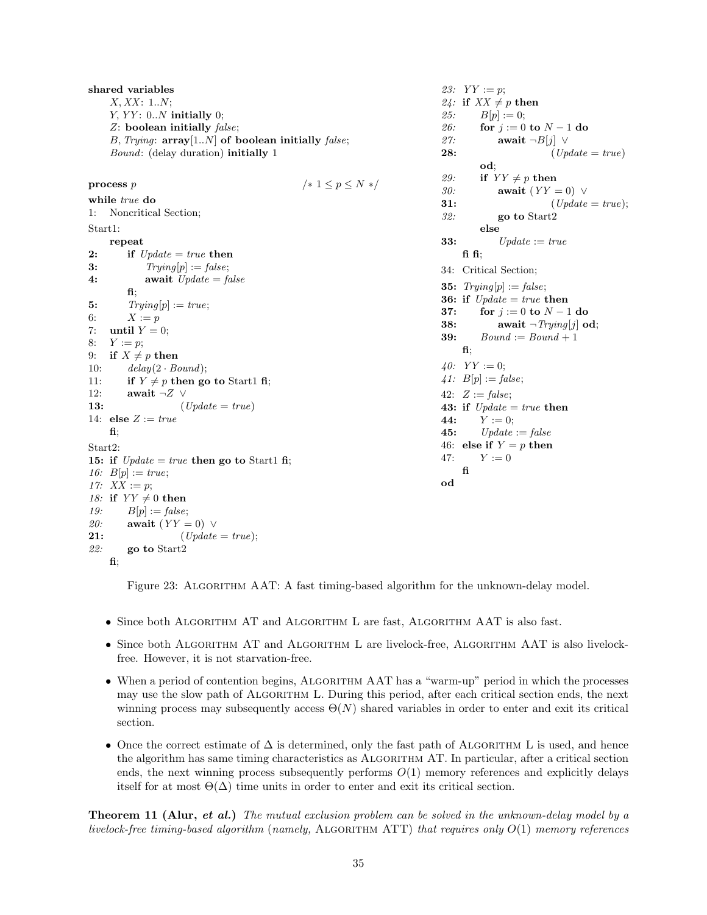**shared variables**  $X, XX: 1..N;$ Y, YY : 0..N **initially** 0; Z: **boolean initially** false; B, Trying: **array**[1..N] **of boolean initially** false; Bound: (delay duration) **initially** 1 **process** p  $/* 1 \leq p \leq N*/$ **while** true **do** 1: Noncritical Section; Start1: **repeat 2:** if  $Update = true$  **then 3:**  $Trying[p] := false;$ **4: await** Update = false **fi**; **5:**  $Trying[p] := true;$ 6:  $X := p$ 7: **until**  $Y = 0$ ; 8:  $Y := p$ ; 9: **if**  $X \neq p$  **then** 10:  $delay(2 \cdot Bound);$ 11: **if**  $Y \neq p$  **then go to** Start1 **fi**; 12: **await** ¬Z ∨ **13:**  $(Update = true)$ 14: **else**  $Z := true$ **fi**; Start2: **15:** if  $Update = true$  **then go to** Start1 **fi**; 16:  $B[p] := true;$ 17:  $XX := p$ ; 18: **if**  $YY \neq 0$  **then** 19:  $B[p] := \text{false};$ 20: **await** (YY =0) ∨ **21:**  $(Update = true);$ 22: **go to** Start2 23:  $YY := p$ ; 24: **if**  $XX \neq p$  **then** 25:  $B[p] := 0;$ 26: **for**  $j := 0$  **to**  $N - 1$  **do** 27: **await** ¬B[j] ∨ **28:**  $(Update = true)$ **od**; 29: **if**  $YY \neq p$  **then** 30: **await** (YY =0) ∨ **31:**  $(Update = true);$ 32: **go to** Start2 **else 33:**  $Update := true$ **fi fi**; 34: Critical Section; **35:**  $Trying[p] := false;$ **36:** if  $Update = true$  then **37:** for  $j := 0$  **to**  $N - 1$  **do 38:** await  $\neg Trying[j]$  **od**; **39:**  $Bound := Bound + 1$ **fi**;  $40:YY := 0;$ 41:  $B[p] := \text{false};$ 42:  $Z := \text{false}$ ; **43:** if  $Update = true$  **then 44:**  $Y := 0;$ **45:**  $Update := false$ 46: **else if**  $Y = p$  **then** 47:  $Y := 0$ **fi od**

```
fi;
```
Figure 23: ALGORITHM AAT: A fast timing-based algorithm for the unknown-delay model.

- Since both ALGORITHM AT and ALGORITHM L are fast, ALGORITHM AAT is also fast.
- Since both ALGORITHM AT and ALGORITHM L are livelock-free, ALGORITHM AAT is also livelockfree. However, it is not starvation-free.
- When a period of contention begins, ALGORITHM AAT has a "warm-up" period in which the processes may use the slow path of Algorithm L. During this period, after each critical section ends, the next winning process may subsequently access  $\Theta(N)$  shared variables in order to enter and exit its critical section.
- Once the correct estimate of  $\Delta$  is determined, only the fast path of ALGORITHM L is used, and hence the algorithm has same timing characteristics as Algorithm AT. In particular, after a critical section ends, the next winning process subsequently performs  $O(1)$  memory references and explicitly delays itself for at most  $\Theta(\Delta)$  time units in order to enter and exit its critical section.

**Theorem 11 (Alur,** *et al.***)** *The mutual exclusion problem can be solved in the unknown-delay model by a livelock-free timing-based algorithm* (*namely,* Algorithm ATT) *that requires only* <sup>O</sup>(1) *memory references*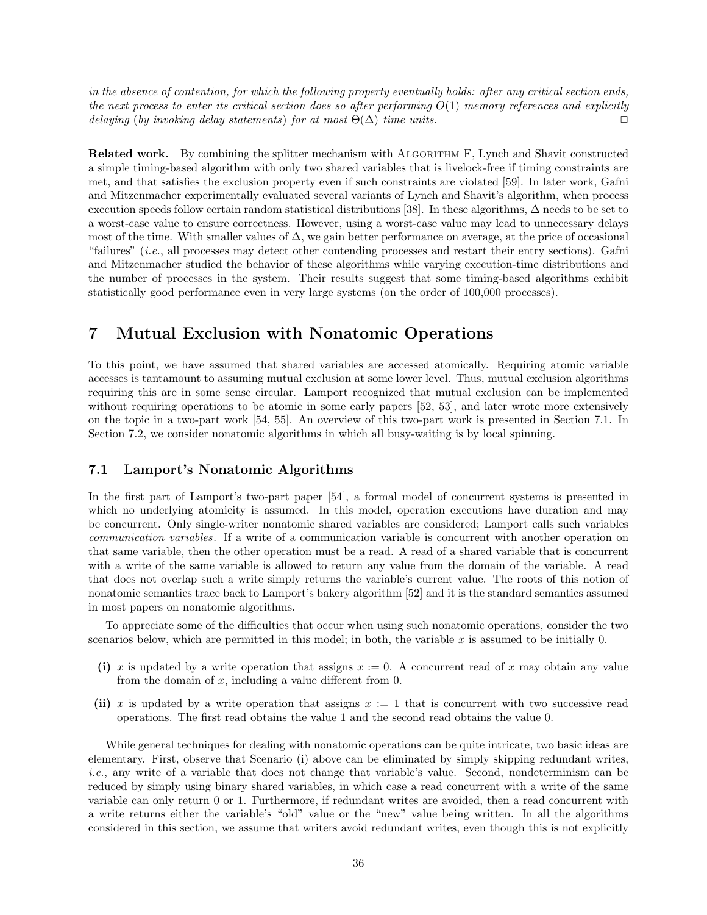*in the absence of contention, for which the following property eventually holds: after any critical section ends, the next process to enter its critical section does so after performing* O(1) *memory references and explicitly delaying* (*by invoking delay statements*) *for at most*  $\Theta(\Delta)$  *time units.* 

**Related work.** By combining the splitter mechanism with ALGORITHM F, Lynch and Shavit constructed a simple timing-based algorithm with only two shared variables that is livelock-free if timing constraints are met, and that satisfies the exclusion property even if such constraints are violated [59]. In later work, Gafni and Mitzenmacher experimentally evaluated several variants of Lynch and Shavit's algorithm, when process execution speeds follow certain random statistical distributions [38]. In these algorithms, ∆ needs to be set to a worst-case value to ensure correctness. However, using a worst-case value may lead to unnecessary delays most of the time. With smaller values of  $\Delta$ , we gain better performance on average, at the price of occasional "failures" (*i.e.*, all processes may detect other contending processes and restart their entry sections). Gafni and Mitzenmacher studied the behavior of these algorithms while varying execution-time distributions and the number of processes in the system. Their results suggest that some timing-based algorithms exhibit statistically good performance even in very large systems (on the order of 100,000 processes).

### **7 Mutual Exclusion with Nonatomic Operations**

To this point, we have assumed that shared variables are accessed atomically. Requiring atomic variable accesses is tantamount to assuming mutual exclusion at some lower level. Thus, mutual exclusion algorithms requiring this are in some sense circular. Lamport recognized that mutual exclusion can be implemented without requiring operations to be atomic in some early papers [52, 53], and later wrote more extensively on the topic in a two-part work [54, 55]. An overview of this two-part work is presented in Section 7.1. In Section 7.2, we consider nonatomic algorithms in which all busy-waiting is by local spinning.

### **7.1 Lamport's Nonatomic Algorithms**

In the first part of Lamport's two-part paper [54], a formal model of concurrent systems is presented in which no underlying atomicity is assumed. In this model, operation executions have duration and may be concurrent. Only single-writer nonatomic shared variables are considered; Lamport calls such variables *communication variables*. If a write of a communication variable is concurrent with another operation on that same variable, then the other operation must be a read. Aread of a shared variable that is concurrent with a write of the same variable is allowed to return any value from the domain of the variable. A read that does not overlap such a write simply returns the variable's current value. The roots of this notion of nonatomic semantics trace back to Lamport's bakery algorithm [52] and it is the standard semantics assumed in most papers on nonatomic algorithms.

To appreciate some of the difficulties that occur when using such nonatomic operations, consider the two scenarios below, which are permitted in this model; in both, the variable  $x$  is assumed to be initially 0.

- (i) x is updated by a write operation that assigns  $x := 0$ . A concurrent read of x may obtain any value from the domain of  $x$ , including a value different from  $0$ .
- (ii) x is updated by a write operation that assigns  $x := 1$  that is concurrent with two successive read operations. The first read obtains the value 1 and the second read obtains the value 0.

While general techniques for dealing with nonatomic operations can be quite intricate, two basic ideas are elementary. First, observe that Scenario (i) above can be eliminated by simply skipping redundant writes, *i.e.*, any write of a variable that does not change that variable's value. Second, nondeterminism can be reduced by simply using binary shared variables, in which case a read concurrent with a write of the same variable can only return 0 or 1. Furthermore, if redundant writes are avoided, then a read concurrent with a write returns either the variable's "old" value or the "new" value being written. In all the algorithms considered in this section, we assume that writers avoid redundant writes, even though this is not explicitly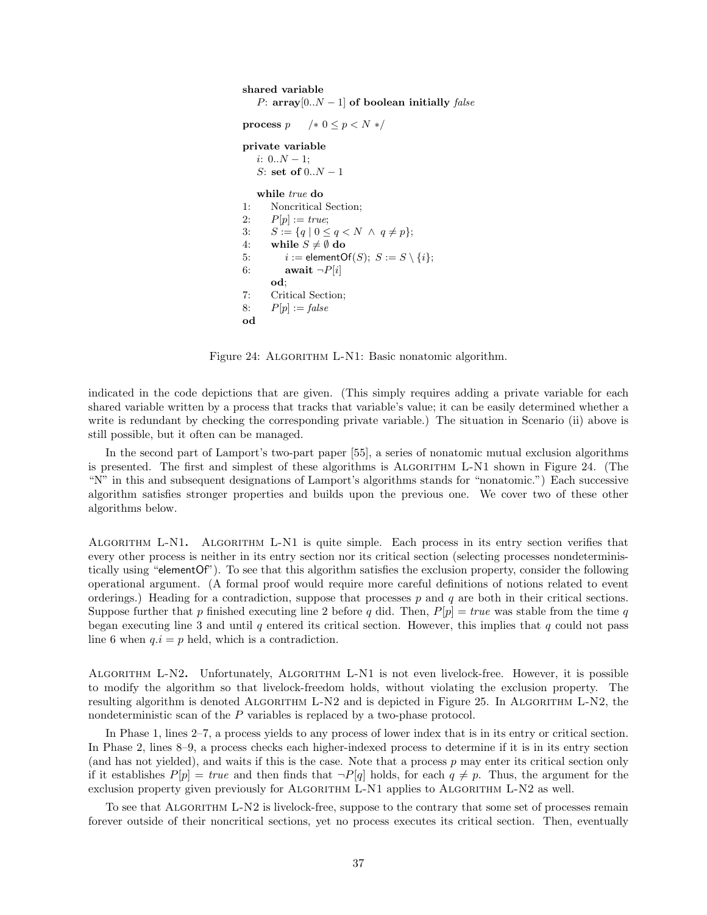**shared variable**

P:  $array[0..N-1]$  of boolean initially  $false$ 

**process**  $p \quad \neq 0 \leq p < N \neq 0$ **private variable** i:  $0..N - 1;$ S: **set of** 0..N − 1 **while** true **do** 1: Noncritical Section; 2:  $P[p] := true;$ 3:  $S := \{q \mid 0 \leq q < N \land q \neq p\};$ 4: **while**  $S \neq \emptyset$  do 5:  $i := \text{elementOf}(S); S := S \setminus \{i\};$ <br>6: **await**  $\neg P[i]$ await  $\neg P[i]$ **od**; 7: Critical Section; 8:  $P[p] := \text{false}$ **od**

Figure 24: Algorithm L-N1: Basic nonatomic algorithm.

indicated in the code depictions that are given. (This simply requires adding a private variable for each shared variable written by a process that tracks that variable's value; it can be easily determined whether a write is redundant by checking the corresponding private variable.) The situation in Scenario (ii) above is still possible, but it often can be managed.

In the second part of Lamport's two-part paper [55], a series of nonatomic mutual exclusion algorithms is presented. The first and simplest of these algorithms is Algorithm L-N1 shown in Figure 24. (The "N" in this and subsequent designations of Lamport's algorithms stands for "nonatomic.") Each successive algorithm satisfies stronger properties and builds upon the previous one. We cover two of these other algorithms below.

Algorithm L-N1**.** Algorithm L-N1 is quite simple. Each process in its entry section verifies that every other process is neither in its entry section nor its critical section (selecting processes nondeterministically using "elementOf"). To see that this algorithm satisfies the exclusion property, consider the following operational argument. (Aformal proof would require more careful definitions of notions related to event orderings.) Heading for a contradiction, suppose that processes  $p$  and  $q$  are both in their critical sections. Suppose further that p finished executing line 2 before q did. Then,  $P[p] = true$  was stable from the time q began executing line 3 and until q entered its critical section. However, this implies that q could not pass line 6 when  $q.i = p$  held, which is a contradiction.

ALGORITHM L-N2. Unfortunately, ALGORITHM L-N1 is not even livelock-free. However, it is possible to modify the algorithm so that livelock-freedom holds, without violating the exclusion property. The resulting algorithm is denoted Algorithm L-N2 and is depicted in Figure 25. In Algorithm L-N2, the nondeterministic scan of the P variables is replaced by a two-phase protocol.

In Phase 1, lines 2–7, a process yields to any process of lower index that is in its entry or critical section. In Phase 2, lines 8–9, a process checks each higher-indexed process to determine if it is in its entry section (and has not yielded), and waits if this is the case. Note that a process  $p$  may enter its critical section only if it establishes  $P[p] = true$  and then finds that  $\neg P[q]$  holds, for each  $q \neq p$ . Thus, the argument for the exclusion property given previously for ALGORITHM L-N1 applies to ALGORITHM L-N2 as well.

To see that ALGORITHM L-N2 is livelock-free, suppose to the contrary that some set of processes remain forever outside of their noncritical sections, yet no process executes its critical section. Then, eventually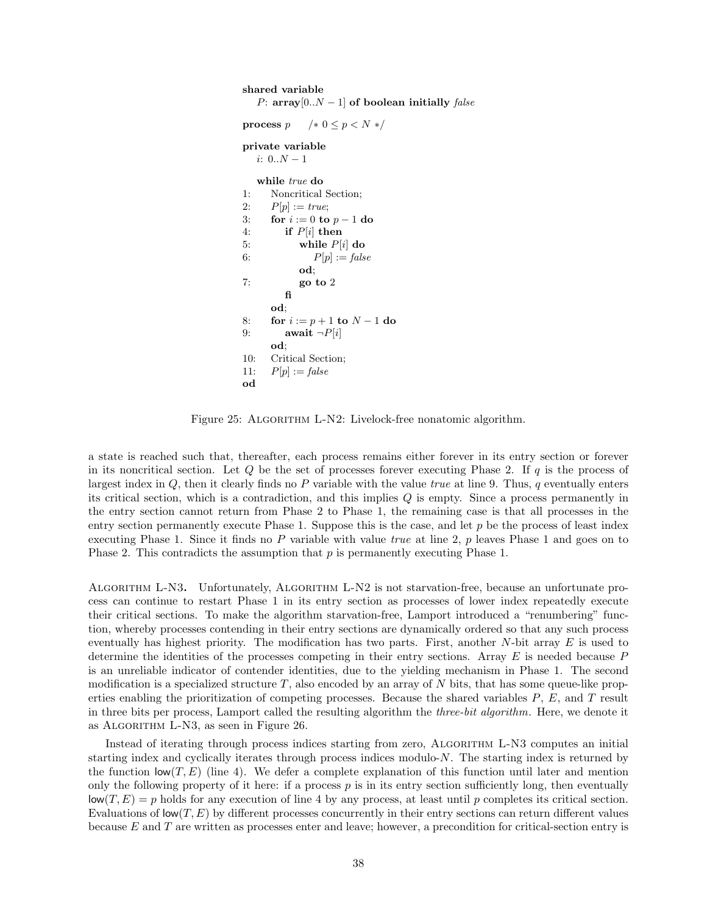**shared variable**

P:  $array[0..N-1]$  of boolean initially  $false$ 

**process**  $p \quad \neq 0 \leq p < N \neq 0$ **private variable** i:  $0..N-1$ **while** true **do** 1: Noncritical Section; 2:  $P[p] := true;$ 3: **for** i := 0 **to** p − 1 **do** 4: **if** P[i] **then** 5: **while** P[i] **do** 6:  $P[p] := \text{false}$ **od**; 7: **go to** 2 **fi od**; 8: **for** i := p + 1 **to** N − 1 **do** 9: **await**  $\neg P[i]$ **od**; 10: Critical Section; 11:  $P[p] := \text{false}$ **od**

Figure 25: ALGORITHM L-N2: Livelock-free nonatomic algorithm.

a state is reached such that, thereafter, each process remains either forever in its entry section or forever in its noncritical section. Let  $Q$  be the set of processes forever executing Phase 2. If  $q$  is the process of largest index in Q, then it clearly finds no P variable with the value *true* at line 9. Thus, q eventually enters its critical section, which is a contradiction, and this implies Q is empty. Since a process permanently in the entry section cannot return from Phase 2 to Phase 1, the remaining case is that all processes in the entry section permanently execute Phase 1. Suppose this is the case, and let p be the process of least index executing Phase 1. Since it finds no P variable with value *true* at line 2, p leaves Phase 1 and goes on to Phase 2. This contradicts the assumption that  $p$  is permanently executing Phase 1.

Algorithm L-N3**.** Unfortunately, Algorithm L-N2 is not starvation-free, because an unfortunate process can continue to restart Phase 1 in its entry section as processes of lower index repeatedly execute their critical sections. To make the algorithm starvation-free, Lamport introduced a "renumbering" function, whereby processes contending in their entry sections are dynamically ordered so that any such process eventually has highest priority. The modification has two parts. First, another  $N$ -bit array  $E$  is used to determine the identities of the processes competing in their entry sections. Array  $E$  is needed because  $P$ is an unreliable indicator of contender identities, due to the yielding mechanism in Phase 1. The second modification is a specialized structure  $T$ , also encoded by an array of  $N$  bits, that has some queue-like properties enabling the prioritization of competing processes. Because the shared variables  $P$ ,  $E$ , and  $T$  result in three bits per process, Lamport called the resulting algorithm the *three-bit algorithm*. Here, we denote it as ALGORITHM L-N3, as seen in Figure 26.

Instead of iterating through process indices starting from zero, ALGORITHM L-N3 computes an initial starting index and cyclically iterates through process indices modulo-N. The starting index is returned by the function  $\text{low}(T,E)$  (line 4). We defer a complete explanation of this function until later and mention only the following property of it here: if a process  $p$  is in its entry section sufficiently long, then eventually  $\text{low}(T, E) = p$  holds for any execution of line 4 by any process, at least until p completes its critical section. Evaluations of  $\text{low}(T,E)$  by different processes concurrently in their entry sections can return different values because E and T are written as processes enter and leave; however, a precondition for critical-section entry is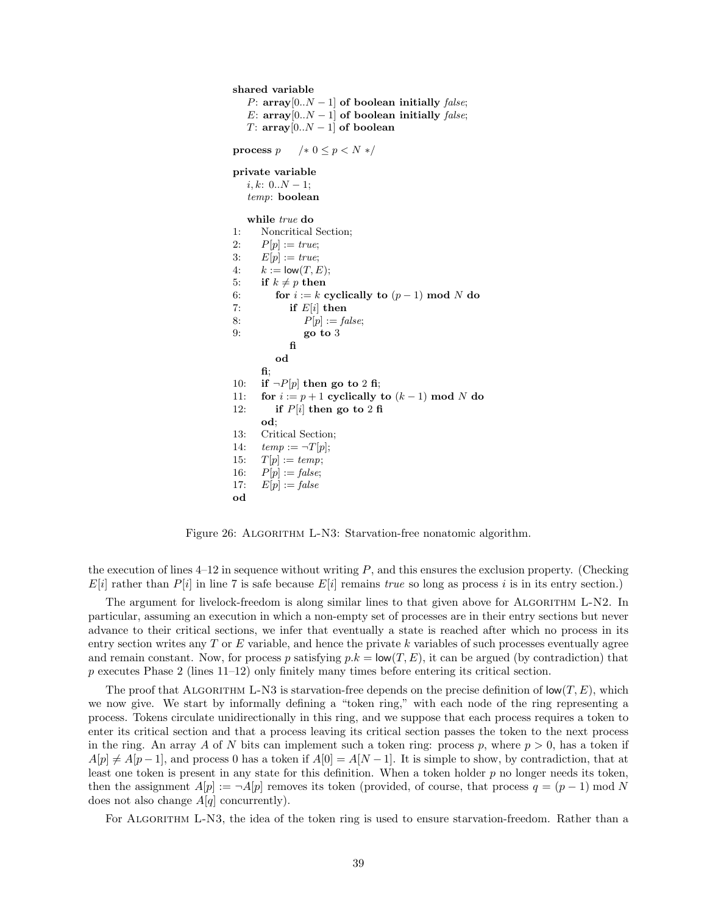**shared variable** P:  $array[0..N-1]$  of boolean initially *false*; E:  $\text{array}[0..N-1]$  of boolean initially false; T:  $\arctan\left[0..N-1\right]$  of boolean **process**  $p \quad \neq 0 \leq p < N \neq 0$ **private variable**  $i, k: 0..N-1;$ temp: **boolean while** true **do** 1: Noncritical Section; 2:  $P[p] := true;$ 3:  $E[p] := true;$ 4:  $k := \text{low}(T, E);$ <br>5: if  $k \neq p$  then if  $k \neq p$  then 6: **for**  $i := k$  **cyclically to**  $(p-1)$  **mod** N **do** 7: **if** E[i] **then** 8:  $P[p] := \text{false};$ 9: **go to** 3 **fi od fi**; 10: **if**  $\neg P[p]$  **then go to** 2 **fi**; 11: **for**  $i := p + 1$  **cyclically to**  $(k - 1)$  **mod** N **do** 12: **if**  $P[i]$  **then go to** 2 **fi od**; 13: Critical Section; 14:  $temp := \neg T[p];$ 15:  $T[p] := temp;$ 16:  $P[p] := \text{false};$ 17:  $E[p] := \text{false}$ **od**

Figure 26: ALGORITHM L-N3: Starvation-free nonatomic algorithm.

the execution of lines  $4-12$  in sequence without writing  $P$ , and this ensures the exclusion property. (Checking  $E[i]$  rather than  $P[i]$  in line 7 is safe because  $E[i]$  remains *true* so long as process *i* is in its entry section.)

The argument for livelock-freedom is along similar lines to that given above for ALGORITHM L-N2. In particular, assuming an execution in which a non-empty set of processes are in their entry sections but never advance to their critical sections, we infer that eventually a state is reached after which no process in its entry section writes any T or E variable, and hence the private k variables of such processes eventually agree and remain constant. Now, for process p satisfying  $p.k = \text{low}(T, E)$ , it can be argued (by contradiction) that  $p$  executes Phase 2 (lines 11–12) only finitely many times before entering its critical section.

The proof that ALGORITHM L-N3 is starvation-free depends on the precise definition of  $\mathsf{low}(T,E)$ , which we now give. We start by informally defining a "token ring," with each node of the ring representing a process. Tokens circulate unidirectionally in this ring, and we suppose that each process requires a token to enter its critical section and that a process leaving its critical section passes the token to the next process in the ring. An array A of N bits can implement such a token ring: process p, where  $p > 0$ , has a token if  $A[p] \neq A[p-1]$ , and process 0 has a token if  $A[0] = A[N-1]$ . It is simple to show, by contradiction, that at least one token is present in any state for this definition. When a token holder p no longer needs its token, then the assignment  $A[p] := \neg A[p]$  removes its token (provided, of course, that process  $q = (p-1) \mod N$ does not also change  $A[q]$  concurrently).

For ALGORITHM L-N3, the idea of the token ring is used to ensure starvation-freedom. Rather than a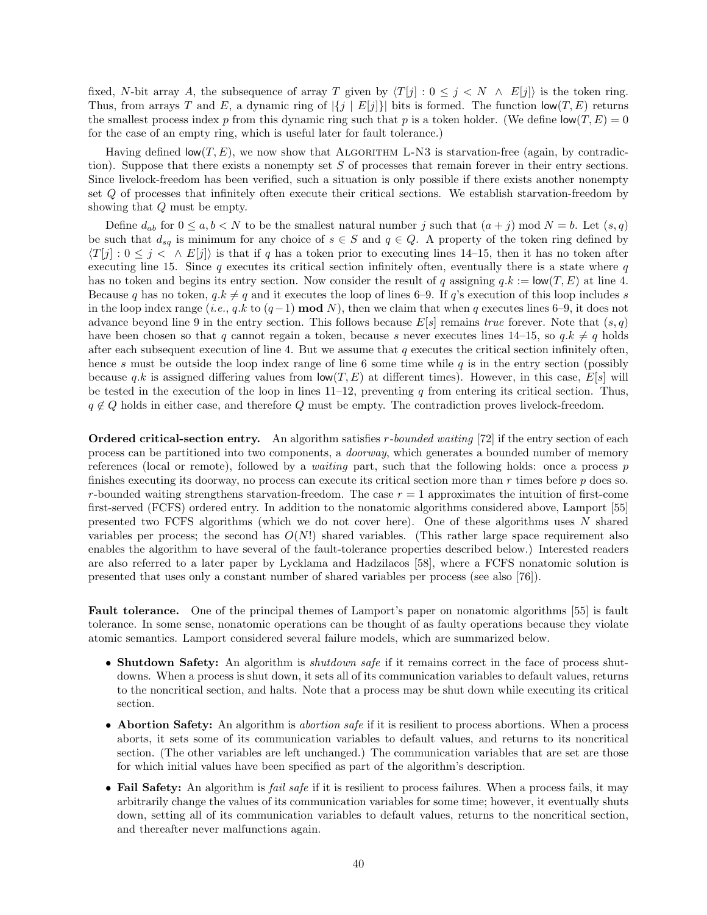fixed, N-bit array A, the subsequence of array T given by  $\langle T[j] : 0 \leq j \leq N \land E[j] \rangle$  is the token ring. Thus, from arrays T and E, a dynamic ring of  $\{j | E[j]\}\$  bits is formed. The function  $\textsf{low}(T,E)$  returns the smallest process index p from this dynamic ring such that p is a token holder. (We define  $\mathsf{low}(T,E)=0$ for the case of an empty ring, which is useful later for fault tolerance.)

Having defined  $\textsf{low}(T,E)$ , we now show that ALGORITHM L-N3 is starvation-free (again, by contradiction). Suppose that there exists a nonempty set S of processes that remain forever in their entry sections. Since livelock-freedom has been verified, such a situation is only possible if there exists another nonempty set Q of processes that infinitely often execute their critical sections. We establish starvation-freedom by showing that Q must be empty.

Define  $d_{ab}$  for  $0 \leq a, b < N$  to be the smallest natural number j such that  $(a + j)$  mod  $N = b$ . Let  $(s, q)$ be such that  $d_{sq}$  is minimum for any choice of  $s \in S$  and  $q \in Q$ . A property of the token ring defined by  $\langle T[j]:0\leq j\leq\wedge E[j]\rangle$  is that if q has a token prior to executing lines 14–15, then it has no token after executing line 15. Since  $q$  executes its critical section infinitely often, eventually there is a state where  $q$ has no token and begins its entry section. Now consider the result of q assigning  $q.k := \text{low}(T, E)$  at line 4. Because q has no token,  $q.k \neq q$  and it executes the loop of lines 6–9. If q's execution of this loop includes s in the loop index range (*i.e.*, q.k to  $(q-1) \mod N$ ), then we claim that when q executes lines 6–9, it does not advance beyond line 9 in the entry section. This follows because  $E[s]$  remains *true* forever. Note that  $(s, q)$ have been chosen so that q cannot regain a token, because s never executes lines  $14-15$ , so  $q.k \neq q$  holds after each subsequent execution of line 4. But we assume that  $q$  executes the critical section infinitely often, hence s must be outside the loop index range of line 6 some time while q is in the entry section (possibly because q.k is assigned differing values from  $\text{low}(T,E)$  at different times). However, in this case,  $E[s]$  will be tested in the execution of the loop in lines  $11-12$ , preventing q from entering its critical section. Thus,  $q \notin Q$  holds in either case, and therefore Q must be empty. The contradiction proves livelock-freedom.

**Ordered critical-section entry.** An algorithm satisfies r*-bounded waiting* [72] if the entry section of each process can be partitioned into two components, a *doorway*, which generates a bounded number of memory references (local or remote), followed by a *waiting* part, such that the following holds: once a process p finishes executing its doorway, no process can execute its critical section more than  $r$  times before  $p$  does so. r-bounded waiting strengthens starvation-freedom. The case  $r = 1$  approximates the intuition of first-come first-served (FCFS) ordered entry. In addition to the nonatomic algorithms considered above, Lamport [55] presented two FCFS algorithms (which we do not cover here). One of these algorithms uses N shared variables per process; the second has  $O(N!)$  shared variables. (This rather large space requirement also enables the algorithm to have several of the fault-tolerance properties described below.) Interested readers are also referred to a later paper by Lycklama and Hadzilacos [58], where a FCFS nonatomic solution is presented that uses only a constant number of shared variables per process (see also [76]).

**Fault tolerance.** One of the principal themes of Lamport's paper on nonatomic algorithms [55] is fault tolerance. In some sense, nonatomic operations can be thought of as faulty operations because they violate atomic semantics. Lamport considered several failure models, which are summarized below.

- **Shutdown Safety:** An algorithm is *shutdown safe* if it remains correct in the face of process shutdowns. When a process is shut down, it sets all of its communication variables to default values, returns to the noncritical section, and halts. Note that a process may be shut down while executing its critical section.
- **Abortion Safety:** An algorithm is *abortion safe* if it is resilient to process abortions. When a process aborts, it sets some of its communication variables to default values, and returns to its noncritical section. (The other variables are left unchanged.) The communication variables that are set are those for which initial values have been specified as part of the algorithm's description.
- **Fail Safety:** An algorithm is *fail safe* if it is resilient to process failures. When a process fails, it may arbitrarily change the values of its communication variables for some time; however, it eventually shuts down, setting all of its communication variables to default values, returns to the noncritical section, and thereafter never malfunctions again.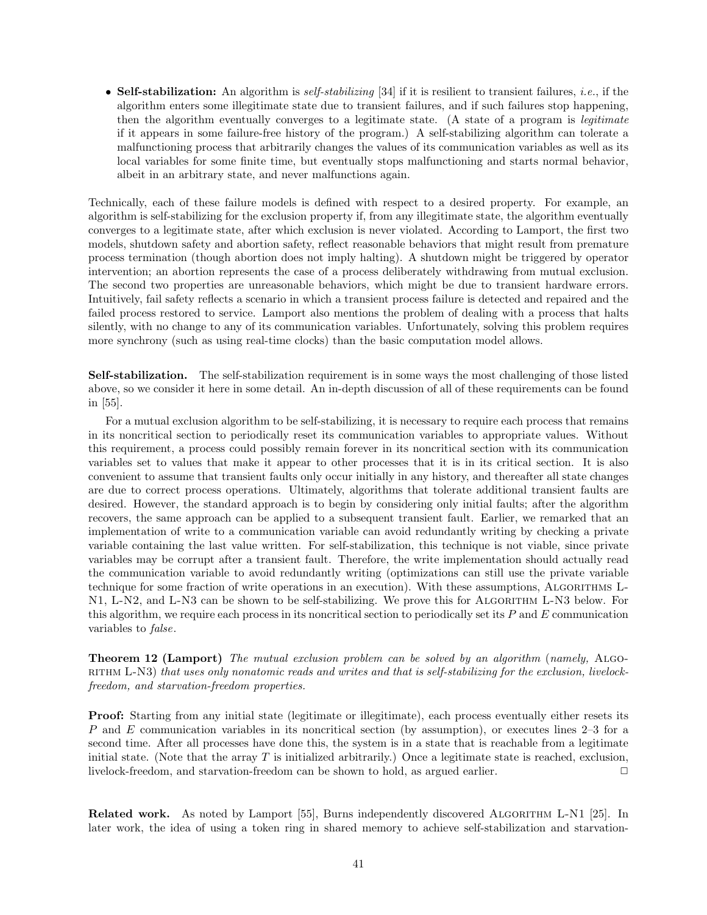• **Self-stabilization:** An algorithm is *self-stabilizing* [34] if it is resilient to transient failures, *i.e.*, if the algorithm enters some illegitimate state due to transient failures, and if such failures stop happening, then the algorithm eventually converges to a legitimate state. (A state of a program is *legitimate* if it appears in some failure-free history of the program.) A self-stabilizing algorithm can tolerate a malfunctioning process that arbitrarily changes the values of its communication variables as well as its local variables for some finite time, but eventually stops malfunctioning and starts normal behavior, albeit in an arbitrary state, and never malfunctions again.

Technically, each of these failure models is defined with respect to a desired property. For example, an algorithm is self-stabilizing for the exclusion property if, from any illegitimate state, the algorithm eventually converges to a legitimate state, after which exclusion is never violated. According to Lamport, the first two models, shutdown safety and abortion safety, reflect reasonable behaviors that might result from premature process termination (though abortion does not imply halting). Ashutdown might be triggered by operator intervention; an abortion represents the case of a process deliberately withdrawing from mutual exclusion. The second two properties are unreasonable behaviors, which might be due to transient hardware errors. Intuitively, fail safety reflects a scenario in which a transient process failure is detected and repaired and the failed process restored to service. Lamport also mentions the problem of dealing with a process that halts silently, with no change to any of its communication variables. Unfortunately, solving this problem requires more synchrony (such as using real-time clocks) than the basic computation model allows.

**Self-stabilization.** The self-stabilization requirement is in some ways the most challenging of those listed above, so we consider it here in some detail. An in-depth discussion of all of these requirements can be found in [55].

For a mutual exclusion algorithm to be self-stabilizing, it is necessary to require each process that remains in its noncritical section to periodically reset its communication variables to appropriate values. Without this requirement, a process could possibly remain forever in its noncritical section with its communication variables set to values that make it appear to other processes that it is in its critical section. It is also convenient to assume that transient faults only occur initially in any history, and thereafter all state changes are due to correct process operations. Ultimately, algorithms that tolerate additional transient faults are desired. However, the standard approach is to begin by considering only initial faults; after the algorithm recovers, the same approach can be applied to a subsequent transient fault. Earlier, we remarked that an implementation of write to a communication variable can avoid redundantly writing by checking a private variable containing the last value written. For self-stabilization, this technique is not viable, since private variables may be corrupt after a transient fault. Therefore, the write implementation should actually read the communication variable to avoid redundantly writing (optimizations can still use the private variable technique for some fraction of write operations in an execution). With these assumptions, ALGORITHMS L-N1, L-N2, and L-N3 can be shown to be self-stabilizing. We prove this for ALGORITHM L-N3 below. For this algorithm, we require each process in its noncritical section to periodically set its  $P$  and  $E$  communication variables to *false*.

**Theorem 12 (Lamport)** *The mutual exclusion problem can be solved by an algorithm* (*namely,* Algo-RITHM L-N3) *that uses only nonatomic reads and writes and that is self-stabilizing for the exclusion, livelockfreedom, and starvation-freedom properties.*

**Proof:** Starting from any initial state (legitimate or illegitimate), each process eventually either resets its P and E communication variables in its noncritical section (by assumption), or executes lines 2–3 for a second time. After all processes have done this, the system is in a state that is reachable from a legitimate initial state. (Note that the array  $T$  is initialized arbitrarily.) Once a legitimate state is reached, exclusion, livelock-freedom, and starvation-freedom can be shown to hold, as argued earlier. □

**Related work.** As noted by Lamport [55], Burns independently discovered ALGORITHM L-N1 [25]. In later work, the idea of using a token ring in shared memory to achieve self-stabilization and starvation-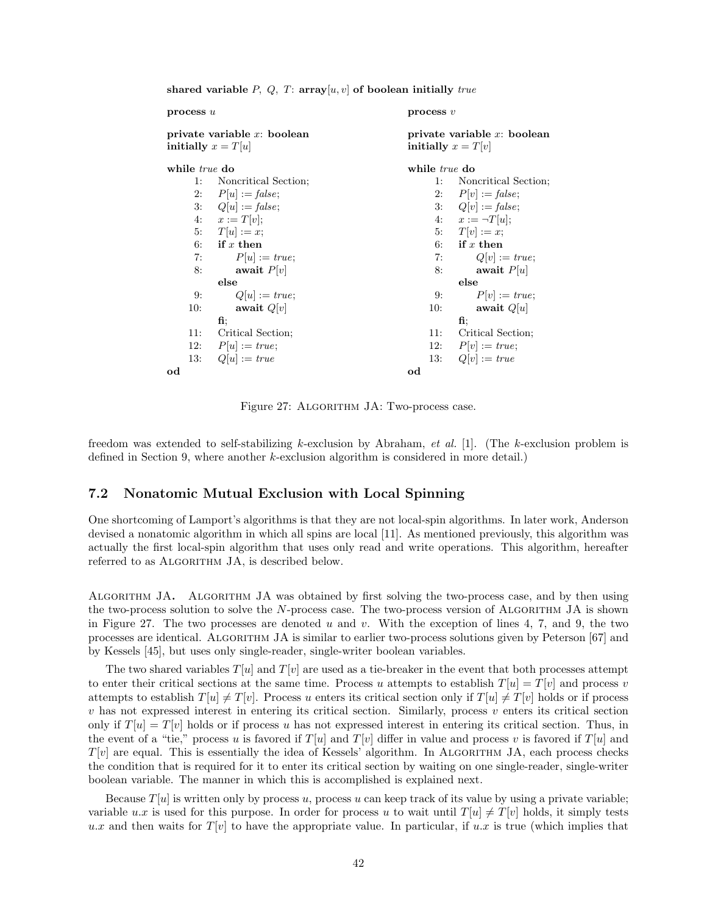| process $u$          |                                |    | $\boldsymbol{process}\ v$ |                                                        |
|----------------------|--------------------------------|----|---------------------------|--------------------------------------------------------|
| initially $x = T[u]$ | private variable $x$ : boolean |    |                           | private variable $x$ : boolean<br>initially $x = T[v]$ |
| while <i>true</i> do |                                |    | while <i>true</i> do      |                                                        |
| 1:                   | Noncritical Section;           |    | 1:                        | Noncritical Section;                                   |
|                      | 2: $P[u] := \text{false};$     |    |                           | 2: $P[v] := \text{false};$                             |
|                      | 3: $Q[u] := \text{false};$     |    |                           | 3: $Q[v] := \text{false};$                             |
|                      | 4: $x := T[v]$                 |    |                           | 4: $x := \neg T[u]$ ;                                  |
|                      | 5: $T[u] := x;$                |    |                           | 5: $T[v] := x;$                                        |
|                      | 6: if x then                   |    |                           | 6: if x then                                           |
|                      | 7:<br>$P[u] := true;$          |    | 7:                        | $Q[v] := true;$                                        |
| 8:                   | await $P[v]$                   |    | 8:                        | await $P[u]$                                           |
|                      | else                           |    |                           | else                                                   |
| 9:                   | $Q[u] := true;$                |    | 9:                        | $P[v] := true;$                                        |
| 10:                  | await $Q[v]$                   |    | 10:                       | await $Q[u]$                                           |
|                      | fi:                            |    |                           | $\mathbf{f}$                                           |
|                      | 11: Critical Section;          |    |                           | 11: Critical Section;                                  |
|                      | 12: $P[u] := true;$            |    |                           | 12: $P[v] := true;$                                    |
|                      | 13: $Q[u] := true$             |    |                           | 13: $Q[v] := true$                                     |
| od                   |                                | od |                           |                                                        |

shared variable  $P$ ,  $Q$ ,  $T$ :  $array[u, v]$  of boolean initially true

Figure 27: ALGORITHM JA: Two-process case.

freedom was extended to self-stabilizing k-exclusion by Abraham, *et al.* [1]. (The k-exclusion problem is defined in Section 9, where another k-exclusion algorithm is considered in more detail.)

#### **7.2 Nonatomic Mutual Exclusion with Local Spinning**

One shortcoming of Lamport's algorithms is that they are not local-spin algorithms. In later work, Anderson devised a nonatomic algorithm in which all spins are local [11]. As mentioned previously, this algorithm was actually the first local-spin algorithm that uses only read and write operations. This algorithm, hereafter referred to as ALGORITHM JA, is described below.

Algorithm JA**.** Algorithm JA was obtained by first solving the two-process case, and by then using the two-process solution to solve the <sup>N</sup>-process case. The two-process version of Algorithm JA is shown in Figure 27. The two processes are denoted u and v. With the exception of lines 4, 7, and 9, the two processes are identical. ALGORITHM JA is similar to earlier two-process solutions given by Peterson [67] and by Kessels [45], but uses only single-reader, single-writer boolean variables.

The two shared variables  $T[u]$  and  $T[v]$  are used as a tie-breaker in the event that both processes attempt to enter their critical sections at the same time. Process u attempts to establish  $T[u] = T[v]$  and process v attempts to establish  $T[u] \neq T[v]$ . Process u enters its critical section only if  $T[u] \neq T[v]$  holds or if process  $v$  has not expressed interest in entering its critical section. Similarly, process  $v$  enters its critical section only if  $T[u] = T[v]$  holds or if process u has not expressed interest in entering its critical section. Thus, in the event of a "tie," process u is favored if  $T[u]$  and  $T[v]$  differ in value and process v is favored if  $T[u]$  and  $T|v|$  are equal. This is essentially the idea of Kessels' algorithm. In ALGORITHM JA, each process checks the condition that is required for it to enter its critical section by waiting on one single-reader, single-writer boolean variable. The manner in which this is accomplished is explained next.

Because  $T[u]$  is written only by process u, process u can keep track of its value by using a private variable; variable u.x is used for this purpose. In order for process u to wait until  $T[u] \neq T[v]$  holds, it simply tests u.x and then waits for  $T[v]$  to have the appropriate value. In particular, if u.x is true (which implies that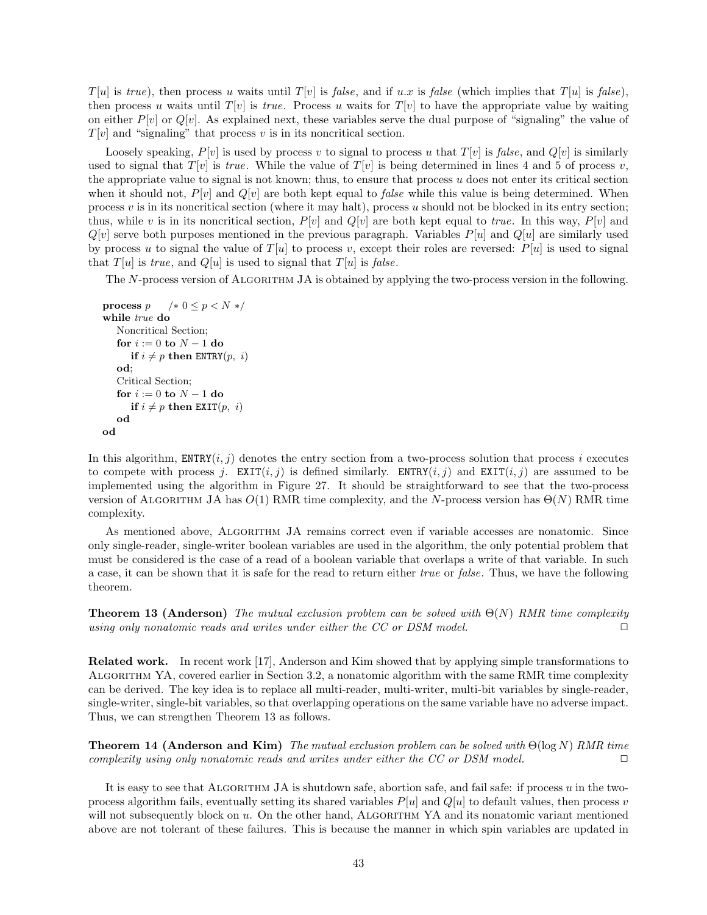$T[u]$  is *true*), then process u waits until  $T[v]$  is *false*, and if u.x is *false* (which implies that  $T[u]$  is *false*), then process u waits until  $T[v]$  is *true*. Process u waits for  $T[v]$  to have the appropriate value by waiting on either  $P[v]$  or  $Q[v]$ . As explained next, these variables serve the dual purpose of "signaling" the value of  $T[v]$  and "signaling" that process v is in its noncritical section.

Loosely speaking,  $P[v]$  is used by process v to signal to process u that  $T[v]$  is *false*, and  $Q[v]$  is similarly used to signal that  $T[v]$  is *true*. While the value of  $T[v]$  is being determined in lines 4 and 5 of process v, the appropriate value to signal is not known; thus, to ensure that process  $u$  does not enter its critical section when it should not,  $P[v]$  and  $Q[v]$  are both kept equal to *false* while this value is being determined. When process  $v$  is in its noncritical section (where it may halt), process  $u$  should not be blocked in its entry section; thus, while v is in its noncritical section,  $P[v]$  and  $Q[v]$  are both kept equal to *true*. In this way,  $P[v]$  and  $Q[v]$  serve both purposes mentioned in the previous paragraph. Variables  $P[u]$  and  $Q[u]$  are similarly used by process u to signal the value of  $T[u]$  to process v, except their roles are reversed:  $P[u]$  is used to signal that  $T[u]$  is *true*, and  $Q[u]$  is used to signal that  $T[u]$  is *false*.

The N-process version of ALGORITHM JA is obtained by applying the two-process version in the following.

```
process p \quad \neq 0 \leq p \leq N \neq 0while true do
   Noncritical Section;
   for i := 0 to N - 1 do
      if i \neq p then ENTRY(p, i)od;
   Critical Section;
   for i := 0 to N - 1 do
      if i \neq p then EXIT(p, i)od
od
```
In this algorithm,  $ENTRY(i, j)$  denotes the entry section from a two-process solution that process i executes to compete with process *j*.  $\text{EXT}(i, j)$  is defined similarly.  $\text{ENTRY}(i, j)$  and  $\text{EXT}(i, j)$  are assumed to be implemented using the algorithm in Figure 27. It should be straightforward to see that the two-process version of ALGORITHM JA has  $O(1)$  RMR time complexity, and the N-process version has  $\Theta(N)$  RMR time complexity.

As mentioned above, ALGORITHM JA remains correct even if variable accesses are nonatomic. Since only single-reader, single-writer boolean variables are used in the algorithm, the only potential problem that must be considered is the case of a read of a boolean variable that overlaps a write of that variable. In such a case, it can be shown that it is safe for the read to return either *true* or *false*. Thus, we have the following theorem.

**Theorem 13 (Anderson)** *The mutual exclusion problem can be solved with* Θ(N) *RMR time complexity*  $using only nontomic reads and writes under either the CC or DSM model.$ 

**Related work.** In recent work [17], Anderson and Kim showed that by applying simple transformations to Algorithm YA, covered earlier in Section 3.2, a nonatomic algorithm with the same RMR time complexity can be derived. The key idea is to replace all multi-reader, multi-writer, multi-bit variables by single-reader, single-writer, single-bit variables, so that overlapping operations on the same variable have no adverse impact. Thus, we can strengthen Theorem 13 as follows.

**Theorem 14 (Anderson and Kim)** *The mutual exclusion problem can be solved with* Θ(log N) *RMR time complexity using only nonatomic reads and writes under either the CC or DSM model.*  $\square$ 

It is easy to see that ALGORITHM JA is shutdown safe, abortion safe, and fail safe: if process u in the twoprocess algorithm fails, eventually setting its shared variables  $P[u]$  and  $Q[u]$  to default values, then process v will not subsequently block on  $u$ . On the other hand, ALGORITHM YA and its nonatomic variant mentioned above are not tolerant of these failures. This is because the manner in which spin variables are updated in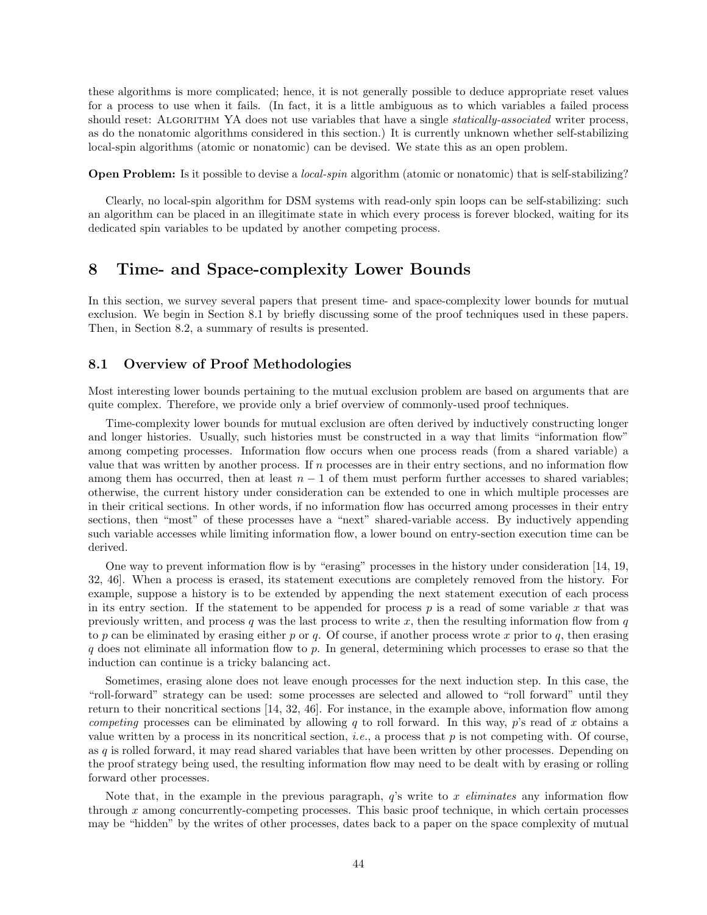these algorithms is more complicated; hence, it is not generally possible to deduce appropriate reset values for a process to use when it fails. (In fact, it is a little ambiguous as to which variables a failed process should reset: Algorithm YA does not use variables that have a single *statically-associated* writer process, as do the nonatomic algorithms considered in this section.) It is currently unknown whether self-stabilizing local-spin algorithms (atomic or nonatomic) can be devised. We state this as an open problem.

**Open Problem:** Is it possible to devise a *local-spin* algorithm (atomic or nonatomic) that is self-stabilizing?

Clearly, no local-spin algorithm for DSM systems with read-only spin loops can be self-stabilizing: such an algorithm can be placed in an illegitimate state in which every process is forever blocked, waiting for its dedicated spin variables to be updated by another competing process.

### **8 Time- and Space-complexity Lower Bounds**

In this section, we survey several papers that present time- and space-complexity lower bounds for mutual exclusion. We begin in Section 8.1 by briefly discussing some of the proof techniques used in these papers. Then, in Section 8.2, a summary of results is presented.

#### **8.1 Overview of Proof Methodologies**

Most interesting lower bounds pertaining to the mutual exclusion problem are based on arguments that are quite complex. Therefore, we provide only a brief overview of commonly-used proof techniques.

Time-complexity lower bounds for mutual exclusion are often derived by inductively constructing longer and longer histories. Usually, such histories must be constructed in a way that limits "information flow" among competing processes. Information flow occurs when one process reads (from a shared variable) a value that was written by another process. If  $n$  processes are in their entry sections, and no information flow among them has occurred, then at least  $n - 1$  of them must perform further accesses to shared variables; otherwise, the current history under consideration can be extended to one in which multiple processes are in their critical sections. In other words, if no information flow has occurred among processes in their entry sections, then "most" of these processes have a "next" shared-variable access. By inductively appending such variable accesses while limiting information flow, a lower bound on entry-section execution time can be derived.

One way to prevent information flow is by "erasing" processes in the history under consideration [14, 19, 32, 46]. When a process is erased, its statement executions are completely removed from the history. For example, suppose a history is to be extended by appending the next statement execution of each process in its entry section. If the statement to be appended for process  $p$  is a read of some variable  $x$  that was previously written, and process q was the last process to write x, then the resulting information flow from  $q$ to p can be eliminated by erasing either p or q. Of course, if another process wrote x prior to q, then erasing q does not eliminate all information flow to p. In general, determining which processes to erase so that the induction can continue is a tricky balancing act.

Sometimes, erasing alone does not leave enough processes for the next induction step. In this case, the "roll-forward" strategy can be used: some processes are selected and allowed to "roll forward" until they return to their noncritical sections [14, 32, 46]. For instance, in the example above, information flow among *competing* processes can be eliminated by allowing q to roll forward. In this way, p's read of x obtains a value written by a process in its noncritical section, *i.e.*, a process that  $p$  is not competing with. Of course, as q is rolled forward, it may read shared variables that have been written by other processes. Depending on the proof strategy being used, the resulting information flow may need to be dealt with by erasing or rolling forward other processes.

Note that, in the example in the previous paragraph, q's write to x *eliminates* any information flow through  $x$  among concurrently-competing processes. This basic proof technique, in which certain processes may be "hidden" by the writes of other processes, dates back to a paper on the space complexity of mutual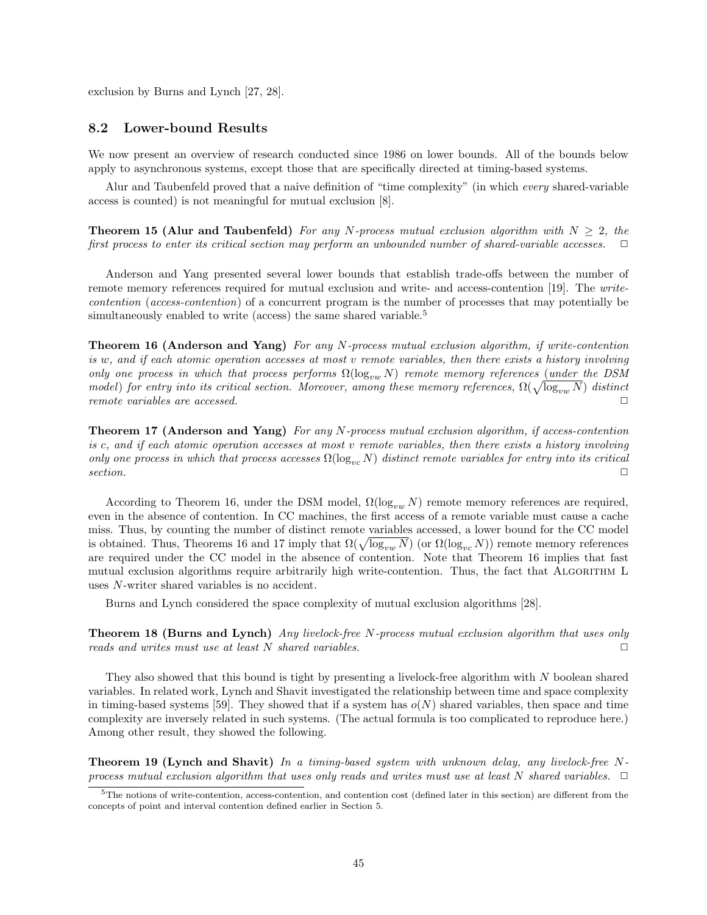exclusion by Burns and Lynch [27, 28].

#### **8.2 Lower-bound Results**

We now present an overview of research conducted since 1986 on lower bounds. All of the bounds below apply to asynchronous systems, except those that are specifically directed at timing-based systems.

Alur and Taubenfeld proved that a naive definition of "time complexity" (in which *every* shared-variable access is counted) is not meaningful for mutual exclusion [8].

**Theorem 15 (Alur and Taubenfeld)** For any N-process mutual exclusion algorithm with  $N \geq 2$ , the *first process to enter its critical section may perform an unbounded number of shared-variable accesses.* ✷

Anderson and Yang presented several lower bounds that establish trade-offs between the number of remote memory references required for mutual exclusion and write- and access-contention [19]. The *writecontention* (*access-contention*) of a concurrent program is the number of processes that may potentially be simultaneously enabled to write (access) the same shared variable.<sup>5</sup>

**Theorem 16 (Anderson and Yang)** *For any* N*-process mutual exclusion algorithm, if write-contention is* w*, and if each atomic operation accesses at most* v *remote variables, then there exists a history involving only one process in which that process performs*  $\Omega(\log_{vw} N)$  *remote memory references* (*under the DSM model*) *for entry into its critical section. Moreover, among these memory references,*  $\Omega(\sqrt{\log_{vw} N})$  *distinct remote variables are accessed. remote variables are accessed.* 

**Theorem 17 (Anderson and Yang)** *For any* N*-process mutual exclusion algorithm, if access-contention is* c*, and if each atomic operation accesses at most* v *remote variables, then there exists a history involving only one process in which that process accesses*  $\Omega(\log_{vc} N)$  *distinct remote variables for entry into its critical*<br> $\Box$ **section.**  $\square$ 

According to Theorem 16, under the DSM model,  $\Omega(\log_{vw} N)$  remote memory references are required, even in the absence of contention. In CC machines, the first access of a remote variable must cause a cache miss. Thus, by counting the number of distinct remote variables accessed, a lower bound for the CC model is obtained. Thus, Theorems 16 and 17 imply that  $\Omega(\sqrt{\log_{vw} N})$  (or  $\Omega(\log_{vc} N)$ ) remote memory references are required under the CC model in the absence of contention. Note that Theorem 16 implies that fast mutual exclusion algorithms require arbitrarily high write-contention. Thus, the fact that Algorithm L uses N-writer shared variables is no accident.

Burns and Lynch considered the space complexity of mutual exclusion algorithms [28].

**Theorem 18 (Burns and Lynch)** *Any livelock-free* N*-process mutual exclusion algorithm that uses only reads and writes must use at least* N *shared variables.* ✷

They also showed that this bound is tight by presenting a livelock-free algorithm with N boolean shared variables. In related work, Lynch and Shavit investigated the relationship between time and space complexity in timing-based systems [59]. They showed that if a system has  $o(N)$  shared variables, then space and time complexity are inversely related in such systems. (The actual formula is too complicated to reproduce here.) Among other result, they showed the following.

**Theorem 19 (Lynch and Shavit)** *In a timing-based system with unknown delay, any livelock-free* N*process mutual exclusion algorithm that uses only reads and writes must use at least* N *shared variables.* ✷

<sup>5</sup>The notions of write-contention, access-contention, and contention cost (defined later in this section) are different from the concepts of point and interval contention defined earlier in Section 5.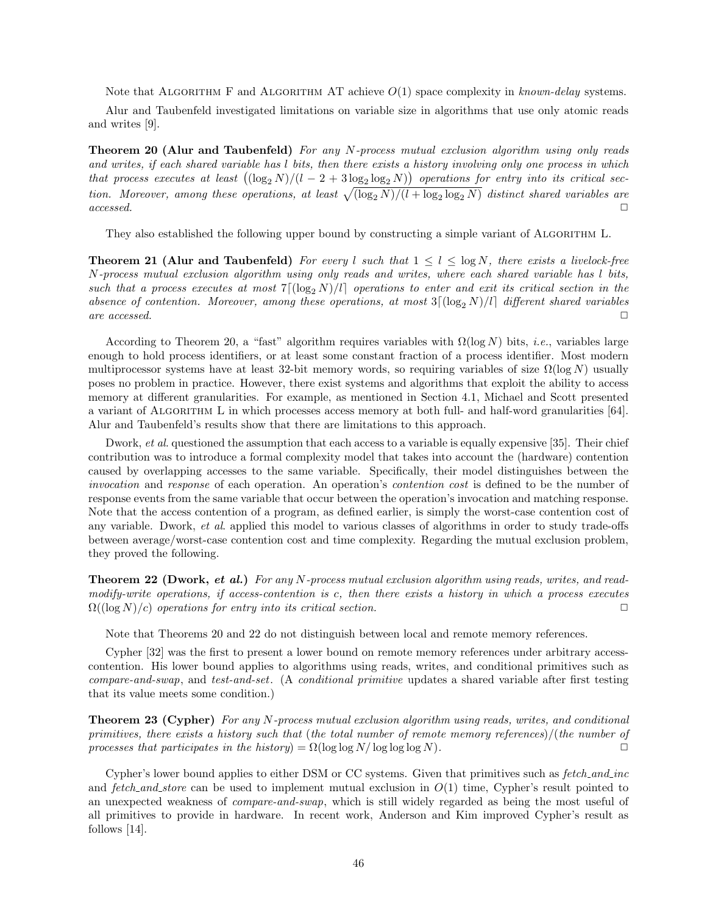Note that ALGORITHM F and ALGORITHM AT achieve  $O(1)$  space complexity in *known-delay* systems.

Alur and Taubenfeld investigated limitations on variable size in algorithms that use only atomic reads and writes [9].

**Theorem 20 (Alur and Taubenfeld)** *For any* N*-process mutual exclusion algorithm using only reads and writes, if each shared variable has* l *bits, then there exists a history involving only one process in which that process executes at least*  $((\log_2 N)/(l - 2 + 3 \log_2 \log_2 N))$  *operations for entry into its critical section. Moreover, among these operations, at least*  $\sqrt{(\log_2 N)/(l + \log_2 \log_2 N)}$  *distinct shared variables are accessed. accessed.*  $\square$ 

They also established the following upper bound by constructing a simple variant of ALGORITHM L.

**Theorem 21 (Alur and Taubenfeld)** For every l such that  $1 \leq l \leq \log N$ , there exists a livelock-free N*-process mutual exclusion algorithm using only reads and writes, where each shared variable has* l *bits,* such that a process executes at most  $7[(\log_2 N)/l]$  operations to enter and exit its critical section in the *absence of contention. Moreover, among these operations, at most*  $3\lceil (\log_2 N)/l \rceil$  *different shared variables*  $\Box$ *are accessed.*  $\square$ 

According to Theorem 20, a "fast" algorithm requires variables with  $\Omega(\log N)$  bits, *i.e.*, variables large enough to hold process identifiers, or at least some constant fraction of a process identifier. Most modern multiprocessor systems have at least 32-bit memory words, so requiring variables of size  $\Omega(\log N)$  usually poses no problem in practice. However, there exist systems and algorithms that exploit the ability to access memory at different granularities. For example, as mentioned in Section 4.1, Michael and Scott presented a variant of Algorithm L in which processes access memory at both full- and half-word granularities [64]. Alur and Taubenfeld's results show that there are limitations to this approach.

Dwork, *et al*. questioned the assumption that each access to a variable is equally expensive [35]. Their chief contribution was to introduce a formal complexity model that takes into account the (hardware) contention caused by overlapping accesses to the same variable. Specifically, their model distinguishes between the *invocation* and *response* of each operation. An operation's *contention cost* is defined to be the number of response events from the same variable that occur between the operation's invocation and matching response. Note that the access contention of a program, as defined earlier, is simply the worst-case contention cost of any variable. Dwork, *et al*. applied this model to various classes of algorithms in order to study trade-offs between average/worst-case contention cost and time complexity. Regarding the mutual exclusion problem, they proved the following.

**Theorem 22 (Dwork,** *et al.***)** *For any* N*-process mutual exclusion algorithm using reads, writes, and readmodify-write operations, if access-contention is* c*, then there exists a history in which a process executes*  $\Omega((\log N)/c)$  *operations for entry into its critical section.*  $\square$ 

Note that Theorems 20 and 22 do not distinguish between local and remote memory references.

Cypher [32] was the first to present a lower bound on remote memory references under arbitrary accesscontention. His lower bound applies to algorithms using reads, writes, and conditional primitives such as *compare-and-swap*, and *test-and-set*. (A *conditional primitive* updates a shared variable after first testing that its value meets some condition.)

**Theorem 23 (Cypher)** *For any* N*-process mutual exclusion algorithm using reads, writes, and conditional primitives, there exists a history such that* (*the total number of remote memory references*)/(*the number of processes that participates in the history*) =  $\Omega(\log \log N/\log \log \log N)$ .

Cypher's lower bound applies to either DSM or CC systems. Given that primitives such as *fetch and inc* and *fetch* and *store* can be used to implement mutual exclusion in  $O(1)$  time, Cypher's result pointed to an unexpected weakness of *compare-and-swap*, which is still widely regarded as being the most useful of all primitives to provide in hardware. In recent work, Anderson and Kim improved Cypher's result as follows [14].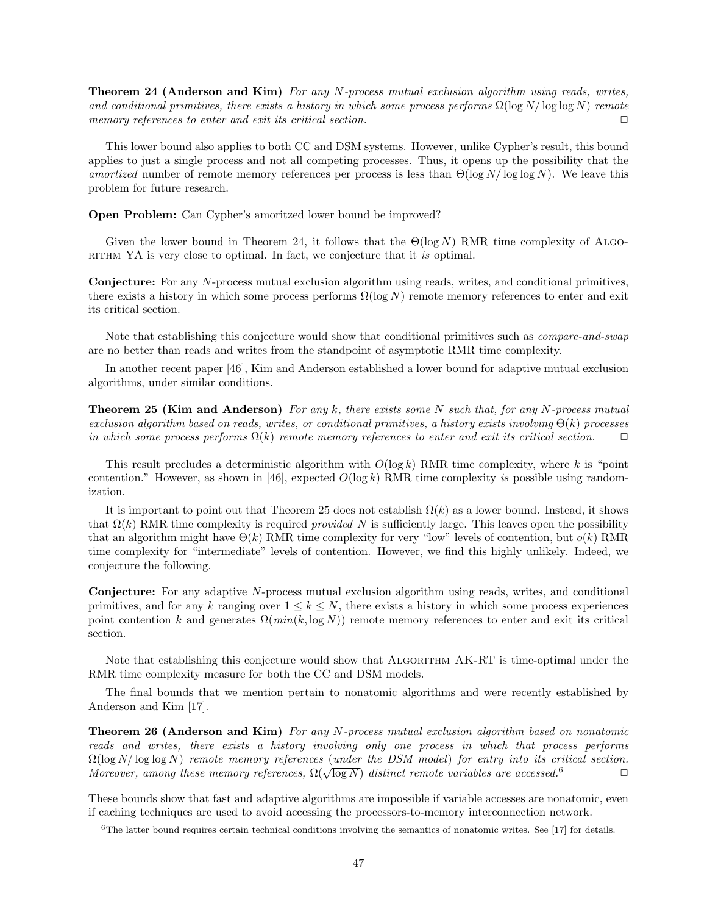**Theorem 24 (Anderson and Kim)** *For any* N*-process mutual exclusion algorithm using reads, writes, and conditional primitives, there exists a history in which some process performs*  $\Omega(\log N/\log \log N)$  *remote*  $m$ *emory references to enter and exit its critical section.*  $\Box$ 

This lower bound also applies to both CC and DSM systems. However, unlike Cypher's result, this bound applies to just a single process and not all competing processes. Thus, it opens up the possibility that the *amortized* number of remote memory references per process is less than  $\Theta(\log N/\log \log N)$ . We leave this problem for future research.

**Open Problem:** Can Cypher's amoritzed lower bound be improved?

Given the lower bound in Theorem 24, it follows that the  $\Theta(\log N)$  RMR time complexity of ALGOrithm YA is very close to optimal. In fact, we conjecture that it *is* optimal.

**Conjecture:** For any N-process mutual exclusion algorithm using reads, writes, and conditional primitives, there exists a history in which some process performs  $\Omega(\log N)$  remote memory references to enter and exit its critical section.

Note that establishing this conjecture would show that conditional primitives such as *compare-and-swap* are no better than reads and writes from the standpoint of asymptotic RMR time complexity.

In another recent paper [46], Kim and Anderson established a lower bound for adaptive mutual exclusion algorithms, under similar conditions.

**Theorem 25 (Kim and Anderson)** *For any* k*, there exists some* N *such that, for any* N*-process mutual exclusion algorithm based on reads, writes, or conditional primitives, a history exists involving* Θ(k) *processes in which some process performs*  $\Omega(k)$  *remote memory references to enter and exit its critical section.*  $\Box$ 

This result precludes a deterministic algorithm with  $O(\log k)$  RMR time complexity, where k is "point" contention." However, as shown in [46], expected  $O(\log k)$  RMR time complexity *is* possible using randomization.

It is important to point out that Theorem 25 does not establish  $\Omega(k)$  as a lower bound. Instead, it shows that  $\Omega(k)$  RMR time complexity is required *provided* N is sufficiently large. This leaves open the possibility that an algorithm might have  $\Theta(k)$  RMR time complexity for very "low" levels of contention, but  $o(k)$  RMR time complexity for "intermediate" levels of contention. However, we find this highly unlikely. Indeed, we conjecture the following.

**Conjecture:** For any adaptive N-process mutual exclusion algorithm using reads, writes, and conditional primitives, and for any k ranging over  $1 \leq k \leq N$ , there exists a history in which some process experiences point contention k and generates  $\Omega(min(k, \log N))$  remote memory references to enter and exit its critical section.

Note that establishing this conjecture would show that ALGORITHM AK-RT is time-optimal under the RMR time complexity measure for both the CC and DSM models.

The final bounds that we mention pertain to nonatomic algorithms and were recently established by Anderson and Kim [17].

**Theorem 26 (Anderson and Kim)** *For any* N*-process mutual exclusion algorithm based on nonatomic reads and writes, there exists a history involving only one process in which that process performs* Ω(log N/ log log N) *remote memory references* (*under the DSM model*) *for entry into its critical section. Moreover, among these memory references,*  $\Omega(\sqrt{\log N})$  *distinct remote variables are accessed.*<sup>6</sup>

These bounds show that fast and adaptive algorithms are impossible if variable accesses are nonatomic, even if caching techniques are used to avoid accessing the processors-to-memory interconnection network.

 $6$ The latter bound requires certain technical conditions involving the semantics of nonatomic writes. See [17] for details.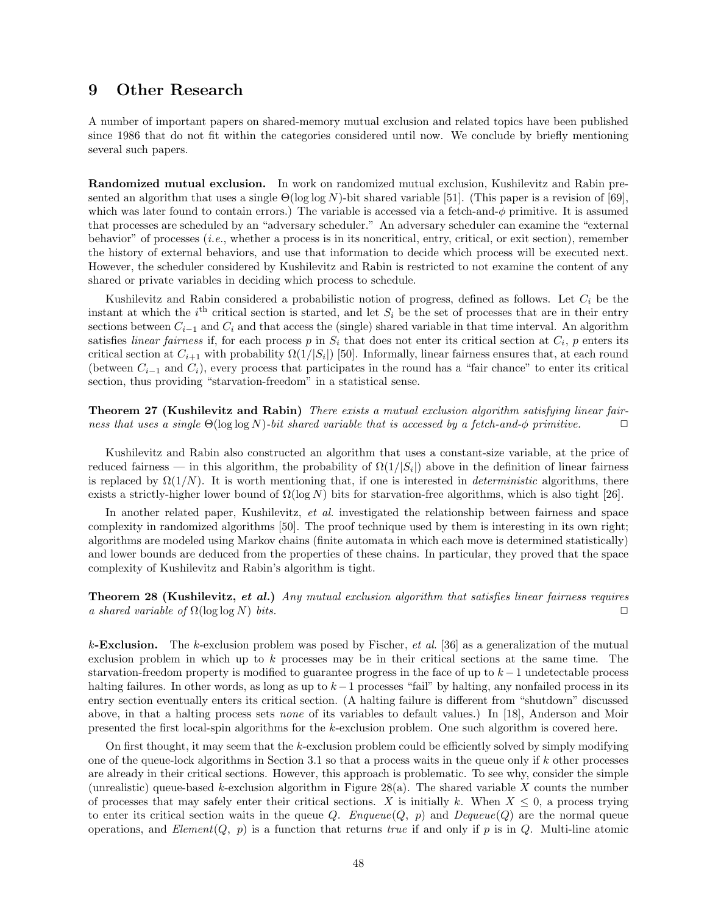### **9 Other Research**

Anumber of important papers on shared-memory mutual exclusion and related topics have been published since 1986 that do not fit within the categories considered until now. We conclude by briefly mentioning several such papers.

**Randomized mutual exclusion.** In work on randomized mutual exclusion, Kushilevitz and Rabin presented an algorithm that uses a single  $\Theta(\log \log N)$ -bit shared variable [51]. (This paper is a revision of [69], which was later found to contain errors.) The variable is accessed via a fetch-and-φ primitive. It is assumed that processes are scheduled by an "adversary scheduler." An adversary scheduler can examine the "external behavior" of processes (*i.e.*, whether a process is in its noncritical, entry, critical, or exit section), remember the history of external behaviors, and use that information to decide which process will be executed next. However, the scheduler considered by Kushilevitz and Rabin is restricted to not examine the content of any shared or private variables in deciding which process to schedule.

Kushilevitz and Rabin considered a probabilistic notion of progress, defined as follows. Let  $C_i$  be the instant at which the  $i<sup>th</sup>$  critical section is started, and let  $S_i$  be the set of processes that are in their entry sections between  $C_{i-1}$  and  $C_i$  and that access the (single) shared variable in that time interval. An algorithm satisfies *linear fairness* if, for each process p in  $S_i$  that does not enter its critical section at  $C_i$ , p enters its critical section at  $C_{i+1}$  with probability  $\Omega(1/|S_i|)$  [50]. Informally, linear fairness ensures that, at each round (between <sup>C</sup><sup>i</sup>*−*<sup>1</sup> and <sup>C</sup>i), every process that participates in the round has a "fair chance" to enter its critical section, thus providing "starvation-freedom" in a statistical sense.

**Theorem 27 (Kushilevitz and Rabin)** *There exists a mutual exclusion algorithm satisfying linear fairness that uses a single* Θ(log log N)*-bit shared variable that is accessed by a fetch-and-φ primitive.* □

Kushilevitz and Rabin also constructed an algorithm that uses a constant-size variable, at the price of reduced fairness — in this algorithm, the probability of  $\Omega(1/|S_i|)$  above in the definition of linear fairness is replaced by  $\Omega(1/N)$ . It is worth mentioning that, if one is interested in *deterministic* algorithms, there exists a strictly-higher lower bound of  $\Omega(\log N)$  bits for starvation-free algorithms, which is also tight [26].

In another related paper, Kushilevitz, *et al.* investigated the relationship between fairness and space complexity in randomized algorithms [50]. The proof technique used by them is interesting in its own right; algorithms are modeled using Markov chains (finite automata in which each move is determined statistically) and lower bounds are deduced from the properties of these chains. In particular, they proved that the space complexity of Kushilevitz and Rabin's algorithm is tight.

**Theorem 28 (Kushilevitz,** *et al.***)** *Any mutual exclusion algorithm that satisfies linear fairness requires a shared variable of*  $\Omega(\log \log N)$  *bits.*  $\square$ 

k**-Exclusion.** The k-exclusion problem was posed by Fischer, *et al*. [36] as a generalization of the mutual exclusion problem in which up to  $k$  processes may be in their critical sections at the same time. The starvation-freedom property is modified to guarantee progress in the face of up to  $k-1$  undetectable process halting failures. In other words, as long as up to  $k-1$  processes "fail" by halting, any nonfailed process in its entry section eventually enters its critical section. (Ahalting failure is different from "shutdown" discussed above, in that a halting process sets *none* of its variables to default values.) In [18], Anderson and Moir presented the first local-spin algorithms for the k-exclusion problem. One such algorithm is covered here.

On first thought, it may seem that the k-exclusion problem could be efficiently solved by simply modifying one of the queue-lock algorithms in Section 3.1 so that a process waits in the queue only if k other processes are already in their critical sections. However, this approach is problematic. To see why, consider the simple (unrealistic) queue-based k-exclusion algorithm in Figure  $28(a)$ . The shared variable X counts the number of processes that may safely enter their critical sections. X is initially k. When  $X \leq 0$ , a process trying to enter its critical section waits in the queue  $Q$ . *Enqueue*( $Q$ ,  $p$ ) and *Dequeue*( $Q$ ) are the normal queue operations, and *Element*( $Q$ ,  $p$ ) is a function that returns *true* if and only if p is in  $Q$ . Multi-line atomic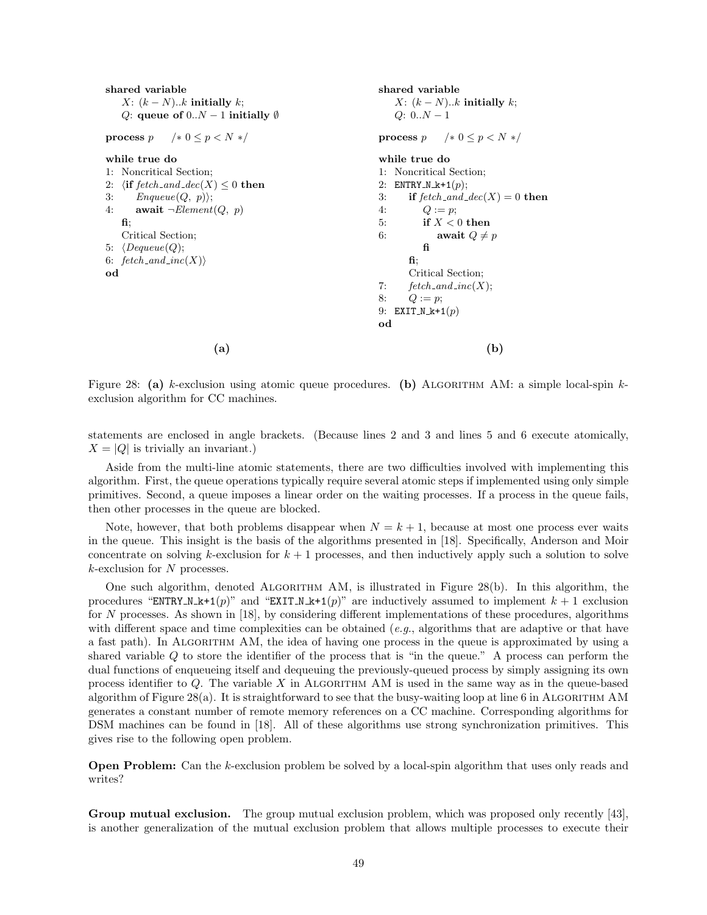| shared variable<br>X: $(k - N)$ k initially k;                                                                                                                                                                                                                                      | shared variable<br>X: $(k - N)$ k initially k;                                                                                                                                                                                                             |
|-------------------------------------------------------------------------------------------------------------------------------------------------------------------------------------------------------------------------------------------------------------------------------------|------------------------------------------------------------------------------------------------------------------------------------------------------------------------------------------------------------------------------------------------------------|
| Q: queue of $0N-1$ initially $\emptyset$                                                                                                                                                                                                                                            | Q: $0N-1$                                                                                                                                                                                                                                                  |
| process $p \quad \nightharpoonup * 0 \leq p < N * \nightharpoonup$                                                                                                                                                                                                                  | process $p \quad \left  * \right  0 \leq p \leq N \left  * \right $                                                                                                                                                                                        |
| while true do<br>1: Noncritical Section;<br>2: $\langle \textbf{if } \text{fetch\_and\_dec}(X) \leq 0 \textbf{ then} \rangle$<br>3: $Enqueue(Q, p)$ ;<br>4: <b>await</b> $\neg Element(Q, p)$<br>fi:<br>Critical Section;<br>5: $\langle Degueue(Q);$<br>6: fetch_and_inc(X))<br>od | while true do<br>1: Noncritical Section;<br>2: ENTRY_N_k+1 $(p)$ ;<br>if fetch_and_dec(X) = 0 then<br>3:<br>4: $Q := p;$<br>5: if $X < 0$ then<br>6:<br>await $Q \neq p$<br>fi<br>fi;<br>Critical Section;<br>7: $fetch\_and\_inc(X);$<br>8:<br>$Q := p$ ; |
| (a)                                                                                                                                                                                                                                                                                 | 9: EXIT_N_k+1 $(p)$<br>od<br>(b)                                                                                                                                                                                                                           |

Figure 28: **(a)** <sup>k</sup>-exclusion using atomic queue procedures. **(b)** Algorithm AM: a simple local-spin <sup>k</sup>exclusion algorithm for CC machines.

statements are enclosed in angle brackets. (Because lines 2 and 3 and lines 5 and 6 execute atomically,  $X = |Q|$  is trivially an invariant.)

Aside from the multi-line atomic statements, there are two difficulties involved with implementing this algorithm. First, the queue operations typically require several atomic steps if implemented using only simple primitives. Second, a queue imposes a linear order on the waiting processes. If a process in the queue fails, then other processes in the queue are blocked.

Note, however, that both problems disappear when  $N = k + 1$ , because at most one process ever waits in the queue. This insight is the basis of the algorithms presented in [18]. Specifically, Anderson and Moir concentrate on solving k-exclusion for  $k+1$  processes, and then inductively apply such a solution to solve  $k$ -exclusion for  $N$  processes.

One such algorithm, denoted Algorithm AM, is illustrated in Figure 28(b). In this algorithm, the procedures "ENTRY N k+1(p)" and "EXIT N k+1(p)" are inductively assumed to implement  $k + 1$  exclusion for N processes. As shown in [18], by considering different implementations of these procedures, algorithms with different space and time complexities can be obtained (*e.g.*, algorithms that are adaptive or that have a fast path). In ALGORITHM AM, the idea of having one process in the queue is approximated by using a shared variable  $Q$  to store the identifier of the process that is "in the queue." A process can perform the dual functions of enqueueing itself and dequeuing the previously-queued process by simply assigning its own process identifier to  $Q$ . The variable  $X$  in ALGORITHM AM is used in the same way as in the queue-based algorithm of Figure  $28(a)$ . It is straightforward to see that the busy-waiting loop at line 6 in ALGORITHM AM generates a constant number of remote memory references on a CC machine. Corresponding algorithms for DSM machines can be found in [18]. All of these algorithms use strong synchronization primitives. This gives rise to the following open problem.

**Open Problem:** Can the k-exclusion problem be solved by a local-spin algorithm that uses only reads and writes?

**Group mutual exclusion.** The group mutual exclusion problem, which was proposed only recently [43], is another generalization of the mutual exclusion problem that allows multiple processes to execute their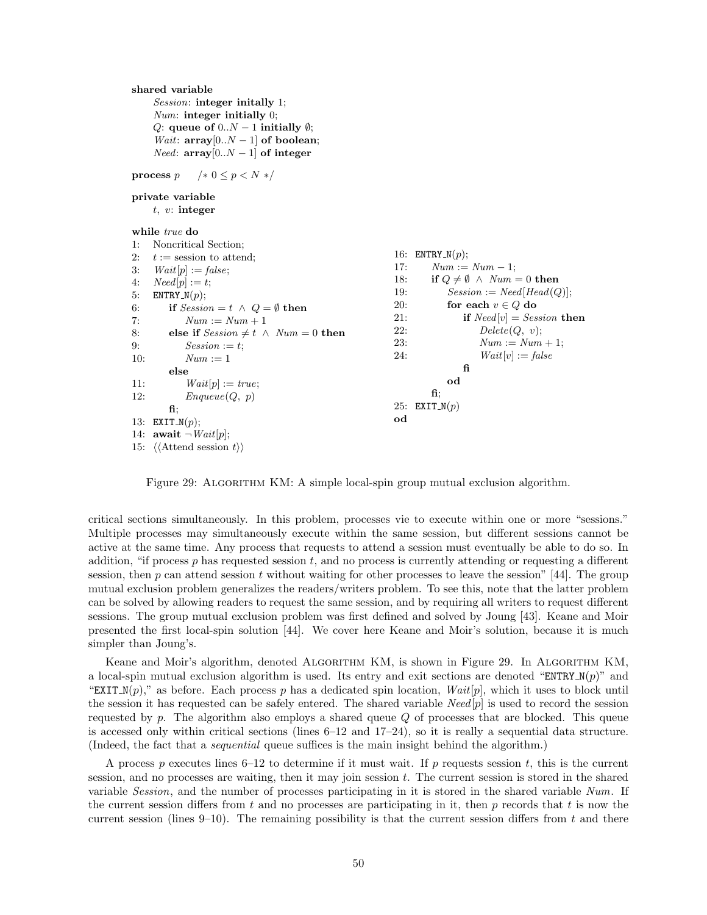**shared variable** Session: **integer initally** 1; Num: **integer initially** 0; Q: queue of  $0..N-1$  initially  $\emptyset$ ; *Wait*:  $array[0..N-1]$  of boolean;  $Need: array[0..N-1]$  of integer **process**  $p \quad \neq 0 \leq p < N \neq 0$ **private variable** t, v: **integer while** true **do** 1: Noncritical Section; 2:  $t :=$  session to attend: 3:  $Wait[p] := false;$ 4:  $Need[p] := t;$ 5: ENTRY  $N(p)$ ; 6: **if**  $Session = t \land Q = \emptyset$  **then** 7:  $Num := Num + 1$ 8: **else if**  $Session \neq t \land Num = 0$  **then** 9:  $Session := t;$ 10:  $Num := 1$ **else** 11:  $Wait[p] := true;$ 12:  $Enqueue(Q, p)$ **fi**; 13: EXIT\_N $(p);$ 14: **await**  $\neg Wait[p];$ 15:  $\langle$  (Attend session t)) 16: ENTRY\_N $(p)$ ; 17:  $Num := Num - 1;$ 18: **if**  $Q \neq \emptyset \land Num = 0$  **then** 19:  $Session := Need[Head(Q)];$ 20: **for each**  $v \in Q$  **do** 21: **if** Need[v] = Session **then** 22:  $Delete(Q, v);$ 23:  $Num := Num + 1;$ 24:  $Wait[v] := false$ **fi od fi**; 25: EXIT\_N $(p)$ **od**

Figure 29: ALGORITHM KM: A simple local-spin group mutual exclusion algorithm.

critical sections simultaneously. In this problem, processes vie to execute within one or more "sessions." Multiple processes may simultaneously execute within the same session, but different sessions cannot be active at the same time. Any process that requests to attend a session must eventually be able to do so. In addition, "if process p has requested session t, and no process is currently attending or requesting a different session, then p can attend session t without waiting for other processes to leave the session" [44]. The group mutual exclusion problem generalizes the readers/writers problem. To see this, note that the latter problem can be solved by allowing readers to request the same session, and by requiring all writers to request different sessions. The group mutual exclusion problem was first defined and solved by Joung [43]. Keane and Moir presented the first local-spin solution [44]. We cover here Keane and Moir's solution, because it is much simpler than Joung's.

Keane and Moir's algorithm, denoted Algorithm KM, is shown in Figure 29. In Algorithm KM, a local-spin mutual exclusion algorithm is used. Its entry and exit sections are denoted "ENTRY\_N(p)" and "EXIT<sub>N</sub>(p)," as before. Each process p has a dedicated spin location,  $Wait[p]$ , which it uses to block until the session it has requested can be safely entered. The shared variable *Need*[p] is used to record the session requested by  $p$ . The algorithm also employs a shared queue  $Q$  of processes that are blocked. This queue is accessed only within critical sections (lines  $6-12$  and  $17-24$ ), so it is really a sequential data structure. (Indeed, the fact that a *sequential* queue suffices is the main insight behind the algorithm.)

A process p executes lines  $6-12$  to determine if it must wait. If p requests session t, this is the current session, and no processes are waiting, then it may join session t. The current session is stored in the shared variable *Session*, and the number of processes participating in it is stored in the shared variable *Num*. If the current session differs from t and no processes are participating in it, then p records that t is now the current session (lines  $9-10$ ). The remaining possibility is that the current session differs from t and there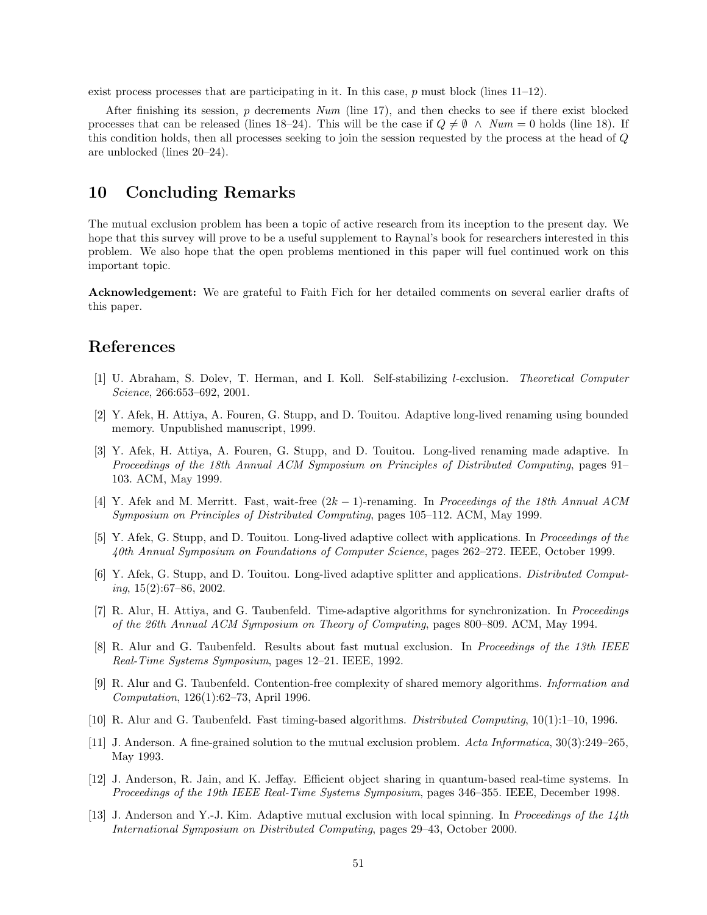exist process processes that are participating in it. In this case,  $p$  must block (lines  $11-12$ ).

After finishing its session, p decrements *Num* (line 17), and then checks to see if there exist blocked processes that can be released (lines 18–24). This will be the case if  $Q \neq \emptyset \land Num = 0$  holds (line 18). If this condition holds, then all processes seeking to join the session requested by the process at the head of Q are unblocked (lines 20–24).

### **10 Concluding Remarks**

The mutual exclusion problem has been a topic of active research from its inception to the present day. We hope that this survey will prove to be a useful supplement to Raynal's book for researchers interested in this problem. We also hope that the open problems mentioned in this paper will fuel continued work on this important topic.

**Acknowledgement:** We are grateful to Faith Fich for her detailed comments on several earlier drafts of this paper.

### **References**

- [1] U. Abraham, S. Dolev, T. Herman, and I. Koll. Self-stabilizing l-exclusion. *Theoretical Computer Science*, 266:653–692, 2001.
- [2] Y. Afek, H. Attiya, A. Fouren, G. Stupp, and D. Touitou. Adaptive long-lived renaming using bounded memory. Unpublished manuscript, 1999.
- [3] Y. Afek, H. Attiya, A. Fouren, G. Stupp, and D. Touitou. Long-lived renaming made adaptive. In *Proceedings of the 18th Annual ACM Symposium on Principles of Distributed Computing*, pages 91– 103. ACM, May 1999.
- [4] Y. Afek and M. Merritt. Fast, wait-free (2k − 1)-renaming. In *Proceedings of the 18th Annual ACM Symposium on Principles of Distributed Computing*, pages 105–112. ACM, May 1999.
- [5] Y. Afek, G. Stupp, and D. Touitou. Long-lived adaptive collect with applications. In *Proceedings of the 40th Annual Symposium on Foundations of Computer Science*, pages 262–272. IEEE, October 1999.
- [6] Y. Afek, G. Stupp, and D. Touitou. Long-lived adaptive splitter and applications. *Distributed Computing*, 15(2):67–86, 2002.
- [7] R. Alur, H. Attiya, and G. Taubenfeld. Time-adaptive algorithms for synchronization. In *Proceedings of the 26th Annual ACM Symposium on Theory of Computing*, pages 800–809. ACM, May 1994.
- [8] R. Alur and G. Taubenfeld. Results about fast mutual exclusion. In *Proceedings of the 13th IEEE Real-Time Systems Symposium*, pages 12–21. IEEE, 1992.
- [9] R. Alur and G. Taubenfeld. Contention-free complexity of shared memory algorithms. *Information and Computation*, 126(1):62–73, April 1996.
- [10] R. Alur and G. Taubenfeld. Fast timing-based algorithms. *Distributed Computing*, 10(1):1–10, 1996.
- [11] J. Anderson. A fine-grained solution to the mutual exclusion problem. *Acta Informatica*, 30(3):249–265, May 1993.
- [12] J. Anderson, R. Jain, and K. Jeffay. Efficient object sharing in quantum-based real-time systems. In *Proceedings of the 19th IEEE Real-Time Systems Symposium*, pages 346–355. IEEE, December 1998.
- [13] J. Anderson and Y.-J. Kim. Adaptive mutual exclusion with local spinning. In *Proceedings of the 14th International Symposium on Distributed Computing*, pages 29–43, October 2000.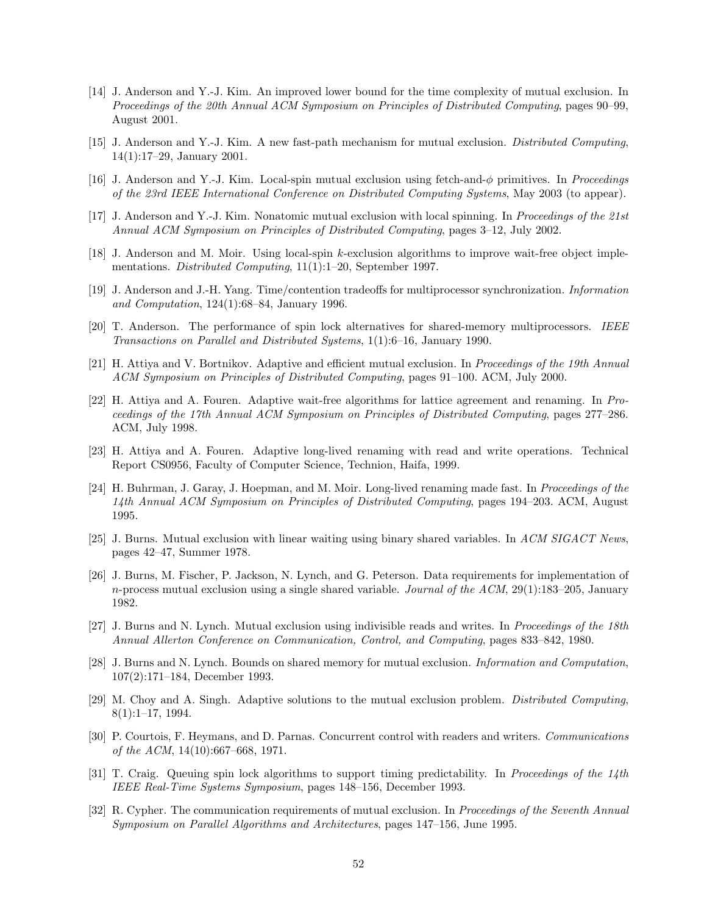- [14] J. Anderson and Y.-J. Kim. An improved lower bound for the time complexity of mutual exclusion. In *Proceedings of the 20th Annual ACM Symposium on Principles of Distributed Computing*, pages 90–99, August 2001.
- [15] J. Anderson and Y.-J. Kim. A new fast-path mechanism for mutual exclusion. *Distributed Computing*, 14(1):17–29, January 2001.
- [16] J. Anderson and Y.-J. Kim. Local-spin mutual exclusion using fetch-and-φ primitives. In *Proceedings of the 23rd IEEE International Conference on Distributed Computing Systems*, May 2003 (to appear).
- [17] J. Anderson and Y.-J. Kim. Nonatomic mutual exclusion with local spinning. In *Proceedings of the 21st Annual ACM Symposium on Principles of Distributed Computing*, pages 3–12, July 2002.
- [18] J. Anderson and M. Moir. Using local-spin k-exclusion algorithms to improve wait-free object implementations. *Distributed Computing*, 11(1):1–20, September 1997.
- [19] J. Anderson and J.-H. Yang. Time/contention tradeoffs for multiprocessor synchronization. *Information and Computation*, 124(1):68–84, January 1996.
- [20] T. Anderson. The performance of spin lock alternatives for shared-memory multiprocessors. *IEEE Transactions on Parallel and Distributed Systems*, 1(1):6–16, January 1990.
- [21] H. Attiya and V. Bortnikov. Adaptive and efficient mutual exclusion. In *Proceedings of the 19th Annual ACM Symposium on Principles of Distributed Computing*, pages 91–100. ACM, July 2000.
- [22] H. Attiya and A. Fouren. Adaptive wait-free algorithms for lattice agreement and renaming. In *Proceedings of the 17th Annual ACM Symposium on Principles of Distributed Computing*, pages 277–286. ACM, July 1998.
- [23] H. Attiya and A. Fouren. Adaptive long-lived renaming with read and write operations. Technical Report CS0956, Faculty of Computer Science, Technion, Haifa, 1999.
- [24] H. Buhrman, J. Garay, J. Hoepman, and M. Moir. Long-lived renaming made fast. In *Proceedings of the 14th Annual ACM Symposium on Principles of Distributed Computing*, pages 194–203. ACM, August 1995.
- [25] J. Burns. Mutual exclusion with linear waiting using binary shared variables. In *ACM SIGACT News*, pages 42–47, Summer 1978.
- [26] J. Burns, M. Fischer, P. Jackson, N. Lynch, and G. Peterson. Data requirements for implementation of n-process mutual exclusion using a single shared variable. *Journal of the ACM*, 29(1):183–205, January 1982.
- [27] J. Burns and N. Lynch. Mutual exclusion using indivisible reads and writes. In *Proceedings of the 18th Annual Allerton Conference on Communication, Control, and Computing*, pages 833–842, 1980.
- [28] J. Burns and N. Lynch. Bounds on shared memory for mutual exclusion. *Information and Computation*, 107(2):171–184, December 1993.
- [29] M. Choy and A. Singh. Adaptive solutions to the mutual exclusion problem. *Distributed Computing*, 8(1):1–17, 1994.
- [30] P. Courtois, F. Heymans, and D. Parnas. Concurrent control with readers and writers. *Communications of the ACM*, 14(10):667–668, 1971.
- [31] T. Craig. Queuing spin lock algorithms to support timing predictability. In *Proceedings of the 14th IEEE Real-Time Systems Symposium*, pages 148–156, December 1993.
- [32] R. Cypher. The communication requirements of mutual exclusion. In *Proceedings of the Seventh Annual Symposium on Parallel Algorithms and Architectures*, pages 147–156, June 1995.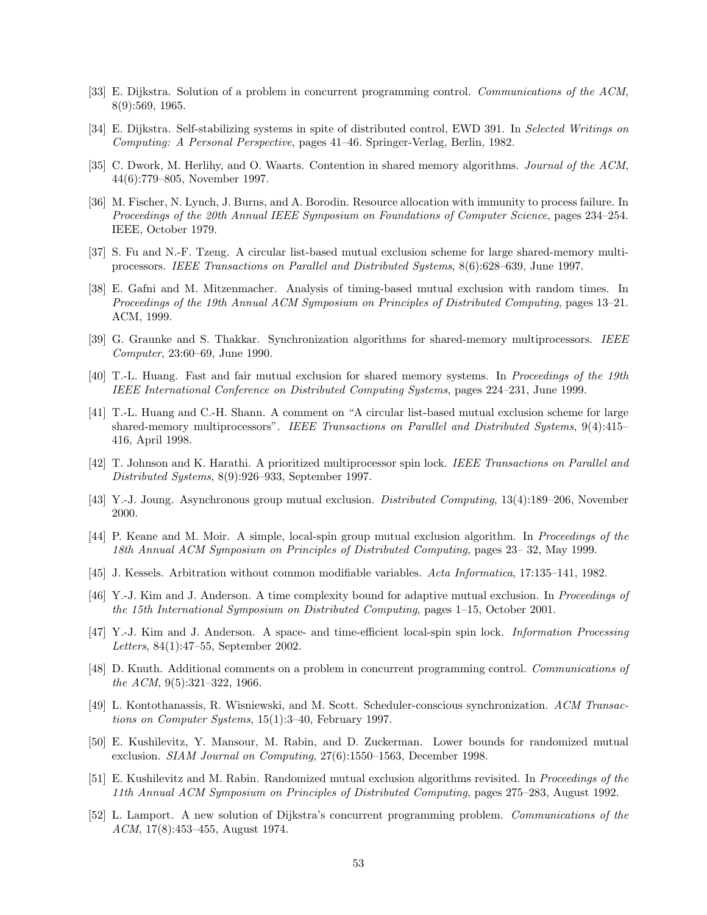- [33] E. Dijkstra. Solution of a problem in concurrent programming control. *Communications of the ACM*, 8(9):569, 1965.
- [34] E. Dijkstra. Self-stabilizing systems in spite of distributed control, EWD 391. In *Selected Writings on Computing: A Personal Perspective*, pages 41–46. Springer-Verlag, Berlin, 1982.
- [35] C. Dwork, M. Herlihy, and O. Waarts. Contention in shared memory algorithms. *Journal of the ACM*, 44(6):779–805, November 1997.
- [36] M. Fischer, N. Lynch, J. Burns, and A. Borodin. Resource allocation with immunity to process failure. In *Proceedings of the 20th Annual IEEE Symposium on Foundations of Computer Science*, pages 234–254. IEEE, October 1979.
- [37] S. Fu and N.-F. Tzeng. Acircular list-based mutual exclusion scheme for large shared-memory multiprocessors. *IEEE Transactions on Parallel and Distributed Systems*, 8(6):628–639, June 1997.
- [38] E. Gafni and M. Mitzenmacher. Analysis of timing-based mutual exclusion with random times. In *Proceedings of the 19th Annual ACM Symposium on Principles of Distributed Computing*, pages 13–21. ACM, 1999.
- [39] G. Graunke and S. Thakkar. Synchronization algorithms for shared-memory multiprocessors. *IEEE Computer*, 23:60–69, June 1990.
- [40] T.-L. Huang. Fast and fair mutual exclusion for shared memory systems. In *Proceedings of the 19th IEEE International Conference on Distributed Computing Systems*, pages 224–231, June 1999.
- [41] T.-L. Huang and C.-H. Shann. Acomment on "Acircular list-based mutual exclusion scheme for large shared-memory multiprocessors". *IEEE Transactions on Parallel and Distributed Systems*, 9(4):415– 416, April 1998.
- [42] T. Johnson and K. Harathi. Aprioritized multiprocessor spin lock. *IEEE Transactions on Parallel and Distributed Systems*, 8(9):926–933, September 1997.
- [43] Y.-J. Joung. Asynchronous group mutual exclusion. *Distributed Computing*, 13(4):189–206, November 2000.
- [44] P. Keane and M. Moir. Asimple, local-spin group mutual exclusion algorithm. In *Proceedings of the 18th Annual ACM Symposium on Principles of Distributed Computing*, pages 23– 32, May 1999.
- [45] J. Kessels. Arbitration without common modifiable variables. *Acta Informatica*, 17:135–141, 1982.
- [46] Y.-J. Kim and J. Anderson. A time complexity bound for adaptive mutual exclusion. In *Proceedings of the 15th International Symposium on Distributed Computing*, pages 1–15, October 2001.
- [47] Y.-J. Kim and J. Anderson. A space- and time-efficient local-spin spin lock. *Information Processing Letters*, 84(1):47–55, September 2002.
- [48] D. Knuth. Additional comments on a problem in concurrent programming control. *Communications of the ACM*, 9(5):321–322, 1966.
- [49] L. Kontothanassis, R. Wisniewski, and M. Scott. Scheduler-conscious synchronization. *ACM Transactions on Computer Systems*, 15(1):3–40, February 1997.
- [50] E. Kushilevitz, Y. Mansour, M. Rabin, and D. Zuckerman. Lower bounds for randomized mutual exclusion. *SIAM Journal on Computing*, 27(6):1550–1563, December 1998.
- [51] E. Kushilevitz and M. Rabin. Randomized mutual exclusion algorithms revisited. In *Proceedings of the 11th Annual ACM Symposium on Principles of Distributed Computing*, pages 275–283, August 1992.
- [52] L. Lamport. A new solution of Dijkstra's concurrent programming problem. *Communications of the ACM*, 17(8):453–455, August 1974.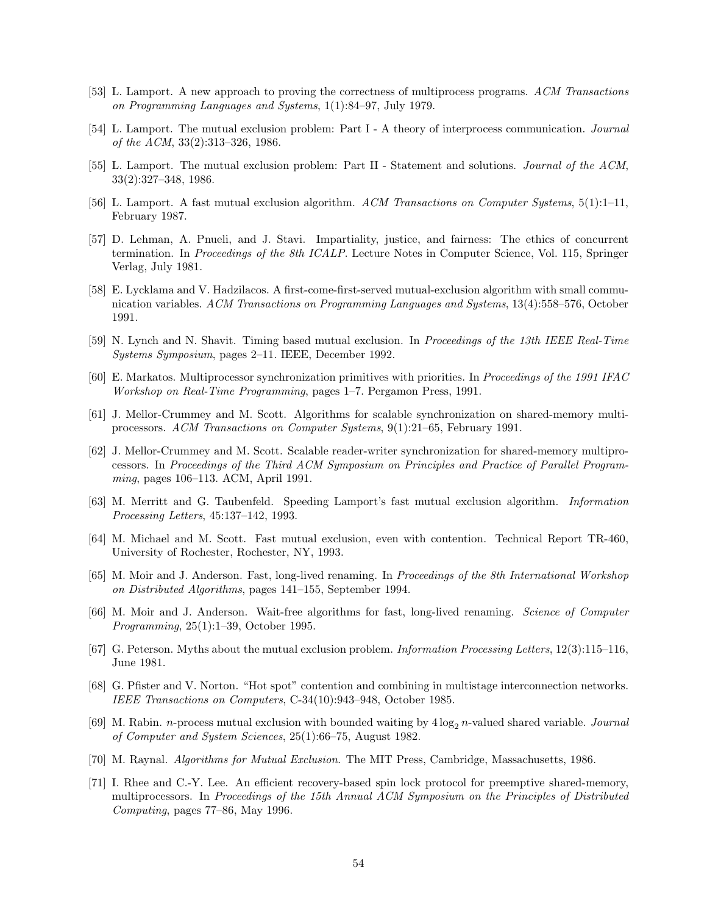- [53] L. Lamport. A new approach to proving the correctness of multiprocess programs. ACM Transactions *on Programming Languages and Systems*, 1(1):84–97, July 1979.
- [54] L. Lamport. The mutual exclusion problem: Part I Atheory of interprocess communication. *Journal of the ACM*, 33(2):313–326, 1986.
- [55] L. Lamport. The mutual exclusion problem: Part II Statement and solutions. *Journal of the ACM*, 33(2):327–348, 1986.
- [56] L. Lamport. Afast mutual exclusion algorithm. *ACM Transactions on Computer Systems*, 5(1):1–11, February 1987.
- [57] D. Lehman, A. Pnueli, and J. Stavi. Impartiality, justice, and fairness: The ethics of concurrent termination. In *Proceedings of the 8th ICALP*. Lecture Notes in Computer Science, Vol. 115, Springer Verlag, July 1981.
- [58] E. Lycklama and V. Hadzilacos. Afirst-come-first-served mutual-exclusion algorithm with small communication variables. *ACM Transactions on Programming Languages and Systems*, 13(4):558–576, October 1991.
- [59] N. Lynch and N. Shavit. Timing based mutual exclusion. In *Proceedings of the 13th IEEE Real-Time Systems Symposium*, pages 2–11. IEEE, December 1992.
- [60] E. Markatos. Multiprocessor synchronization primitives with priorities. In *Proceedings of the 1991 IFAC Workshop on Real-Time Programming*, pages 1–7. Pergamon Press, 1991.
- [61] J. Mellor-Crummey and M. Scott. Algorithms for scalable synchronization on shared-memory multiprocessors. *ACM Transactions on Computer Systems*, 9(1):21–65, February 1991.
- [62] J. Mellor-Crummey and M. Scott. Scalable reader-writer synchronization for shared-memory multiprocessors. In *Proceedings of the Third ACM Symposium on Principles and Practice of Parallel Programming*, pages 106–113. ACM, April 1991.
- [63] M. Merritt and G. Taubenfeld. Speeding Lamport's fast mutual exclusion algorithm. *Information Processing Letters*, 45:137–142, 1993.
- [64] M. Michael and M. Scott. Fast mutual exclusion, even with contention. Technical Report TR-460, University of Rochester, Rochester, NY, 1993.
- [65] M. Moir and J. Anderson. Fast, long-lived renaming. In *Proceedings of the 8th International Workshop on Distributed Algorithms*, pages 141–155, September 1994.
- [66] M. Moir and J. Anderson. Wait-free algorithms for fast, long-lived renaming. *Science of Computer Programming*, 25(1):1–39, October 1995.
- [67] G. Peterson. Myths about the mutual exclusion problem. *Information Processing Letters*, 12(3):115–116, June 1981.
- [68] G. Pfister and V. Norton. "Hot spot" contention and combining in multistage interconnection networks. *IEEE Transactions on Computers*, C-34(10):943–948, October 1985.
- [69] M. Rabin. *n*-process mutual exclusion with bounded waiting by  $4 \log_2 n$ -valued shared variable. *Journal of Computer and System Sciences*, 25(1):66–75, August 1982.
- [70] M. Raynal. *Algorithms for Mutual Exclusion*. The MIT Press, Cambridge, Massachusetts, 1986.
- [71] I. Rhee and C.-Y. Lee. An efficient recovery-based spin lock protocol for preemptive shared-memory, multiprocessors. In *Proceedings of the 15th Annual ACM Symposium on the Principles of Distributed Computing*, pages 77–86, May 1996.